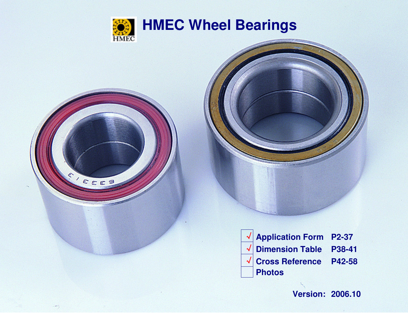

PEES

つ



 **Application Form P2-37**  √ **Dimension Table P38-41 Cross Reference P42-58** 

**Version: 2006.10**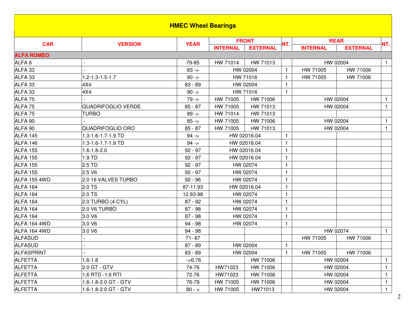|                    |                           | <b>HMEC Wheel Bearings</b> |                 |                 |              |                 |                 |              |
|--------------------|---------------------------|----------------------------|-----------------|-----------------|--------------|-----------------|-----------------|--------------|
|                    |                           |                            |                 | <b>FRONT</b>    |              |                 | <b>REAR</b>     |              |
| <b>CAR</b>         | <b>VERSION</b>            | <b>YEAR</b>                | <b>INTERNAL</b> | <b>EXTERNAL</b> | NT.          | <b>INTERNAL</b> | <b>EXTERNAL</b> | NT.          |
| <b>ALFA ROMEO</b>  |                           |                            |                 |                 |              |                 |                 |              |
| ALFA <sub>6</sub>  |                           | 79-85                      | HW 71014        | HW 71013        |              |                 | HW 02004        | $\mathbf{1}$ |
| ALFA 33            |                           | $83 - 5$                   |                 | HW 02004        | $\mathbf{1}$ | HW 71005        | HW 71006        |              |
| ALFA 33            | 1.2-1.3-1.5-1.7           | $90 ->$                    |                 | HW 71016        | 1            | HW 71005        | HW 71006        |              |
| ALFA 33            | 4X4                       | 83 - 89                    |                 | HW 02004        | 1            |                 |                 |              |
| ALFA 33            | 4X4                       | $90 ->$                    |                 | HW 71016        | $\mathbf{1}$ |                 |                 |              |
| ALFA <sub>75</sub> |                           | $79 - 5$                   | HW 71005        | HW 71006        |              |                 | HW 02004        | $\mathbf{1}$ |
| ALFA <sub>75</sub> | <b>QUADRIFOGLIO VERDE</b> | $85 - 87$                  | HW 71005        | HW 71013        |              |                 | HW 02004        | $\mathbf{1}$ |
| ALFA <sub>75</sub> | <b>TURBO</b>              | $89 ->$                    | HW 71014        | HW 71013        |              |                 |                 |              |
| ALFA 90            |                           | $85 -$                     | HW 71005        | HW 71006        |              |                 | HW 02004        | $\mathbf{1}$ |
| ALFA 90            | <b>QUADRIFOGLIO ORO</b>   | $85 - 87$                  | HW 71005        | HW 71013        |              |                 | HW 02004        | $\mathbf{1}$ |
| ALFA 145           | 1.3-1.6-1.7-1.9 TD        | $94 -$                     |                 | HW 02016.04     | 1            |                 |                 |              |
| ALFA 146           | 1.3-1.6-1.7-1.9 TD        | $94 -$                     |                 | HW 02016.04     | 1            |                 |                 |              |
| ALFA 155           | $1.6 - 1.8 - 2.0$         | $92 - 97$                  |                 | HW 02016.04     | 1            |                 |                 |              |
| ALFA 155           | 1.9 TD                    | $92 - 97$                  |                 | HW 02016.04     | 1            |                 |                 |              |
| ALFA 155           | $2.5$ TD                  | $92 - 97$                  |                 | HW 02074        | $\mathbf{1}$ |                 |                 |              |
| <b>ALFA 155</b>    | 2.5 V6                    | $92 - 97$                  |                 | HW 02074        | 1            |                 |                 |              |
| ALFA 155 4WD       | 2.0 16 VALVES TURBO       | $92 - 96$                  |                 | HW 02074        | 1            |                 |                 |              |
| ALFA 164           | 2.0 TS                    | 87-11.93                   |                 | HW 02016.04     | 1            |                 |                 |              |
| ALFA 164           | 2.0 TS                    | 12.93-98                   |                 | HW 02074        | 1            |                 |                 |              |
| ALFA 164           | 2.0 TURBO (4 CYL)         | $87 - 92$                  |                 | HW 02074        | $\mathbf{1}$ |                 |                 |              |
| ALFA 164           | 2.0 V6 TURBO              | $87 - 98$                  |                 | HW 02074        | $\mathbf{1}$ |                 |                 |              |
| ALFA 164           | 3.0 V6                    | $87 - 98$                  |                 | HW 02074        | 1            |                 |                 |              |
| ALFA 164 4WD       | 3.0 V6                    | $94 - 98$                  |                 | HW 02074        | 1            |                 |                 |              |
| ALFA 164 4WD       | 3.0 V6                    | 94 - 98                    |                 |                 |              |                 | HW 02074        | $\mathbf{1}$ |
| <b>ALFASUD</b>     |                           | $71 - 87$                  |                 |                 |              | HW 71005        | HW 71006        |              |
| <b>ALFASUD</b>     |                           | $87 - 89$                  |                 | HW 02004        | $\mathbf{1}$ |                 |                 |              |
| <b>ALFASPRINT</b>  |                           | 83 - 89                    |                 | HW 02004        | $\mathbf{1}$ | HW 71005        | HW 71006        |              |
| <b>ALFETTA</b>     | $1.6 - 1.8$               | $-56.76$                   |                 | HW 71006        |              |                 | HW 02004        | $\mathbf{1}$ |
| <b>ALFETTA</b>     | 2.0 GT - GTV              | 74-76                      | HW71023         | HW 71006        |              |                 | HW 02004        | $\mathbf{1}$ |
| <b>ALFETTA</b>     | 1.6 RTD -1.6 RTI          | 72-76                      | HW71023         | HW 71006        |              |                 | HW 02004        | $\mathbf{1}$ |
| <b>ALFETTA</b>     | 1.6-1.8-2.0 GT - GTV      | 76-79                      | HW 71005        | HW 71006        |              |                 | HW 02004        | $\mathbf{1}$ |
| <b>ALFETTA</b>     | 1.6-1.8-2.0 GT - GTV      | $80 - 5$                   | HW 71005        | HW71013         |              |                 | HW 02004        | $\mathbf{1}$ |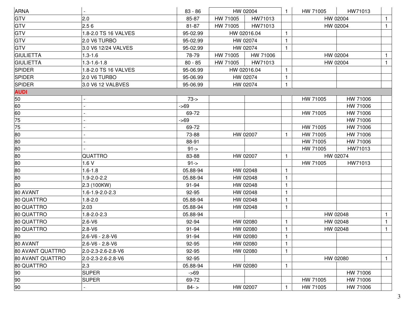| <b>GTV</b><br>2.0<br>85-87<br>HW 71005<br>HW71013<br>HW 02004<br>$\mathbf{1}$<br><b>GTV</b><br>2.56<br>HW71013<br>81-87<br>HW 71005<br>HW 02004<br>$\mathbf{1}$<br><b>GTV</b><br>1.8-2.0 TS 16 VALVES<br>95-02.99<br>HW 02016.04<br>1<br><b>GTV</b><br>2.0 V6 TURBO<br>95-02.99<br>HW 02074<br><b>GTV</b><br>3.0 V6 12/24 VALVES<br>95-02.99<br>HW 02074<br>HW 71006<br>$1.3 - 1.6$<br>78-79<br>HW 71005<br>HW 02004<br>$\mathbf{1}$<br><b>GIULIETTA</b><br>$1.3 - 1.6 - 1.8$<br>$80 - 85$<br>HW 71005<br>HW71013<br>HW 02004<br>$\mathbf{1}$<br>1.8-2.0 TS 16 VALVES<br>HW 02016.04<br>95-06.99<br>2.0 V6 TURBO<br>95-06.99<br>HW 02074<br><b>SPIDER</b><br>3.0 V6 12 VALBVES<br>HW 02074<br>95-06.99<br>1<br>$73 - 5$<br>HW 71006<br>HW 71005<br>60<br>HW 71006<br>$-569$<br>HW 71005<br>HW 71006<br>69-72<br>HW 71006<br>$-569$<br>HW 71006<br>69-72<br>HW 71005<br>73-88<br>HW 02007<br>HW 71005<br>HW 71006<br>HW 71005<br>HW 71006<br>88-91<br>$91 - >$<br>HW 71005<br>HW71013<br>QUATTRO<br>83-88<br>HW 02007<br>HW 02074<br>1.6V<br>$91 - 5$<br>HW 71005<br>HW71013<br>$1.6 - 1.8$<br>05.88-94<br>HW 02048<br>$\mathbf{1}$<br>80<br>1.9-2.0-2.2<br>05.88-94<br>HW 02048<br>HW 02048<br>2.3 (100KW)<br>91-94<br>1.6-1.9-2.0-2.3<br>92-95<br>HW 02048<br>1<br>$1.8 - 2.0$<br>HW 02048<br>$\mathbf{1}$<br>05.88-94<br>2.03<br>05.88-94<br>HW 02048<br>$1.8 - 2.0 - 2.3$<br>05.88-94<br>HW 02048<br>$\mathbf{1}$<br>$2.6 - V6$<br>HW 02080<br>HW 02048<br>92-94<br>$\mathbf{1}$<br>1<br>$2.8 - V6$<br>HW 02080<br>91-94<br>$\mathbf{1}$<br>HW 02048<br>$\mathbf{1}$<br>2.6-V6 - 2.8-V6<br>91-94<br>HW 02080<br>$\mathbf{1}$<br>2.6-V6 - 2.8-V6<br>HW 02080<br>92-95<br>2.0-2.3-2.6-2.8-V6<br>92-95<br>HW 02080<br>HW 02080<br>2.0-2.3-2.6-2.8-V6<br>92-95<br>2.3<br>HW 02080<br>05.88-94<br>HW 71006<br><b>SUPER</b><br>$-569$<br>HW 71005<br><b>SUPER</b><br>69-72<br>HW 71006<br>90<br>HW 71006<br>$84 - 5$<br>HW 02007<br>HW 71005 | ARNA             | $83 - 86$ | HW 02004 | $\mathbf{1}$ | HW 71005 | HW71013 |              |
|-------------------------------------------------------------------------------------------------------------------------------------------------------------------------------------------------------------------------------------------------------------------------------------------------------------------------------------------------------------------------------------------------------------------------------------------------------------------------------------------------------------------------------------------------------------------------------------------------------------------------------------------------------------------------------------------------------------------------------------------------------------------------------------------------------------------------------------------------------------------------------------------------------------------------------------------------------------------------------------------------------------------------------------------------------------------------------------------------------------------------------------------------------------------------------------------------------------------------------------------------------------------------------------------------------------------------------------------------------------------------------------------------------------------------------------------------------------------------------------------------------------------------------------------------------------------------------------------------------------------------------------------------------------------------------------------------------------------------------------------------------------------------------------------------------------------------------------------------------------------------------------------------------------------------------------------|------------------|-----------|----------|--------------|----------|---------|--------------|
|                                                                                                                                                                                                                                                                                                                                                                                                                                                                                                                                                                                                                                                                                                                                                                                                                                                                                                                                                                                                                                                                                                                                                                                                                                                                                                                                                                                                                                                                                                                                                                                                                                                                                                                                                                                                                                                                                                                                           |                  |           |          |              |          |         |              |
|                                                                                                                                                                                                                                                                                                                                                                                                                                                                                                                                                                                                                                                                                                                                                                                                                                                                                                                                                                                                                                                                                                                                                                                                                                                                                                                                                                                                                                                                                                                                                                                                                                                                                                                                                                                                                                                                                                                                           |                  |           |          |              |          |         |              |
|                                                                                                                                                                                                                                                                                                                                                                                                                                                                                                                                                                                                                                                                                                                                                                                                                                                                                                                                                                                                                                                                                                                                                                                                                                                                                                                                                                                                                                                                                                                                                                                                                                                                                                                                                                                                                                                                                                                                           |                  |           |          |              |          |         |              |
|                                                                                                                                                                                                                                                                                                                                                                                                                                                                                                                                                                                                                                                                                                                                                                                                                                                                                                                                                                                                                                                                                                                                                                                                                                                                                                                                                                                                                                                                                                                                                                                                                                                                                                                                                                                                                                                                                                                                           |                  |           |          |              |          |         |              |
|                                                                                                                                                                                                                                                                                                                                                                                                                                                                                                                                                                                                                                                                                                                                                                                                                                                                                                                                                                                                                                                                                                                                                                                                                                                                                                                                                                                                                                                                                                                                                                                                                                                                                                                                                                                                                                                                                                                                           |                  |           |          |              |          |         |              |
|                                                                                                                                                                                                                                                                                                                                                                                                                                                                                                                                                                                                                                                                                                                                                                                                                                                                                                                                                                                                                                                                                                                                                                                                                                                                                                                                                                                                                                                                                                                                                                                                                                                                                                                                                                                                                                                                                                                                           | <b>GIULIETTA</b> |           |          |              |          |         |              |
|                                                                                                                                                                                                                                                                                                                                                                                                                                                                                                                                                                                                                                                                                                                                                                                                                                                                                                                                                                                                                                                                                                                                                                                                                                                                                                                                                                                                                                                                                                                                                                                                                                                                                                                                                                                                                                                                                                                                           |                  |           |          |              |          |         |              |
|                                                                                                                                                                                                                                                                                                                                                                                                                                                                                                                                                                                                                                                                                                                                                                                                                                                                                                                                                                                                                                                                                                                                                                                                                                                                                                                                                                                                                                                                                                                                                                                                                                                                                                                                                                                                                                                                                                                                           | <b>SPIDER</b>    |           |          |              |          |         |              |
|                                                                                                                                                                                                                                                                                                                                                                                                                                                                                                                                                                                                                                                                                                                                                                                                                                                                                                                                                                                                                                                                                                                                                                                                                                                                                                                                                                                                                                                                                                                                                                                                                                                                                                                                                                                                                                                                                                                                           | <b>SPIDER</b>    |           |          |              |          |         |              |
|                                                                                                                                                                                                                                                                                                                                                                                                                                                                                                                                                                                                                                                                                                                                                                                                                                                                                                                                                                                                                                                                                                                                                                                                                                                                                                                                                                                                                                                                                                                                                                                                                                                                                                                                                                                                                                                                                                                                           |                  |           |          |              |          |         |              |
|                                                                                                                                                                                                                                                                                                                                                                                                                                                                                                                                                                                                                                                                                                                                                                                                                                                                                                                                                                                                                                                                                                                                                                                                                                                                                                                                                                                                                                                                                                                                                                                                                                                                                                                                                                                                                                                                                                                                           | <b>AUDI</b>      |           |          |              |          |         |              |
|                                                                                                                                                                                                                                                                                                                                                                                                                                                                                                                                                                                                                                                                                                                                                                                                                                                                                                                                                                                                                                                                                                                                                                                                                                                                                                                                                                                                                                                                                                                                                                                                                                                                                                                                                                                                                                                                                                                                           | 50               |           |          |              |          |         |              |
|                                                                                                                                                                                                                                                                                                                                                                                                                                                                                                                                                                                                                                                                                                                                                                                                                                                                                                                                                                                                                                                                                                                                                                                                                                                                                                                                                                                                                                                                                                                                                                                                                                                                                                                                                                                                                                                                                                                                           |                  |           |          |              |          |         |              |
|                                                                                                                                                                                                                                                                                                                                                                                                                                                                                                                                                                                                                                                                                                                                                                                                                                                                                                                                                                                                                                                                                                                                                                                                                                                                                                                                                                                                                                                                                                                                                                                                                                                                                                                                                                                                                                                                                                                                           | 60               |           |          |              |          |         |              |
|                                                                                                                                                                                                                                                                                                                                                                                                                                                                                                                                                                                                                                                                                                                                                                                                                                                                                                                                                                                                                                                                                                                                                                                                                                                                                                                                                                                                                                                                                                                                                                                                                                                                                                                                                                                                                                                                                                                                           | 75               |           |          |              |          |         |              |
|                                                                                                                                                                                                                                                                                                                                                                                                                                                                                                                                                                                                                                                                                                                                                                                                                                                                                                                                                                                                                                                                                                                                                                                                                                                                                                                                                                                                                                                                                                                                                                                                                                                                                                                                                                                                                                                                                                                                           | 75               |           |          |              |          |         |              |
|                                                                                                                                                                                                                                                                                                                                                                                                                                                                                                                                                                                                                                                                                                                                                                                                                                                                                                                                                                                                                                                                                                                                                                                                                                                                                                                                                                                                                                                                                                                                                                                                                                                                                                                                                                                                                                                                                                                                           | 80               |           |          |              |          |         |              |
|                                                                                                                                                                                                                                                                                                                                                                                                                                                                                                                                                                                                                                                                                                                                                                                                                                                                                                                                                                                                                                                                                                                                                                                                                                                                                                                                                                                                                                                                                                                                                                                                                                                                                                                                                                                                                                                                                                                                           | 80               |           |          |              |          |         |              |
|                                                                                                                                                                                                                                                                                                                                                                                                                                                                                                                                                                                                                                                                                                                                                                                                                                                                                                                                                                                                                                                                                                                                                                                                                                                                                                                                                                                                                                                                                                                                                                                                                                                                                                                                                                                                                                                                                                                                           | 80               |           |          |              |          |         |              |
|                                                                                                                                                                                                                                                                                                                                                                                                                                                                                                                                                                                                                                                                                                                                                                                                                                                                                                                                                                                                                                                                                                                                                                                                                                                                                                                                                                                                                                                                                                                                                                                                                                                                                                                                                                                                                                                                                                                                           | 80               |           |          |              |          |         |              |
|                                                                                                                                                                                                                                                                                                                                                                                                                                                                                                                                                                                                                                                                                                                                                                                                                                                                                                                                                                                                                                                                                                                                                                                                                                                                                                                                                                                                                                                                                                                                                                                                                                                                                                                                                                                                                                                                                                                                           | 80               |           |          |              |          |         |              |
|                                                                                                                                                                                                                                                                                                                                                                                                                                                                                                                                                                                                                                                                                                                                                                                                                                                                                                                                                                                                                                                                                                                                                                                                                                                                                                                                                                                                                                                                                                                                                                                                                                                                                                                                                                                                                                                                                                                                           | 80               |           |          |              |          |         |              |
|                                                                                                                                                                                                                                                                                                                                                                                                                                                                                                                                                                                                                                                                                                                                                                                                                                                                                                                                                                                                                                                                                                                                                                                                                                                                                                                                                                                                                                                                                                                                                                                                                                                                                                                                                                                                                                                                                                                                           |                  |           |          |              |          |         |              |
|                                                                                                                                                                                                                                                                                                                                                                                                                                                                                                                                                                                                                                                                                                                                                                                                                                                                                                                                                                                                                                                                                                                                                                                                                                                                                                                                                                                                                                                                                                                                                                                                                                                                                                                                                                                                                                                                                                                                           | 80               |           |          |              |          |         |              |
|                                                                                                                                                                                                                                                                                                                                                                                                                                                                                                                                                                                                                                                                                                                                                                                                                                                                                                                                                                                                                                                                                                                                                                                                                                                                                                                                                                                                                                                                                                                                                                                                                                                                                                                                                                                                                                                                                                                                           | 80 AVANT         |           |          |              |          |         |              |
|                                                                                                                                                                                                                                                                                                                                                                                                                                                                                                                                                                                                                                                                                                                                                                                                                                                                                                                                                                                                                                                                                                                                                                                                                                                                                                                                                                                                                                                                                                                                                                                                                                                                                                                                                                                                                                                                                                                                           | 80 QUATTRO       |           |          |              |          |         |              |
|                                                                                                                                                                                                                                                                                                                                                                                                                                                                                                                                                                                                                                                                                                                                                                                                                                                                                                                                                                                                                                                                                                                                                                                                                                                                                                                                                                                                                                                                                                                                                                                                                                                                                                                                                                                                                                                                                                                                           | 80 QUATTRO       |           |          |              |          |         |              |
|                                                                                                                                                                                                                                                                                                                                                                                                                                                                                                                                                                                                                                                                                                                                                                                                                                                                                                                                                                                                                                                                                                                                                                                                                                                                                                                                                                                                                                                                                                                                                                                                                                                                                                                                                                                                                                                                                                                                           | 80 QUATTRO       |           |          |              |          |         |              |
|                                                                                                                                                                                                                                                                                                                                                                                                                                                                                                                                                                                                                                                                                                                                                                                                                                                                                                                                                                                                                                                                                                                                                                                                                                                                                                                                                                                                                                                                                                                                                                                                                                                                                                                                                                                                                                                                                                                                           | 80 QUATTRO       |           |          |              |          |         |              |
|                                                                                                                                                                                                                                                                                                                                                                                                                                                                                                                                                                                                                                                                                                                                                                                                                                                                                                                                                                                                                                                                                                                                                                                                                                                                                                                                                                                                                                                                                                                                                                                                                                                                                                                                                                                                                                                                                                                                           | 80 QUATTRO       |           |          |              |          |         |              |
|                                                                                                                                                                                                                                                                                                                                                                                                                                                                                                                                                                                                                                                                                                                                                                                                                                                                                                                                                                                                                                                                                                                                                                                                                                                                                                                                                                                                                                                                                                                                                                                                                                                                                                                                                                                                                                                                                                                                           | 80               |           |          |              |          |         |              |
|                                                                                                                                                                                                                                                                                                                                                                                                                                                                                                                                                                                                                                                                                                                                                                                                                                                                                                                                                                                                                                                                                                                                                                                                                                                                                                                                                                                                                                                                                                                                                                                                                                                                                                                                                                                                                                                                                                                                           | 80 AVANT         |           |          |              |          |         |              |
|                                                                                                                                                                                                                                                                                                                                                                                                                                                                                                                                                                                                                                                                                                                                                                                                                                                                                                                                                                                                                                                                                                                                                                                                                                                                                                                                                                                                                                                                                                                                                                                                                                                                                                                                                                                                                                                                                                                                           | 80 AVANT QUATTRO |           |          |              |          |         |              |
|                                                                                                                                                                                                                                                                                                                                                                                                                                                                                                                                                                                                                                                                                                                                                                                                                                                                                                                                                                                                                                                                                                                                                                                                                                                                                                                                                                                                                                                                                                                                                                                                                                                                                                                                                                                                                                                                                                                                           | 80 AVANT QUATTRO |           |          |              |          |         | $\mathbf{1}$ |
|                                                                                                                                                                                                                                                                                                                                                                                                                                                                                                                                                                                                                                                                                                                                                                                                                                                                                                                                                                                                                                                                                                                                                                                                                                                                                                                                                                                                                                                                                                                                                                                                                                                                                                                                                                                                                                                                                                                                           | 80 QUATTRO       |           |          |              |          |         |              |
|                                                                                                                                                                                                                                                                                                                                                                                                                                                                                                                                                                                                                                                                                                                                                                                                                                                                                                                                                                                                                                                                                                                                                                                                                                                                                                                                                                                                                                                                                                                                                                                                                                                                                                                                                                                                                                                                                                                                           | 90               |           |          |              |          |         |              |
|                                                                                                                                                                                                                                                                                                                                                                                                                                                                                                                                                                                                                                                                                                                                                                                                                                                                                                                                                                                                                                                                                                                                                                                                                                                                                                                                                                                                                                                                                                                                                                                                                                                                                                                                                                                                                                                                                                                                           | 90               |           |          |              |          |         |              |
|                                                                                                                                                                                                                                                                                                                                                                                                                                                                                                                                                                                                                                                                                                                                                                                                                                                                                                                                                                                                                                                                                                                                                                                                                                                                                                                                                                                                                                                                                                                                                                                                                                                                                                                                                                                                                                                                                                                                           |                  |           |          |              |          |         |              |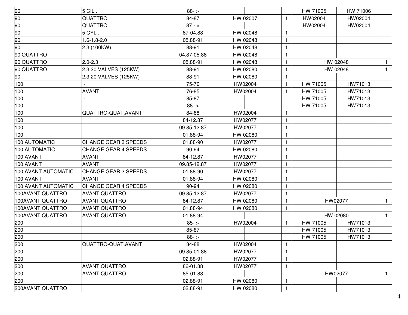| 90                  | $5$ CIL.                    | $88 - 5$    |          |              | HW 71005 | HW 71006 |              |
|---------------------|-----------------------------|-------------|----------|--------------|----------|----------|--------------|
| 90                  | QUATTRO                     | 84-87       | HW 02007 | $\mathbf{1}$ | HW02004  | HW02004  |              |
| 90                  | QUATTRO                     | $87 - 5$    |          |              | HW02004  | HW02004  |              |
| 90                  | 5 CYL.                      | 87-04.88    | HW 02048 | $\mathbf{1}$ |          |          |              |
| 90                  | $1.6 - 1.8 - 2.0$           | 05.88-91    | HW 02048 | $\mathbf{1}$ |          |          |              |
| 90                  | 2.3 (100KW)                 | 88-91       | HW 02048 | $\mathbf{1}$ |          |          |              |
| 90 QUATTRO          |                             | 04.87-05.88 | HW 02048 | $\mathbf 1$  |          |          |              |
| 90 QUATTRO          | $2.0 - 2.3$                 | 05.88-91    | HW 02048 | $\mathbf{1}$ |          | HW 02048 | $\mathbf{1}$ |
| 90 QUATTRO          | 2.3 20 VALVES (125KW)       | 88-91       | HW 02080 | 1            |          | HW 02048 | $\mathbf{1}$ |
| 90                  | 2.3 20 VALVES (125KW)       | 88-91       | HW 02080 | $\mathbf{1}$ |          |          |              |
| 100                 |                             | 75-76       | HW02004  | $\mathbf{1}$ | HW 71005 | HW71013  |              |
| 100                 | <b>AVANT</b>                | 76-85       | HW02004  | $\mathbf{1}$ | HW 71005 | HW71013  |              |
| 100                 |                             | 85-87       |          |              | HW 71005 | HW71013  |              |
| 100                 |                             | $88 - 5$    |          |              | HW 71005 | HW71013  |              |
| 100                 | QUATTRO-QUAT.AVANT          | 84-88       | HW02004  |              |          |          |              |
| 100                 |                             | 84-12.87    | HW02077  | $\mathbf{1}$ |          |          |              |
| 100                 |                             | 09.85-12.87 | HW02077  | $\mathbf{1}$ |          |          |              |
| 100                 |                             | 01.88-94    | HW 02080 | $\mathbf{1}$ |          |          |              |
| 100 AUTOMATIC       | <b>CHANGE GEAR 3 SPEEDS</b> | 01.88-90    | HW02077  | 1            |          |          |              |
| 100 AUTOMATIC       | <b>CHANGE GEAR 4 SPEEDS</b> | 90-94       | HW 02080 | $\mathbf{1}$ |          |          |              |
| <b>100 AVANT</b>    | AVANT                       | 84-12.87    | HW02077  | $\mathbf{1}$ |          |          |              |
| 100 AVANT           | <b>AVANT</b>                | 09.85-12.87 | HW02077  | $\mathbf{1}$ |          |          |              |
| 100 AVANT AUTOMATIC | <b>CHANGE GEAR 3 SPEEDS</b> | 01.88-90    | HW02077  | 1            |          |          |              |
| 100 AVANT           | <b>AVANT</b>                | 01.88-94    | HW 02080 | $\mathbf{1}$ |          |          |              |
| 100 AVANT AUTOMATIC | <b>CHANGE GEAR 4 SPEEDS</b> | 90-94       | HW 02080 | $\mathbf{1}$ |          |          |              |
| 100AVANT QUATTRO    | <b>AVANT QUATTRO</b>        | 09.85-12.87 | HW02077  | $\mathbf{1}$ |          |          |              |
| 100AVANT QUATTRO    | AVANT QUATTRO               | 84-12.87    | HW 02080 | 1            |          | HW02077  | $\mathbf{1}$ |
| 100AVANT QUATTRO    | <b>AVANT QUATTRO</b>        | 01.88-94    | HW 02080 | $\mathbf{1}$ |          |          |              |
| 100AVANT QUATTRO    | <b>AVANT QUATTRO</b>        | 01.88-94    |          |              |          | HW 02080 | $\mathbf{1}$ |
| 200                 |                             | $85 - 5$    | HW02004  | $\mathbf{1}$ | HW 71005 | HW71013  |              |
| 200                 |                             | 85-87       |          |              | HW 71005 | HW71013  |              |
| 200                 |                             | $88 - 5$    |          |              | HW 71005 | HW71013  |              |
| 200                 | QUATTRO-QUAT.AVANT          | 84-88       | HW02004  | $\mathbf{1}$ |          |          |              |
| 200                 |                             | 09.85-01.88 | HW02077  |              |          |          |              |
| 200                 |                             | 02.88-91    | HW02077  | 1            |          |          |              |
| 200                 | <b>AVANT QUATTRO</b>        | 86-01.88    | HW02077  | 1            |          |          |              |
| 200                 | <b>AVANT QUATTRO</b>        | 85-01.88    |          |              |          | HW02077  | 1            |
| 200                 |                             | 02.88-91    | HW 02080 | 1            |          |          |              |
| 200AVANT QUATTRO    |                             | 02.88-91    | HW 02080 | 1            |          |          |              |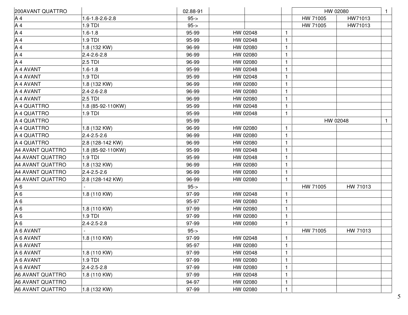| 200AVANT QUATTRO |                   | 02.88-91 |          |              |          | HW 02080 | $\mathbf{1}$ |
|------------------|-------------------|----------|----------|--------------|----------|----------|--------------|
| A <sub>4</sub>   | 1.6-1.8-2.6-2.8   | $95 -$   |          |              | HW 71005 | HW71013  |              |
| A4               | 1.9 TDI           | $95 -$   |          |              | HW 71005 | HW71013  |              |
| A4               | $1.6 - 1.8$       | 95-99    | HW 02048 | $\mathbf{1}$ |          |          |              |
| A4               | 1.9 TDI           | 95-99    | HW 02048 | $\mathbf{1}$ |          |          |              |
| A4               | 1.8 (132 KW)      | 96-99    | HW 02080 | 1            |          |          |              |
| A4               | $2.4 - 2.6 - 2.8$ | 96-99    | HW 02080 | $\mathbf{1}$ |          |          |              |
| A4               | $2.5$ TDI         | 96-99    | HW 02080 | $\mathbf{1}$ |          |          |              |
| A 4 AVANT        | $1.6 - 1.8$       | 95-99    | HW 02048 | $\mathbf{1}$ |          |          |              |
| A 4 AVANT        | 1.9 TDI           | 95-99    | HW 02048 | $\mathbf{1}$ |          |          |              |
| A 4 AVANT        | 1.8 (132 KW)      | 96-99    | HW 02080 | $\mathbf{1}$ |          |          |              |
| A 4 AVANT        | $2.4 - 2.6 - 2.8$ | 96-99    | HW 02080 | $\mathbf{1}$ |          |          |              |
| A 4 AVANT        | $2.5$ TDI         | 96-99    | HW 02080 | $\mathbf{1}$ |          |          |              |
| A 4 QUATTRO      | 1.8 (85-92-110KW) | 95-99    | HW 02048 | $\mathbf 1$  |          |          |              |
| A 4 QUATTRO      | 1.9 TDI           | 95-99    | HW 02048 | $\mathbf{1}$ |          |          |              |
| A 4 QUATTRO      |                   | 95-99    |          |              |          | HW 02048 | $\mathbf{1}$ |
| A 4 QUATTRO      | 1.8 (132 KW)      | 96-99    | HW 02080 | $\mathbf{1}$ |          |          |              |
| A 4 QUATTRO      | $2.4 - 2.5 - 2.6$ | 96-99    | HW 02080 | $\mathbf{1}$ |          |          |              |
| A 4 QUATTRO      | 2.8 (128-142 KW)  | 96-99    | HW 02080 | $\mathbf{1}$ |          |          |              |
| A4 AVANT QUATTRO | 1.8 (85-92-110KW) | 95-99    | HW 02048 | $\mathbf{1}$ |          |          |              |
| A4 AVANT QUATTRO | 1.9 TDI           | 95-99    | HW 02048 | $\mathbf{1}$ |          |          |              |
| A4 AVANT QUATTRO | 1.8 (132 KW)      | 96-99    | HW 02080 | 1            |          |          |              |
| A4 AVANT QUATTRO | $2.4 - 2.5 - 2.6$ | 96-99    | HW 02080 | $\mathbf{1}$ |          |          |              |
| A4 AVANT QUATTRO | 2.8 (128-142 KW)  | 96-99    | HW 02080 | $\mathbf{1}$ |          |          |              |
| $A_6$            |                   | $95 -$   |          |              | HW 71005 | HW 71013 |              |
| A <sub>6</sub>   | 1.8 (110 KW)      | 97-99    | HW 02048 | $\mathbf{1}$ |          |          |              |
| A <sub>6</sub>   |                   | 95-97    | HW 02080 | $\mathbf{1}$ |          |          |              |
| A <sub>6</sub>   | 1.8 (110 KW)      | 97-99    | HW 02080 | $\mathbf{1}$ |          |          |              |
| A 6              | 1.9 TDI           | 97-99    | HW 02080 | $\mathbf{1}$ |          |          |              |
| A 6              | $2.4 - 2.5 - 2.8$ | 97-99    | HW 02080 | $\mathbf{1}$ |          |          |              |
| A 6 AVANT        |                   | $95 -$   |          |              | HW 71005 | HW 71013 |              |
| A 6 AVANT        | 1.8 (110 KW)      | 97-99    | HW 02048 | $\mathbf{1}$ |          |          |              |
| A 6 AVANT        |                   | 95-97    | HW 02080 | $\mathbf{1}$ |          |          |              |
| A 6 AVANT        | 1.8 (110 KW)      | 97-99    | HW 02048 | $\mathbf{1}$ |          |          |              |
| A 6 AVANT        | 1.9 TDI           | 97-99    | HW 02080 |              |          |          |              |
| A 6 AVANT        | $2.4 - 2.5 - 2.8$ | 97-99    | HW 02080 | $\mathbf{1}$ |          |          |              |
| A6 AVANT QUATTRO | 1.8 (110 KW)      | 97-99    | HW 02048 | 1            |          |          |              |
| A6 AVANT QUATTRO |                   | 94-97    | HW 02080 | 1            |          |          |              |
| A6 AVANT QUATTRO | 1.8 (132 KW)      | 97-99    | HW 02080 | $\mathbf{1}$ |          |          |              |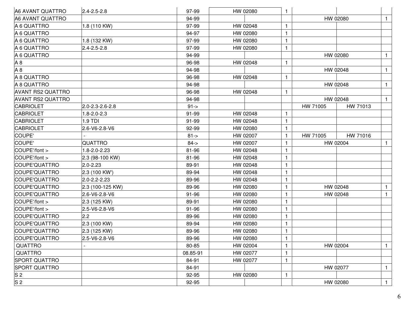| A6 AVANT QUATTRO         | $2.4 - 2.5 - 2.8$ | 97-99    | HW 02080 | 1            |          |          |              |
|--------------------------|-------------------|----------|----------|--------------|----------|----------|--------------|
| A6 AVANT QUATTRO         |                   | 94-99    |          |              | HW 02080 |          | $\mathbf{1}$ |
| A 6 QUATTRO              | 1.8 (110 KW)      | 97-99    | HW 02048 | $\mathbf{1}$ |          |          |              |
| A 6 QUATTRO              |                   | 94-97    | HW 02080 | 1            |          |          |              |
| A 6 QUATTRO              | 1.8 (132 KW)      | 97-99    | HW 02080 | $\mathbf{1}$ |          |          |              |
| A 6 QUATTRO              | $2.4 - 2.5 - 2.8$ | 97-99    | HW 02080 | 1            |          |          |              |
| A 6 QUATTRO              |                   | 94-99    |          |              | HW 02080 |          | $\mathbf{1}$ |
| A <sub>8</sub>           |                   | 96-98    | HW 02048 | $\mathbf{1}$ |          |          |              |
| A8                       |                   | 94-98    |          |              | HW 02048 |          | $\mathbf{1}$ |
| A 8 QUATTRO              |                   | 96-98    | HW 02048 | 1            |          |          |              |
| A 8 QUATTRO              |                   | 94-98    |          |              | HW 02048 |          | $\mathbf{1}$ |
| <b>AVANT RS2 QUATTRO</b> |                   | 96-98    | HW 02048 | 1            |          |          |              |
| <b>AVANT RS2 QUATTRO</b> |                   | 94-98    |          |              | HW 02048 |          | $\mathbf{1}$ |
| <b>CABRIOLET</b>         | 2.0-2.3-2.6-2.8   | $91 - >$ |          |              | HW 71005 | HW 71013 |              |
| <b>CABRIOLET</b>         | $1.8 - 2.0 - 2.3$ | 91-99    | HW 02048 | 1            |          |          |              |
| <b>CABRIOLET</b>         | 1.9 TDI           | 91-99    | HW 02048 | $\mathbf{1}$ |          |          |              |
| <b>CABRIOLET</b>         | 2.6-V6-2.8-V6     | 92-99    | HW 02080 |              |          |          |              |
| COUPE'                   |                   | $81 - >$ | HW 02007 | 1            | HW 71005 | HW 71016 |              |
| COUPE'                   | QUATTRO           | $84 - 5$ | HW 02007 | 1            | HW 02004 |          | $\mathbf{1}$ |
| COUPE'/font >            | 1.8-2.0-2.23      | 81-96    | HW 02048 | 1            |          |          |              |
| COUPE'/font >            | 2.3 (98-100 KW)   | 81-96    | HW 02048 | 1            |          |          |              |
| COUPE'QUATTRO            | $2.0 - 2.23$      | 89-91    | HW 02048 |              |          |          |              |
| COUPE'QUATTRO            | 2.3 (100 KW')     | 89-94    | HW 02048 | 1            |          |          |              |
| COUPE'QUATTRO            | 2.0-2.2-2.23      | 89-96    | HW 02048 | 1            |          |          |              |
| COUPE'QUATTRO            | 2.3 (100-125 KW)  | 89-96    | HW 02080 |              | HW 02048 |          | $\mathbf{1}$ |
| COUPE'QUATTRO            | 2.6-V6-2.8-V6     | 91-96    | HW 02080 | 1            | HW 02048 |          | $\mathbf{1}$ |
| COUPE'/font >            | 2.3 (125 KW)      | 89-91    | HW 02080 | 1            |          |          |              |
| COUPE'/font >            | 2.5-V6-2.8-V6     | 91-96    | HW 02080 | $\mathbf{1}$ |          |          |              |
| COUPE'QUATTRO            | 2.2               | 89-96    | HW 02080 | $\mathbf{1}$ |          |          |              |
| COUPE'QUATTRO            | 2.3 (100 KW)      | 89-94    | HW 02080 |              |          |          |              |
| COUPE'QUATTRO            | 2.3 (125 KW)      | 89-96    | HW 02080 | $\mathbf{1}$ |          |          |              |
| COUPE'QUATTRO            | 2.5-V6-2.8-V6     | 89-96    | HW 02080 | $\mathbf{1}$ |          |          |              |
| <b>QUATTRO</b>           |                   | 80-85    | HW 02004 | 1            | HW 02004 |          | $\mathbf{1}$ |
| QUATTRO                  |                   | 08.85-91 | HW 02077 | 1            |          |          |              |
| SPORT QUATTRO            |                   | 84-91    | HW 02077 | 1            |          |          |              |
| <b>SPORT QUATTRO</b>     |                   | 84-91    |          |              | HW 02077 |          | $\mathbf{1}$ |
| S 2                      |                   | 92-95    | HW 02080 | $\mathbf{1}$ |          |          |              |
| S <sub>2</sub>           |                   | 92-95    |          |              | HW 02080 |          | $\mathbf{1}$ |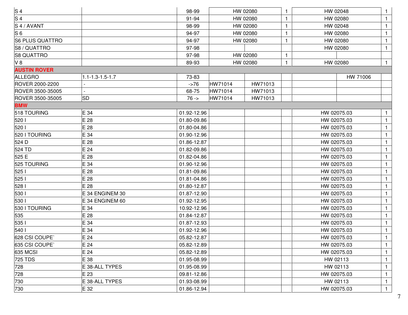| S <sub>4</sub><br>98-99<br>HW 02080<br>HW 02048<br>91-94<br>HW 02080<br>HW 02080<br>S <sub>4</sub> /AVANT<br>98-99<br>HW 02080<br>HW 02048<br>94-97<br>HW 02080<br>HW 02080<br><b>S6 PLUS QUATTRO</b><br>94-97<br>HW 02080<br>HW 02080<br>1<br>S8 / QUATTRO<br>97-98<br>HW 02080<br><b>S8 QUATTRO</b><br>97-98<br>HW 02080<br>1<br>HW 02080<br>89-93<br>HW 02080<br>1<br><b>AUSTIN ROVER</b><br><b>ALLEGRO</b><br>$1.1 - 1.3 - 1.5 - 1.7$<br>73-83<br>HW 71006<br>HW71014<br>HW71013<br>$-276$<br>68-75<br>HW71014<br>HW71013<br>HW71014<br><b>SD</b><br>$76 -$<br>HW71013<br>E 34<br>01.92-12.96<br>HW 02075.03<br>E 28<br>01.80-09.86<br>HW 02075.03<br>E 28<br>01.80-04.86<br>HW 02075.03<br>E 34<br>01.90-12.96<br>HW 02075.03<br>E28<br>01.86-12.87<br>HW 02075.03<br>E 24<br>HW 02075.03<br>01.82-09.86<br>E 28<br>01.82-04.86<br>HW 02075.03<br>E 34<br>01.90-12.96<br>HW 02075.03<br>E 28<br>01.81-09.86<br>HW 02075.03<br>E 28<br>01.81-04.86<br>HW 02075.03<br>E 28<br>01.80-12.87<br>HW 02075.03<br>E 34 ENGINEM 30<br>01.87-12.90<br>HW 02075.03<br>01.92-12.95<br>E 34 ENGINEM 60<br>HW 02075.03<br>530 I TOURING<br>E 34<br>10.92-12.96<br>HW 02075.03<br>01.84-12.87<br>E28<br>HW 02075.03<br>E 34<br>01.87-12.93<br>HW 02075.03<br>540 l<br>E 34<br>01.92-12.96<br>HW 02075.03<br>E24<br>05.82-12.87<br>HW 02075.03<br>E24<br>05.82-12.89<br>HW 02075.03<br>E24<br>05.82-12.89<br>HW 02075.03<br>E 38<br>01.95-08.99<br>HW 02113<br>728<br>E 38-ALL TYPES<br>01.95-08.99<br>HW 02113<br>09.81-12.86<br>728<br>E23<br>HW 02075.03<br>E 38-ALL TYPES<br>01.93-08.99<br>HW 02113 |  |  |  |  |              |
|-----------------------------------------------------------------------------------------------------------------------------------------------------------------------------------------------------------------------------------------------------------------------------------------------------------------------------------------------------------------------------------------------------------------------------------------------------------------------------------------------------------------------------------------------------------------------------------------------------------------------------------------------------------------------------------------------------------------------------------------------------------------------------------------------------------------------------------------------------------------------------------------------------------------------------------------------------------------------------------------------------------------------------------------------------------------------------------------------------------------------------------------------------------------------------------------------------------------------------------------------------------------------------------------------------------------------------------------------------------------------------------------------------------------------------------------------------------------------------------------------------------------------------------------------------------------------------------------------|--|--|--|--|--------------|
| S <sub>4</sub><br>S <sub>6</sub><br>V8<br>ROVER 2000-2200<br>ROVER 3500-35005<br>ROVER 3500-35005<br><b>BMW</b><br>518 TOURING<br>520 1<br>520  <br>520 I TOURING<br>524 D<br>524 TD<br>525 E<br>525 TOURING<br>525  <br>525  <br>528  <br>530  <br>530  <br>535<br>535  <br>628 CSI COUPE`<br>635 CSI COUPE<br>635 MCSI<br><b>725 TDS</b><br>730                                                                                                                                                                                                                                                                                                                                                                                                                                                                                                                                                                                                                                                                                                                                                                                                                                                                                                                                                                                                                                                                                                                                                                                                                                             |  |  |  |  |              |
|                                                                                                                                                                                                                                                                                                                                                                                                                                                                                                                                                                                                                                                                                                                                                                                                                                                                                                                                                                                                                                                                                                                                                                                                                                                                                                                                                                                                                                                                                                                                                                                               |  |  |  |  | $\mathbf{1}$ |
|                                                                                                                                                                                                                                                                                                                                                                                                                                                                                                                                                                                                                                                                                                                                                                                                                                                                                                                                                                                                                                                                                                                                                                                                                                                                                                                                                                                                                                                                                                                                                                                               |  |  |  |  | $\mathbf{1}$ |
|                                                                                                                                                                                                                                                                                                                                                                                                                                                                                                                                                                                                                                                                                                                                                                                                                                                                                                                                                                                                                                                                                                                                                                                                                                                                                                                                                                                                                                                                                                                                                                                               |  |  |  |  | $\mathbf{1}$ |
|                                                                                                                                                                                                                                                                                                                                                                                                                                                                                                                                                                                                                                                                                                                                                                                                                                                                                                                                                                                                                                                                                                                                                                                                                                                                                                                                                                                                                                                                                                                                                                                               |  |  |  |  | $\mathbf{1}$ |
|                                                                                                                                                                                                                                                                                                                                                                                                                                                                                                                                                                                                                                                                                                                                                                                                                                                                                                                                                                                                                                                                                                                                                                                                                                                                                                                                                                                                                                                                                                                                                                                               |  |  |  |  | $\mathbf{1}$ |
|                                                                                                                                                                                                                                                                                                                                                                                                                                                                                                                                                                                                                                                                                                                                                                                                                                                                                                                                                                                                                                                                                                                                                                                                                                                                                                                                                                                                                                                                                                                                                                                               |  |  |  |  |              |
|                                                                                                                                                                                                                                                                                                                                                                                                                                                                                                                                                                                                                                                                                                                                                                                                                                                                                                                                                                                                                                                                                                                                                                                                                                                                                                                                                                                                                                                                                                                                                                                               |  |  |  |  | $\mathbf{1}$ |
|                                                                                                                                                                                                                                                                                                                                                                                                                                                                                                                                                                                                                                                                                                                                                                                                                                                                                                                                                                                                                                                                                                                                                                                                                                                                                                                                                                                                                                                                                                                                                                                               |  |  |  |  |              |
|                                                                                                                                                                                                                                                                                                                                                                                                                                                                                                                                                                                                                                                                                                                                                                                                                                                                                                                                                                                                                                                                                                                                                                                                                                                                                                                                                                                                                                                                                                                                                                                               |  |  |  |  |              |
|                                                                                                                                                                                                                                                                                                                                                                                                                                                                                                                                                                                                                                                                                                                                                                                                                                                                                                                                                                                                                                                                                                                                                                                                                                                                                                                                                                                                                                                                                                                                                                                               |  |  |  |  |              |
|                                                                                                                                                                                                                                                                                                                                                                                                                                                                                                                                                                                                                                                                                                                                                                                                                                                                                                                                                                                                                                                                                                                                                                                                                                                                                                                                                                                                                                                                                                                                                                                               |  |  |  |  |              |
|                                                                                                                                                                                                                                                                                                                                                                                                                                                                                                                                                                                                                                                                                                                                                                                                                                                                                                                                                                                                                                                                                                                                                                                                                                                                                                                                                                                                                                                                                                                                                                                               |  |  |  |  |              |
|                                                                                                                                                                                                                                                                                                                                                                                                                                                                                                                                                                                                                                                                                                                                                                                                                                                                                                                                                                                                                                                                                                                                                                                                                                                                                                                                                                                                                                                                                                                                                                                               |  |  |  |  |              |
|                                                                                                                                                                                                                                                                                                                                                                                                                                                                                                                                                                                                                                                                                                                                                                                                                                                                                                                                                                                                                                                                                                                                                                                                                                                                                                                                                                                                                                                                                                                                                                                               |  |  |  |  | $\mathbf{1}$ |
|                                                                                                                                                                                                                                                                                                                                                                                                                                                                                                                                                                                                                                                                                                                                                                                                                                                                                                                                                                                                                                                                                                                                                                                                                                                                                                                                                                                                                                                                                                                                                                                               |  |  |  |  | $\mathbf{1}$ |
|                                                                                                                                                                                                                                                                                                                                                                                                                                                                                                                                                                                                                                                                                                                                                                                                                                                                                                                                                                                                                                                                                                                                                                                                                                                                                                                                                                                                                                                                                                                                                                                               |  |  |  |  | 1            |
|                                                                                                                                                                                                                                                                                                                                                                                                                                                                                                                                                                                                                                                                                                                                                                                                                                                                                                                                                                                                                                                                                                                                                                                                                                                                                                                                                                                                                                                                                                                                                                                               |  |  |  |  | $\mathbf{1}$ |
|                                                                                                                                                                                                                                                                                                                                                                                                                                                                                                                                                                                                                                                                                                                                                                                                                                                                                                                                                                                                                                                                                                                                                                                                                                                                                                                                                                                                                                                                                                                                                                                               |  |  |  |  | $\mathbf 1$  |
|                                                                                                                                                                                                                                                                                                                                                                                                                                                                                                                                                                                                                                                                                                                                                                                                                                                                                                                                                                                                                                                                                                                                                                                                                                                                                                                                                                                                                                                                                                                                                                                               |  |  |  |  | 1            |
|                                                                                                                                                                                                                                                                                                                                                                                                                                                                                                                                                                                                                                                                                                                                                                                                                                                                                                                                                                                                                                                                                                                                                                                                                                                                                                                                                                                                                                                                                                                                                                                               |  |  |  |  | 1            |
|                                                                                                                                                                                                                                                                                                                                                                                                                                                                                                                                                                                                                                                                                                                                                                                                                                                                                                                                                                                                                                                                                                                                                                                                                                                                                                                                                                                                                                                                                                                                                                                               |  |  |  |  | $\mathbf{1}$ |
|                                                                                                                                                                                                                                                                                                                                                                                                                                                                                                                                                                                                                                                                                                                                                                                                                                                                                                                                                                                                                                                                                                                                                                                                                                                                                                                                                                                                                                                                                                                                                                                               |  |  |  |  | $\mathbf{1}$ |
|                                                                                                                                                                                                                                                                                                                                                                                                                                                                                                                                                                                                                                                                                                                                                                                                                                                                                                                                                                                                                                                                                                                                                                                                                                                                                                                                                                                                                                                                                                                                                                                               |  |  |  |  | 1            |
|                                                                                                                                                                                                                                                                                                                                                                                                                                                                                                                                                                                                                                                                                                                                                                                                                                                                                                                                                                                                                                                                                                                                                                                                                                                                                                                                                                                                                                                                                                                                                                                               |  |  |  |  | 1            |
|                                                                                                                                                                                                                                                                                                                                                                                                                                                                                                                                                                                                                                                                                                                                                                                                                                                                                                                                                                                                                                                                                                                                                                                                                                                                                                                                                                                                                                                                                                                                                                                               |  |  |  |  | $\mathbf{1}$ |
|                                                                                                                                                                                                                                                                                                                                                                                                                                                                                                                                                                                                                                                                                                                                                                                                                                                                                                                                                                                                                                                                                                                                                                                                                                                                                                                                                                                                                                                                                                                                                                                               |  |  |  |  | 1            |
|                                                                                                                                                                                                                                                                                                                                                                                                                                                                                                                                                                                                                                                                                                                                                                                                                                                                                                                                                                                                                                                                                                                                                                                                                                                                                                                                                                                                                                                                                                                                                                                               |  |  |  |  | 1            |
|                                                                                                                                                                                                                                                                                                                                                                                                                                                                                                                                                                                                                                                                                                                                                                                                                                                                                                                                                                                                                                                                                                                                                                                                                                                                                                                                                                                                                                                                                                                                                                                               |  |  |  |  | $\mathbf{1}$ |
|                                                                                                                                                                                                                                                                                                                                                                                                                                                                                                                                                                                                                                                                                                                                                                                                                                                                                                                                                                                                                                                                                                                                                                                                                                                                                                                                                                                                                                                                                                                                                                                               |  |  |  |  | $\mathbf{1}$ |
|                                                                                                                                                                                                                                                                                                                                                                                                                                                                                                                                                                                                                                                                                                                                                                                                                                                                                                                                                                                                                                                                                                                                                                                                                                                                                                                                                                                                                                                                                                                                                                                               |  |  |  |  | $\mathbf{1}$ |
|                                                                                                                                                                                                                                                                                                                                                                                                                                                                                                                                                                                                                                                                                                                                                                                                                                                                                                                                                                                                                                                                                                                                                                                                                                                                                                                                                                                                                                                                                                                                                                                               |  |  |  |  | $\mathbf{I}$ |
|                                                                                                                                                                                                                                                                                                                                                                                                                                                                                                                                                                                                                                                                                                                                                                                                                                                                                                                                                                                                                                                                                                                                                                                                                                                                                                                                                                                                                                                                                                                                                                                               |  |  |  |  | $\mathbf{1}$ |
|                                                                                                                                                                                                                                                                                                                                                                                                                                                                                                                                                                                                                                                                                                                                                                                                                                                                                                                                                                                                                                                                                                                                                                                                                                                                                                                                                                                                                                                                                                                                                                                               |  |  |  |  | $\mathbf{1}$ |
|                                                                                                                                                                                                                                                                                                                                                                                                                                                                                                                                                                                                                                                                                                                                                                                                                                                                                                                                                                                                                                                                                                                                                                                                                                                                                                                                                                                                                                                                                                                                                                                               |  |  |  |  | $\mathbf{1}$ |
|                                                                                                                                                                                                                                                                                                                                                                                                                                                                                                                                                                                                                                                                                                                                                                                                                                                                                                                                                                                                                                                                                                                                                                                                                                                                                                                                                                                                                                                                                                                                                                                               |  |  |  |  | 1            |
|                                                                                                                                                                                                                                                                                                                                                                                                                                                                                                                                                                                                                                                                                                                                                                                                                                                                                                                                                                                                                                                                                                                                                                                                                                                                                                                                                                                                                                                                                                                                                                                               |  |  |  |  | $\mathbf{1}$ |
|                                                                                                                                                                                                                                                                                                                                                                                                                                                                                                                                                                                                                                                                                                                                                                                                                                                                                                                                                                                                                                                                                                                                                                                                                                                                                                                                                                                                                                                                                                                                                                                               |  |  |  |  | $\mathbf{1}$ |
| 730<br>E 32<br>01.86-12.94<br>HW 02075.03                                                                                                                                                                                                                                                                                                                                                                                                                                                                                                                                                                                                                                                                                                                                                                                                                                                                                                                                                                                                                                                                                                                                                                                                                                                                                                                                                                                                                                                                                                                                                     |  |  |  |  | $\mathbf{1}$ |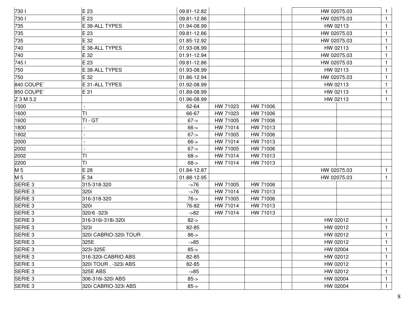| 730                | E 23                   | 09.81-12.82 |          |          | HW 02075.03 |              |
|--------------------|------------------------|-------------|----------|----------|-------------|--------------|
| 730                | E 23                   | 09.81-12.86 |          |          | HW 02075.03 | $\mathbf{1}$ |
| 735                | E 38-ALL TYPES         | 01.94-08.99 |          |          | HW 02113    | $\mathbf{1}$ |
| 735                | E 23                   | 09.81-12.86 |          |          | HW 02075.03 | $\mathbf{1}$ |
| 735                | E 32                   | 01.85-12.92 |          |          | HW 02075.03 | $\mathbf{1}$ |
| 740                | E 38-ALL TYPES         | 01.93-08.99 |          |          | HW 02113    | 1            |
| 740                | E 32                   | 01.91-12.94 |          |          | HW 02075.03 | $\mathbf{1}$ |
| 745 l              | E 23                   | 09.81-12.86 |          |          | HW 02075.03 | $\mathbf{1}$ |
| 750                | E 38-ALL TYPES         | 01.93-08.99 |          |          | HW 02113    | 1            |
| 750                | E 32                   | 01.86-12.94 |          |          | HW 02075.03 | 1            |
| 840 COUPE          | E 31-ALL TYPES         | 01.92-08.99 |          |          | HW 02113    | $\mathbf{1}$ |
| 850 COUPE          | E 31                   | 01.89-08.99 |          |          | HW 02113    | $\mathbf{1}$ |
| Z 3 M 3.2          |                        | 01.96-08.99 |          |          | HW 02113    | $\mathbf{1}$ |
| 1500               |                        | 62-64       | HW 71023 | HW 71006 |             |              |
| 1600               | ΤI                     | 66-67       | HW 71023 | HW 71006 |             |              |
| 1600               | TI-GT                  | $67 - >$    | HW 71005 | HW 71006 |             |              |
| 1800               |                        | $66 - >$    | HW 71014 | HW 71013 |             |              |
| 1802               |                        | $67 - >$    | HW 71005 | HW 71006 |             |              |
| 2000               |                        | $66 - >$    | HW 71014 | HW 71013 |             |              |
| 2002               |                        | $67 - >$    | HW 71005 | HW 71006 |             |              |
| 2002               | ΤI                     | $68 - >$    | HW 71014 | HW 71013 |             |              |
| 2200               | TI                     | $68 - >$    | HW 71014 | HW 71013 |             |              |
| M 5                | E28                    | 01.84-12.87 |          |          | HW 02075.03 | $\mathbf{1}$ |
| M <sub>5</sub>     | E 34                   | 01.88-12.95 |          |          | HW 02075.03 | 1            |
| SERIE <sub>3</sub> | 315-318-320            | $-276$      | HW 71005 | HW 71006 |             |              |
| SERIE <sub>3</sub> | 320i                   | $-276$      | HW 71014 | HW 71013 |             |              |
| SERIE <sub>3</sub> | 316-318-320            | $76 - 5$    | HW 71005 | HW 71006 |             |              |
| SERIE <sub>3</sub> | 320i                   | 76-82       | HW 71014 | HW 71013 |             |              |
| SERIE <sub>3</sub> | 320/6 - 323i           | $-582$      | HW 71014 | HW 71013 |             |              |
| SERIE <sub>3</sub> | 316-316i-318i-320i     | $82 - >$    |          |          | HW 02012    | $\mathbf{1}$ |
| SERIE <sub>3</sub> | 323i                   | 82-85       |          |          | HW 02012    | $\mathbf{1}$ |
| <b>SERIE 3</b>     | 320i CABRIO-320i TOUR. | $86 - >$    |          |          | HW 02012    | $\mathbf{1}$ |
| SERIE <sub>3</sub> | 325E                   | $-85$       |          |          | HW 02012    | $\mathbf{1}$ |
| SERIE <sub>3</sub> | 323i-325E              | $85 - >$    |          |          | HW 02004    | $\mathbf{1}$ |
| SERIE 3            | 316-320i-CABRIO ABS    | 82-85       |          |          | HW 02012    | $\mathbf{1}$ |
| SERIE <sub>3</sub> | 320i TOUR . - 323i ABS | 82-85       |          |          | HW 02012    | 1            |
| SERIE 3            | 325E ABS               | $-85$       |          |          | HW 02012    | 1            |
| SERIE <sub>3</sub> | 306-316i-320i ABS      | $85 - >$    |          |          | HW 02004    | $\mathbf{1}$ |
| SERIE 3            | 320i CABRIO-323i ABS   | $85 - >$    |          |          | HW 02004    | $\mathbf{1}$ |
|                    |                        |             |          |          |             |              |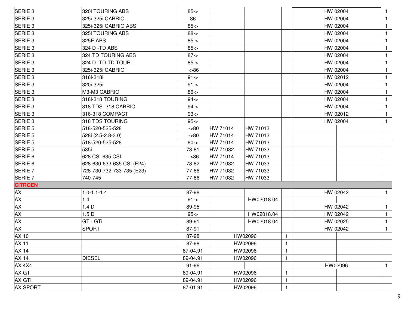| SERIE <sub>3</sub> | 320i TOURING ABS          | $85 - >$ |          |            |              | HW 02004 |              |
|--------------------|---------------------------|----------|----------|------------|--------------|----------|--------------|
| SERIE <sub>3</sub> | 325i-325i CABRIO          | 86       |          |            |              | HW 02004 | $\mathbf{1}$ |
| SERIE <sub>3</sub> | 325i-325i CABRIO ABS      | $85 - >$ |          |            |              | HW 02004 | $\mathbf{1}$ |
| SERIE <sub>3</sub> | 325i TOURING ABS          | $88 - >$ |          |            |              | HW 02004 | $\mathbf{1}$ |
| SERIE <sub>3</sub> | 325E ABS                  | $85 - >$ |          |            |              | HW 02004 | $\mathbf{1}$ |
| SERIE <sub>3</sub> | 324 D - TD ABS            | $85 - >$ |          |            |              | HW 02004 | $\mathbf{1}$ |
| SERIE <sub>3</sub> | 324 TD TOURING ABS        | $87 - >$ |          |            |              | HW 02004 | $\mathbf{1}$ |
| SERIE <sub>3</sub> | 324 D -TD-TD TOUR .       | $85 - >$ |          |            |              | HW 02004 | $\mathbf{1}$ |
| SERIE <sub>3</sub> | 325i-325i CABRIO          | $-86$    |          |            |              | HW 02004 | $\mathbf{1}$ |
| SERIE <sub>3</sub> | 316i-318i                 | $91 - >$ |          |            |              | HW 02012 | $\mathbf{1}$ |
| SERIE <sub>3</sub> | 320i-325i                 | $91 - >$ |          |            |              | HW 02004 | $\mathbf{1}$ |
| SERIE <sub>3</sub> | M3-M3 CABRIO              | $86 - >$ |          |            |              | HW 02004 | $\mathbf{1}$ |
| SERIE <sub>3</sub> | 318i-318 TOURING          | $94 - 5$ |          |            |              | HW 02004 | $\mathbf{1}$ |
| SERIE <sub>3</sub> | 318 TDS -318 CABRIO       | $94 - 5$ |          |            |              | HW 02004 | $\mathbf{1}$ |
| SERIE <sub>3</sub> | 316-318 COMPACT           | $93 - 5$ |          |            |              | HW 02012 | $\mathbf{1}$ |
| SERIE <sub>3</sub> | 318 TDS TOURING           | $95 -$   |          |            |              | HW 02004 | $\mathbf{1}$ |
| SERIE 5            | 518-520-525-528           | $-80$    | HW 71014 | HW 71013   |              |          |              |
| SERIE 5            | 528i (2.5-2.8-3.0)        | $-80$    | HW 71014 | HW 71013   |              |          |              |
| SERIE 5            | 518-520-525-528           | $80 - >$ | HW 71014 | HW 71013   |              |          |              |
| SERIE <sub>5</sub> | 535i                      | 73-81    | HW 71032 | HW 71033   |              |          |              |
| SERIE 6            | 628 CSI-635 CSI           | $-86$    | HW 71014 | HW 71013   |              |          |              |
| SERIE 6            | 628-630-633-635 CSI (E24) | 78-82    | HW 71032 | HW 71033   |              |          |              |
| SERIE <sub>7</sub> | 728-730-732-733-735 (E23) | 77-86    | HW 71032 | HW 71033   |              |          |              |
| SERIE 7            | 740-745                   | 77-86    | HW 71032 | HW 71033   |              |          |              |
| <b>CITROEN</b>     |                           |          |          |            |              |          |              |
| <b>AX</b>          | 1.0-1.1-1.4               | 87-98    |          |            |              | HW 02042 | $\mathbf{1}$ |
| AX                 | 1.4                       | $91 - >$ |          | HW02018.04 |              |          |              |
| AX                 | 1.4 D                     | 89-95    |          |            |              | HW 02042 | $\mathbf{1}$ |
| AX                 | 1.5 D                     | $95 -$   |          | HW02018.04 |              | HW 02042 | $\mathbf{1}$ |
| AX                 | GT - GTi                  | 89-91    |          | HW02018.04 |              | HW 02025 | $\mathbf{1}$ |
| <b>AX</b>          | <b>SPORT</b>              | 87-91    |          |            |              | HW 02042 | $\mathbf{1}$ |
| $AX_10$            |                           | 87-98    |          | HW02096    | $\mathbf{1}$ |          |              |
| $\overline{AX}$ 11 |                           | 87-98    |          | HW02096    | 1            |          |              |
| AX 14              |                           | 87-04.91 |          | HW02096    | 1            |          |              |
| <b>AX 14</b>       | <b>DIESEL</b>             | 89-04.91 |          | HW02096    | 1            |          |              |
| <b>AX 4X4</b>      |                           | 91-96    |          |            |              | HW02096  | $\mathbf{1}$ |
| AX GT              |                           | 89-04.91 |          | HW02096    | 1            |          |              |
| <b>AX GTI</b>      |                           | 89-04.91 |          | HW02096    | $\mathbf{1}$ |          |              |
| <b>AX SPORT</b>    |                           | 87-01.91 |          | HW02096    | 1            |          |              |
|                    |                           |          |          |            |              |          |              |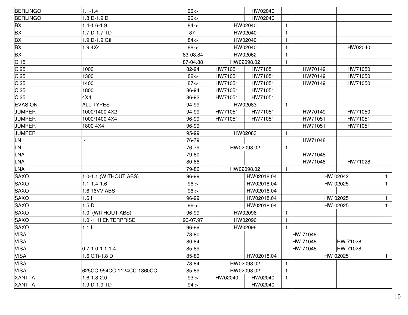| <b>BERLINGO</b> | $1.1 - 1.4$               | $96 - >$ |         | HW02040    |              |          |          |              |
|-----------------|---------------------------|----------|---------|------------|--------------|----------|----------|--------------|
| <b>BERLINGO</b> | 1.8 D-1.9 D               | $96 - >$ |         | HW02040    |              |          |          |              |
| <b>BX</b>       | 1.4-1.6-1.9               | $84 - 5$ |         | HW02040    | $\mathbf{1}$ |          |          |              |
| <b>BX</b>       | 1.7 D-1.7 TD              | $87 -$   |         | HW02040    | 1            |          |          |              |
| <b>BX</b>       | 1.9 D-1.9 Gti             | $84 - 5$ |         | HW02040    | 1            |          |          |              |
| <b>BX</b>       | 1.94X4                    | $88 - >$ |         | HW02040    | 1            |          | HW02040  |              |
| <b>BX</b>       |                           | 83-08.84 |         | HW02062    | $\mathbf{1}$ |          |          |              |
| C <sub>15</sub> |                           | 87-04.88 |         | HW02098.02 | $\mathbf{1}$ |          |          |              |
| C 25            | 1000                      | 82-94    | HW71051 | HW71051    |              | HW70149  | HW71050  |              |
| C <sub>25</sub> | 1300                      | $82 - >$ | HW71051 | HW71051    |              | HW70149  | HW71050  |              |
| C <sub>25</sub> | 1400                      | $87 - >$ | HW71051 | HW71051    |              | HW70149  | HW71050  |              |
| C 25            | 1800                      | 86-94    | HW71051 | HW71051    |              |          |          |              |
| C <sub>25</sub> | 4X4                       | 86-92    | HW71051 | HW71051    |              |          |          |              |
| <b>EVASION</b>  | <b>ALL TYPES</b>          | 94-99    |         | HW02083    | $\mathbf{1}$ |          |          |              |
| <b>JUMPER</b>   | 1000/1400 4X2             | 94-99    | HW71051 | HW71051    |              | HW70149  | HW71050  |              |
| <b>JUMPER</b>   | 1000/1400 4X4             | 96-99    | HW71051 | HW71051    |              | HW71051  | HW71051  |              |
| <b>JUMPER</b>   | 1800 4X4                  | 96-99    |         |            |              | HW71051  | HW71051  |              |
| <b>JUMPER</b>   |                           | 95-99    |         | HW02083    | $\mathbf{1}$ |          |          |              |
| <b>LN</b>       |                           | 76-79    |         |            |              | HW71048  |          |              |
| <b>LN</b>       |                           | 76-79    |         | HW02098.02 | $\mathbf{1}$ |          |          |              |
| LNA             |                           | 79-80    |         |            |              | HW71048  |          |              |
| LNA             |                           | 80-86    |         |            |              | HW71048  | HW71028  |              |
| <b>LNA</b>      |                           | 79-86    |         | HW02098.02 | $\mathbf{1}$ |          |          |              |
| <b>SAXO</b>     | 1.0-1.1 (WITHOUT ABS)     | 96-99    |         | HW02018.04 |              |          | HW 02042 | $\mathbf{1}$ |
| <b>SAXO</b>     | $1.1 - 1.4 - 1.6$         | $96 - >$ |         | HW02018.04 |              |          | HW 02025 | $\mathbf{1}$ |
| <b>SAXO</b>     | 1.6 16VV ABS              | $96 - >$ |         | HW02018.04 |              |          |          |              |
| <b>SAXO</b>     | 1.61                      | 96-99    |         | HW02018.04 |              |          | HW 02025 | $\mathbf{1}$ |
| <b>SAXO</b>     | 1.5D                      | $96 - >$ |         | HW02018.04 |              |          | HW 02025 | $\mathbf{1}$ |
| <b>SAXO</b>     | 1.0I (WITHOUT ABS)        | 96-99    |         | HW02096    | $\mathbf{1}$ |          |          |              |
| <b>SAXO</b>     | 1.0I-1.1I ENTERPRISE      | 96-07.97 |         | HW02096    | $\mathbf{1}$ |          |          |              |
| <b>SAXO</b>     | 1.1 <sub>1</sub>          | 96-99    |         | HW02096    | $\mathbf{1}$ |          |          |              |
| <b>VISA</b>     |                           | 78-80    |         |            |              | HW 71048 |          |              |
| <b>VISA</b>     |                           | 80-84    |         |            |              | HW 71048 | HW 71028 |              |
| <b>VISA</b>     | $0.7 - 1.0 - 1.1 - 1.4$   | 85-89    |         |            |              | HW 71048 | HW 71028 |              |
| <b>VISA</b>     | 1.6 GTi-1.8 D             | 85-89    |         | HW02018.04 |              |          | HW 02025 | $\mathbf{1}$ |
| <b>VISA</b>     |                           | 78-84    |         | HW02098.02 | $\mathbf{1}$ |          |          |              |
| <b>VISA</b>     | 625CC-954CC-1124CC-1360CC | 85-89    |         | HW02098.02 | 1            |          |          |              |
| <b>XANTTA</b>   | 1.6-1.8-2.0               | $93 - 5$ | HW02040 | HW02040    | $\mathbf{1}$ |          |          |              |
| <b>XANTTA</b>   | 1.9 D-1.9 TD              | $94 - 5$ |         | HW02040    |              |          |          |              |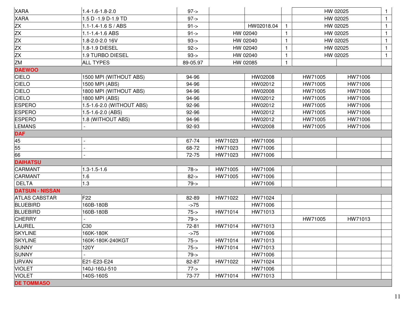| <b>XARA</b>            | 1.4-1.6-1.8-2.0           | $97 - >$ |          |            |              |         | HW 02025 | 1              |
|------------------------|---------------------------|----------|----------|------------|--------------|---------|----------|----------------|
| <b>XARA</b>            | 1.5 D -1.9 D-1.9 TD       | $97 - >$ |          |            |              |         | HW 02025 | $\mathbf{1}$   |
| ZX                     | 1.1-1.4-1.6 S / ABS       | $91 - >$ |          | HW02018.04 | $\mathbf{1}$ |         | HW 02025 | $\mathbf{1}$   |
| ZX                     | 1.1-1.4-1.6 ABS           | $91 - >$ |          | HW 02040   | 1            |         | HW 02025 | $\mathbf{1}$   |
| ZX                     | 1.8-2.0-2.0 16V           | $93 - 5$ | HW 02040 |            | $\mathbf{1}$ |         | HW 02025 | $\overline{1}$ |
| ZX                     | 1.8-1.9 DIESEL            | $92 - >$ |          | HW 02040   | 1            |         | HW 02025 | $\mathbf{1}$   |
| $\overline{ZX}$        | 1.9 TURBO DIESEL          | $93 - 5$ |          | HW 02040   | $\mathbf{1}$ |         | HW 02025 | $\mathbf{1}$   |
| <b>ZM</b>              | <b>ALL TYPES</b>          | 89-05.97 |          | HW 02085   | $\mathbf{1}$ |         |          |                |
| <b>DAEWOO</b>          |                           |          |          |            |              |         |          |                |
| <b>CIELO</b>           | 1500 MPI (WITHOUT ABS)    | 94-96    |          | HW02008    |              | HW71005 | HW71006  |                |
| CIELO                  | 1500 MPI (ABS)            | 94-96    |          | HW02012    |              | HW71005 | HW71006  |                |
| <b>CIELO</b>           | 1800 MPI (WITHOUT ABS)    | 94-96    |          | HW02008    |              | HW71005 | HW71006  |                |
| <b>CIELO</b>           | 1800 MPI (ABS)            | 94-96    |          | HW02012    |              | HW71005 | HW71006  |                |
| <b>ESPERO</b>          | 1.5-1.6-2.0 (WITHOUT ABS) | 92-96    |          | HW02012    |              | HW71005 | HW71006  |                |
| <b>ESPERO</b>          | 1.5-1.6-2.0 (ABS)         | 92-96    |          | HW02012    |              | HW71005 | HW71006  |                |
| <b>ESPERO</b>          | 1.8 (WITHOUT ABS)         | 94-96    |          | HW02012    |              | HW71005 | HW71006  |                |
| <b>LEMANS</b>          |                           | 92-93    |          | HW02008    |              | HW71005 | HW71006  |                |
| <b>DAF</b>             |                           |          |          |            |              |         |          |                |
| 45                     |                           | 67-74    | HW71023  | HW71006    |              |         |          |                |
| 55                     |                           | 68-72    | HW71023  | HW71006    |              |         |          |                |
| 66                     |                           | 72-75    | HW71023  | HW71006    |              |         |          |                |
| <b>DAIHATSU</b>        |                           |          |          |            |              |         |          |                |
| CARMANT                | $1.3 - 1.5 - 1.6$         | $78 - 5$ | HW71005  | HW71006    |              |         |          |                |
| CARMANT                | 1.6                       | $82 - >$ | HW71005  | HW71006    |              |         |          |                |
| <b>DELTA</b>           | 1.3                       | $79 - >$ |          | HW71006    |              |         |          |                |
| <b>DATSUN - NISSAN</b> |                           |          |          |            |              |         |          |                |
| <b>ATLAS CABSTAR</b>   | F <sub>22</sub>           | 82-89    | HW71022  | HW71024    |              |         |          |                |
| <b>BLUEBIRD</b>        | 160B-180B                 | $-275$   |          | HW71006    |              |         |          |                |
| <b>BLUEBIRD</b>        | 160B-180B                 | $75 - 5$ | HW71014  | HW71013    |              |         |          |                |
| <b>CHERRY</b>          |                           | $79 - 5$ |          |            |              | HW71005 | HW71013  |                |
| <b>LAUREL</b>          | C30                       | 72-81    | HW71014  | HW71013    |              |         |          |                |
| <b>SKYLINE</b>         | 160K-180K                 | $-275$   |          | HW71006    |              |         |          |                |
| <b>SKYLINE</b>         | 160K-180K-240KGT          | $75 -$   | HW71014  | HW71013    |              |         |          |                |
| <b>SUNNY</b>           | 120Y                      | $75 -$   | HW71014  | HW71013    |              |         |          |                |
| <b>SUNNY</b>           |                           | $79 - 5$ |          | HW71006    |              |         |          |                |
| <b>URVAN</b>           | E21-E23-E24               | 82-87    | HW71022  | HW71024    |              |         |          |                |
| <b>VIOLET</b>          | 140J-160J-510             | $77 - >$ |          | HW71006    |              |         |          |                |
| <b>VIOLET</b>          | 140S-160S                 | 73-77    | HW71014  | HW71013    |              |         |          |                |
| <b>DE TOMMASO</b>      |                           |          |          |            |              |         |          |                |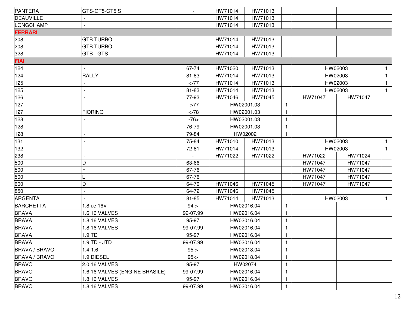| PANTERA              | GTS-GT5-GT5 S                  |             | HW71014 | HW71013    |                |         |         |              |
|----------------------|--------------------------------|-------------|---------|------------|----------------|---------|---------|--------------|
| DEAUVILLE            |                                |             | HW71014 | HW71013    |                |         |         |              |
| LONGCHAMP            |                                |             | HW71014 | HW71013    |                |         |         |              |
| <b>FERRARI</b>       |                                |             |         |            |                |         |         |              |
| 208                  | <b>GTB TURBO</b>               |             | HW71014 | HW71013    |                |         |         |              |
| 208                  | <b>GTB TURBO</b>               |             | HW71014 | HW71013    |                |         |         |              |
| 328                  | <b>GTB - GTS</b>               |             | HW71014 | HW71013    |                |         |         |              |
| <b>FIAI</b>          |                                |             |         |            |                |         |         |              |
| 124                  |                                | 67-74       | HW71020 | HW71013    |                |         | HW02003 | $\mathbf{1}$ |
| 124                  | <b>RALLY</b>                   | 81-83       | HW71014 | HW71013    |                |         | HW02003 | $\mathbf{1}$ |
| 125                  |                                | $-277$      | HW71014 | HW71013    |                |         | HW02003 | $\mathbf{1}$ |
| 125                  |                                | 81-83       | HW71014 | HW71013    |                |         | HW02003 | $\mathbf{1}$ |
| 126                  |                                | 77-93       | HW71046 | HW71045    |                | HW71047 | HW71047 |              |
| 127                  |                                | $-277$      |         | HW02001.03 | $\mathbf{1}$   |         |         |              |
| 127                  | <b>FIORINO</b>                 | $-278$      |         | HW02001.03 | $\mathbf{1}$   |         |         |              |
| 128                  |                                | $-76$       |         | HW02001.03 | $\mathbf{1}$   |         |         |              |
| 128                  |                                | 76-79       |         | HW02001.03 | $\mathbf{1}$   |         |         |              |
| 128                  |                                | 79-84       |         | HW02002    | $\mathbf{1}$   |         |         |              |
| 131                  |                                | 75-84       | HW71010 | HW71013    |                |         | HW02003 | $\mathbf{1}$ |
| 132                  |                                | 72-81       | HW71014 | HW71013    |                |         | HW02003 | $\mathbf{1}$ |
| 238                  |                                |             | HW71022 | HW71022    |                | HW71022 | HW71024 |              |
| 500                  |                                | 63-66       |         |            |                | HW71047 | HW71047 |              |
| 500                  |                                | 67-76       |         |            |                | HW71047 | HW71047 |              |
| 500                  |                                | 67-76       |         |            |                | HW71047 | HW71047 |              |
| 600                  | D                              | 64-70       | HW71046 | HW71045    |                | HW71047 | HW71047 |              |
| 850                  |                                | 64-72       | HW71046 | HW71045    |                |         |         |              |
| ARGENTA              |                                | 81-85       | HW71014 | HW71013    |                |         | HW02003 | $\mathbf{1}$ |
| <b>BARCHETTA</b>     | 1.8 i.e 16V                    | $94 - 5$    |         | HW02016.04 | $\mathbf{1}$   |         |         |              |
| <b>BRAVA</b>         | 1.6 16 VALVES                  | 99-07.99    |         | HW02016.04 | $\mathbf 1$    |         |         |              |
| <b>BRAVA</b>         | 1.8 16 VALVES                  | 95-97       |         | HW02016.04 | $\mathbf{1}$   |         |         |              |
| <b>BRAVA</b>         | 1.8 16 VALVES                  | 99-07.99    |         | HW02016.04 | $\mathbf{1}$   |         |         |              |
| <b>BRAVA</b>         | 1.9 TD                         | 95-97       |         | HW02016.04 | $\overline{1}$ |         |         |              |
| <b>BRAVA</b>         | 1.9 TD - JTD                   | 99-07.99    |         | HW02016.04 | $\mathbf{1}$   |         |         |              |
| <b>BRAVA / BRAVO</b> | $1.4 - 1.6$                    | $95 - > 95$ |         | HW02018.04 | $\mathbf{1}$   |         |         |              |
| BRAVA / BRAVO        | 1.9 DIESEL                     | $95 -$      |         | HW02018.04 | $\mathbf{1}$   |         |         |              |
| <b>BRAVO</b>         | 2.0 16 VALVES                  | 95-97       |         | HW02074    | $\mathbf{1}$   |         |         |              |
| <b>BRAVO</b>         | 1.6 16 VALVES (ENGINE BRASILE) | 99-07.99    |         | HW02016.04 | 1              |         |         |              |
| <b>BRAVO</b>         | 1.8 16 VALVES                  | 95-97       |         | HW02016.04 | $\mathbf{1}$   |         |         |              |
| <b>BRAVO</b>         | 1.8 16 VALVES                  | 99-07.99    |         | HW02016.04 | $\mathbf{1}$   |         |         |              |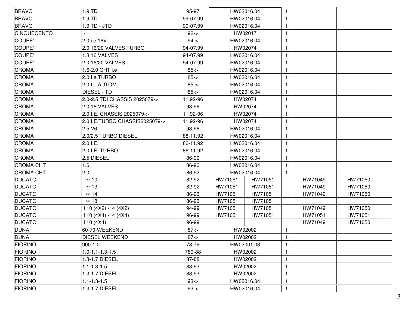| <b>BRAVO</b>       | 1.9 TD                         | 95-97       |            | HW02016.04 |              |         |         |  |
|--------------------|--------------------------------|-------------|------------|------------|--------------|---------|---------|--|
| <b>BRAVO</b>       | 1.9 TD                         | 99-07.99    | HW02016.04 |            | $\mathbf{1}$ |         |         |  |
| <b>BRAVO</b>       | 1.9 TD - JTD                   | 99-07.99    | HW02016.04 |            | $\mathbf{1}$ |         |         |  |
| <b>CINQUECENTO</b> |                                | $92 - > 92$ |            | HW02017    | $\mathbf{1}$ |         |         |  |
| COUPE'             | 2.0 i.e 16V                    | $94 - 5$    |            | HW02016.04 | $\mathbf{1}$ |         |         |  |
| COUPE'             | 2.0 16/20 VALVES TURBO         | 94-07.99    |            | HW02074    | 1            |         |         |  |
| COUPE'             | 1.8 16 VALVES                  | 94-07.99    |            | HW02016.04 | $\mathbf{1}$ |         |         |  |
| COUPE'             | 2.0 16/20 VALVES               | 94-07.99    |            | HW02016.04 | 1            |         |         |  |
| <b>CROMA</b>       | 1.6-2.0 CHT i.e                | $85 - >$    |            | HW02016.04 | $\mathbf{1}$ |         |         |  |
| <b>CROMA</b>       | 2.0 I.e TURBO                  | $85 - >$    |            | HW02016.04 | $\mathbf{1}$ |         |         |  |
| <b>CROMA</b>       | 2.0 I.e AUTOM.                 | $85 - >$    |            | HW02016.04 | $\mathbf{1}$ |         |         |  |
| <b>CROMA</b>       | <b>DIESEL - TD</b>             | $85 - >$    |            | HW02016.04 | $\mathbf{1}$ |         |         |  |
| <b>CROMA</b>       | 2.0-2.5 TDI CHASSIS 2025079->  | 11.92-96    |            | HW02074    | $\mathbf{1}$ |         |         |  |
| <b>CROMA</b>       | 2.0 16 VALVES                  | 93-96       |            | HW02074    | 1            |         |         |  |
| <b>CROMA</b>       | 2.0 I.E. CHASSIS 2025079->     | 11.92-96    |            | HW02074    | $\mathbf{1}$ |         |         |  |
| <b>CROMA</b>       | 2.0 I.E.TURBO CHASSIS2025079-> | 11.92-96    |            | HW02074    | 1            |         |         |  |
| <b>CROMA</b>       | 2.5 V6                         | 93-96       |            | HW02016.04 | $\mathbf{1}$ |         |         |  |
| <b>CROMA</b>       | 2.0/2.5 TURBO DIESEL           | 88-11.92    |            | HW02016.04 | $\mathbf{1}$ |         |         |  |
| <b>CROMA</b>       | 2.0 I.E.                       | 86-11.92    |            | HW02016.04 | $\mathbf{1}$ |         |         |  |
| <b>CROMA</b>       | 2.0 I.E. TURBO                 | 86-11.92    |            | HW02016.04 | $\mathbf{1}$ |         |         |  |
| <b>CROMA</b>       | 2.5 DIESEL                     | 86-90       |            | HW02016.04 | $\mathbf{1}$ |         |         |  |
| <b>CROMA CHT</b>   | 1.6                            | 86-90       |            | HW02016.04 | 1            |         |         |  |
| <b>CROMA CHT</b>   | 2.0                            | 86-92       |            | HW02016.04 | $\mathbf{1}$ |         |         |  |
| <b>DUCATO</b>      | $\infty$ 10                    | 82-92       | HW71051    | HW71051    |              | HW71049 | HW71050 |  |
| <b>DUCATO</b>      | $\infty$ 13                    | 82-92       | HW71051    | HW71051    |              | HW71049 | HW71050 |  |
| <b>DUCATO</b>      | $\infty$ 14                    | 86-93       | HW71051    | HW71051    |              | HW71049 | HW71050 |  |
| <b>DUCATO</b>      | $\infty$ 18                    | 86-93       | HW71051    | HW71051    |              |         |         |  |
| <b>DUCATO</b>      | II 10 (4X2) -14 (4X2)          | 94-99       | HW71051    | HW71051    |              | HW71049 | HW71050 |  |
| <b>DUCATO</b>      | $ $ II 10 (4X4) -14 (4X4)      | 96-99       | HW71051    | HW71051    |              | HW71051 | HW71051 |  |
| <b>DUCATO</b>      | II 10 (4X4)                    | 96-99       |            |            |              | HW71049 | HW71050 |  |
| DUNA.              | 60-70-WEEKEND                  | $87 - >$    |            | HW02002    | $\mathbf{1}$ |         |         |  |
| DUNA               | DIESEL WEEKEND                 | $87 - > 87$ |            | HW02002    | $\mathbf{1}$ |         |         |  |
| <b>FIORINO</b>     | 900-1.0                        | 78-79       |            | HW02001.03 | $\mathbf{1}$ |         |         |  |
| <b>FIORINO</b>     | 1.0-1.1-1.3-1.5                | 789-88      |            | HW02002    | $\mathbf{1}$ |         |         |  |
| <b>FIORINO</b>     | 1.3-1.7 DIESEL                 | 87-88       |            | HW02002    | $\mathbf{1}$ |         |         |  |
| <b>FIORINO</b>     | $1.1 - 1.3 - 1.5$              | 88-93       |            | HW02002    | 1            |         |         |  |
| <b>FIORINO</b>     | 1.3-1.7 DIESEL                 | 88-93       |            | HW02002    | $\mathbf{1}$ |         |         |  |
| <b>FIORINO</b>     | $1.1 - 1.3 - 1.5$              | $93 - 5$    |            | HW02016.04 | $\mathbf{1}$ |         |         |  |
| <b>FIORINO</b>     | 1.3-1.7 DIESEL                 | $93 - 5$    |            | HW02016.04 | $\mathbf{1}$ |         |         |  |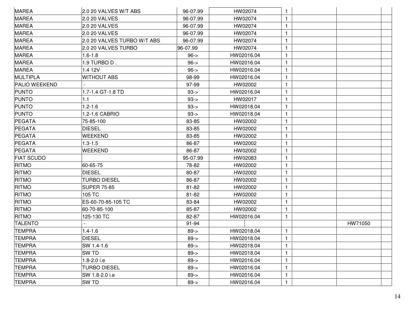| 1              |         |  |
|----------------|---------|--|
| 1              |         |  |
|                |         |  |
|                |         |  |
|                |         |  |
| 1              |         |  |
|                |         |  |
|                |         |  |
| 1              |         |  |
|                |         |  |
|                |         |  |
| 1              |         |  |
|                |         |  |
| 1              |         |  |
|                |         |  |
|                |         |  |
| 1              |         |  |
| 1              |         |  |
|                |         |  |
|                |         |  |
|                |         |  |
| 1              |         |  |
| 1              |         |  |
|                |         |  |
| 1              |         |  |
|                |         |  |
|                | HW71050 |  |
| 1              |         |  |
| $\overline{4}$ |         |  |
|                |         |  |
| 1              |         |  |
|                |         |  |
| 1              |         |  |
|                |         |  |
| 1              |         |  |
|                |         |  |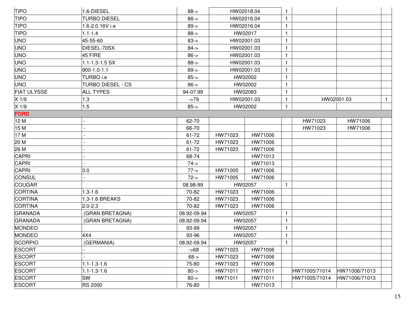| <b>TIPO</b>        | 1.6-DIESEL               | $88 - >$    |            | HW02018.04 | $\mathbf{1}$ |               |               |              |
|--------------------|--------------------------|-------------|------------|------------|--------------|---------------|---------------|--------------|
| <b>TIPO</b>        | <b>TURBO DIESEL</b>      | $88 - >$    |            | HW02016.04 | $\mathbf{1}$ |               |               |              |
| <b>TIPO</b>        | 1.6-2.0 16V i.e          | $89 - >$    |            | HW02016.04 | 1            |               |               |              |
| <b>TIPO</b>        | $1.1 - 1.4$              | $88 - >$    |            | HW02017    | $\mathbf{1}$ |               |               |              |
| <b>UNO</b>         | 45-55-60                 | $83 - 5$    |            | HW02001.03 | $\mathbf{1}$ |               |               |              |
| <b>UNO</b>         | DIESEL-70SX              | $84 - 5$    |            | HW02001.03 | $\mathbf{1}$ |               |               |              |
| <b>UNO</b>         | 45 FIRE                  | $86 - >$    |            | HW02001.03 | $\mathbf{1}$ |               |               |              |
| <b>UNO</b>         | 1.1-1.3-1.5 SX           | $88 - >$    |            | HW02001.03 | $\mathbf{1}$ |               |               |              |
| <b>UNO</b>         | 900-1.0-1.1              | $89 - >$    |            | HW02001.03 | $\mathbf{1}$ |               |               |              |
| <b>UNO</b>         | TURBO i.e                | $85 - >$    |            | HW02002    | $\mathbf{1}$ |               |               |              |
| <b>UNO</b>         | <b>TURBO DIESEL - CS</b> | $86 - >$    |            | HW02002    | 1            |               |               |              |
| <b>FIAT ULYSSE</b> | <b>ALL TYPES</b>         | 94-07.99    |            | HW02083    | $\mathbf{1}$ |               |               |              |
| $X$ 1/9            | 1.3                      | $-279$      | HW02001.03 |            | $\mathbf{1}$ |               | HW02001.03    | $\mathbf{1}$ |
| X 1/9              | 1.5                      | $85 - >$    | HW02002    |            | $\mathbf{1}$ |               |               |              |
| <b>FORD</b>        |                          |             |            |            |              |               |               |              |
| 12 M               |                          | 62-70       |            |            |              | HW71023       | HW71006       |              |
| 15 M               |                          | 66-70       |            |            |              | HW71023       | HW71006       |              |
| 17 M               |                          | 61-72       | HW71023    | HW71006    |              |               |               |              |
| 20 M               |                          | 61-72       | HW71023    | HW71006    |              |               |               |              |
| 26 M               |                          | 61-72       | HW71023    | HW71006    |              |               |               |              |
| <b>CAPRI</b>       |                          | 68-74       |            | HW71013    |              |               |               |              |
| <b>CAPRI</b>       |                          | $74 - 5$    |            | HW71013    |              |               |               |              |
| CAPRI              | 3.0                      | $77 - >$    | HW71005    | HW71006    |              |               |               |              |
| <b>CONSUL</b>      |                          | $72 - 5$    | HW71005    | HW71006    |              |               |               |              |
| <b>COUGAR</b>      |                          | 08.98-99    |            | HW02057    | $\mathbf{1}$ |               |               |              |
| CORTINA            | $1.3 - 1.6$              | 70-82       | HW71023    | HW71006    |              |               |               |              |
| CORTINA            | 1.3-1.6 BREAKS           | 70-82       | HW71023    | HW71006    |              |               |               |              |
| CORTINA            | $2.0 - 2.3$              | 70-82       | HW71023    | HW71006    |              |               |               |              |
| GRANADA            | (GRAN BRETAGNA)          | 08.92-09.94 | HW02057    |            | $\mathbf{1}$ |               |               |              |
| GRANADA            | (GRAN BRETAGNA)          | 08.92-09.94 |            | HW02057    | $\mathbf{1}$ |               |               |              |
| MONDEO             |                          | 93-99       |            | HW02057    | $\mathbf{1}$ |               |               |              |
| MONDEO             | 4X4                      | 93-96       |            | HW02057    | $\mathbf{1}$ |               |               |              |
| <b>SCORPIO</b>     | (GERMANIA)               | 08.92-09.94 | HW02057    |            | $\mathbf{1}$ |               |               |              |
| <b>ESCORT</b>      |                          | $-568$      | HW71023    | HW71006    |              |               |               |              |
| <b>ESCORT</b>      |                          | $68 - >$    | HW71023    | HW71006    |              |               |               |              |
| <b>ESCORT</b>      | $1.1 - 1.3 - 1.6$        | 75-80       | HW71023    | HW71006    |              |               |               |              |
| <b>ESCORT</b>      | $1.1 - 1.3 - 1.6$        | $80 - >$    | HW71011    | HW71011    |              | HW71005/71014 | HW71006/71013 |              |
| <b>ESCORT</b>      | <b>SW</b>                | $80 - > 0$  | HW71011    | HW71011    |              | HW71005/71014 | HW71006/71013 |              |
| <b>ESCORT</b>      | <b>RS 2000</b>           | 76-80       |            | HW71013    |              |               |               |              |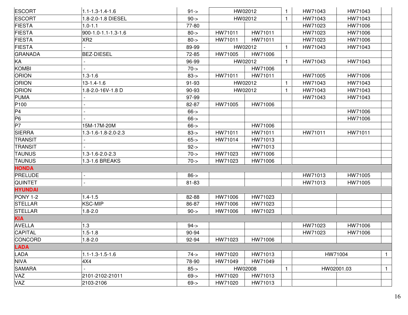| <b>ESCORT</b>  | $1.1 - 1.3 - 1.4 - 1.6$ | $91 - > 91$ |         | HW02012 | $\mathbf{1}$ | HW71043 | HW71043    |              |
|----------------|-------------------------|-------------|---------|---------|--------------|---------|------------|--------------|
| <b>ESCORT</b>  | 1.8-2.0-1.8 DIESEL      | $90 - >$    |         | HW02012 | $\mathbf{1}$ | HW71043 | HW71043    |              |
| <b>FIESTA</b>  | $1.0 - 1.1$             | 77-80       |         |         |              | HW71023 | HW71006    |              |
| <b>FIESTA</b>  | 900-1.0-1.1-1.3-1.6     | $80 - >$    | HW71011 | HW71011 |              | HW71023 | HW71006    |              |
| <b>FIESTA</b>  | XR <sub>2</sub>         | $80 - >$    | HW71011 | HW71011 |              | HW71023 | HW71006    |              |
| <b>FIESTA</b>  |                         | 89-99       |         | HW02012 | $\mathbf{1}$ | HW71043 | HW71043    |              |
| GRANADA        | <b>BEZ-DIESEL</b>       | 72-85       | HW71005 | HW71006 |              |         |            |              |
| KA             |                         | 96-99       |         | HW02012 | $\mathbf{1}$ | HW71043 | HW71043    |              |
| <b>KOMBI</b>   |                         | $70 - >$    |         | HW71006 |              |         |            |              |
| <b>ORION</b>   | $1.3 - 1.6$             | $83 - 5$    | HW71011 | HW71011 |              | HW71005 | HW71006    |              |
| <b>ORION</b>   | 13-1.4-1.6              | 91-93       |         | HW02012 | $\mathbf{1}$ | HW71043 | HW71043    |              |
| <b>ORION</b>   | 1.8-2.0-16V-1.8 D       | 90-93       |         | HW02012 | $\mathbf{1}$ | HW71043 | HW71043    |              |
| PUMA           |                         | 97-99       |         |         |              | HW71043 | HW71043    |              |
| P100           |                         | 82-87       | HW71005 | HW71006 |              |         |            |              |
| P <sub>4</sub> |                         | $66 - >$    |         |         |              |         | HW71006    |              |
| P <sub>6</sub> |                         | $66 - >$    |         |         |              |         | HW71006    |              |
| P7             | 15M-17M-20M             | $66 - >$    |         | HW71006 |              |         |            |              |
| <b>SIERRA</b>  | 1.3-1.6-1.8-2.0-2.3     | $83 - 5$    | HW71011 | HW71011 |              | HW71011 | HW71011    |              |
| <b>TRANSIT</b> |                         | $65 -$      | HW71014 | HW71013 |              |         |            |              |
| <b>TRANSIT</b> |                         | $92 - >$    |         | HW71013 |              |         |            |              |
| <b>TAUNUS</b>  | 1.3-1.6-2.0-2.3         | $70 - >$    | HW71023 | HW71006 |              |         |            |              |
| <b>TAUNUS</b>  | 1.3-1.6 BREAKS          | $70 - 5$    | HW71023 | HW71006 |              |         |            |              |
| <b>HONDA</b>   |                         |             |         |         |              |         |            |              |
| PRELUDE        |                         | $86 - >$    |         |         |              | HW71013 | HW71005    |              |
| <b>QUINTET</b> |                         | 81-83       |         |         |              | HW71013 | HW71005    |              |
| <b>HYUNDAI</b> |                         |             |         |         |              |         |            |              |
| PONY 1-2       | $1.4 - 1.5$             | 82-88       | HW71006 | HW71023 |              |         |            |              |
| <b>STELLAR</b> | KSC-MIP                 | 86-87       | HW71006 | HW71023 |              |         |            |              |
| <b>STELLAR</b> | $1.8 - 2.0$             | $90 - >$    | HW71006 | HW71023 |              |         |            |              |
| <b>KIA</b>     |                         |             |         |         |              |         |            |              |
| <b>AVELLA</b>  | 1.3                     | $94 - 5$    |         |         |              | HW71023 | HW71006    |              |
| <b>CAPITAL</b> | $1.5 - 1.8$             | 90-94       |         |         |              | HW71023 | HW71006    |              |
| CONCORD        | $1.8 - 2.0$             | 92-94       | HW71023 | HW71006 |              |         |            |              |
| <b>LADA</b>    |                         |             |         |         |              |         |            |              |
| <b>LADA</b>    | $1.1 - 1.3 - 1.5 - 1.6$ | $74 - 5$    | HW71020 | HW71013 |              |         | HW71004    | $\mathbf{1}$ |
| <b>NIVA</b>    | 4X4                     | 78-90       | HW71049 | HW71049 |              |         |            |              |
| <b>SAMARA</b>  |                         | $85 - >$    |         | HW02008 | $\mathbf{1}$ |         | HW02001.03 | $\mathbf{1}$ |
| <b>VAZ</b>     | 2101-2102-21011         | $69 - >$    | HW71020 | HW71013 |              |         |            |              |
| VAZ            | 2103-2106               | $69 - >$    | HW71020 | HW71013 |              |         |            |              |
|                |                         |             |         |         |              |         |            |              |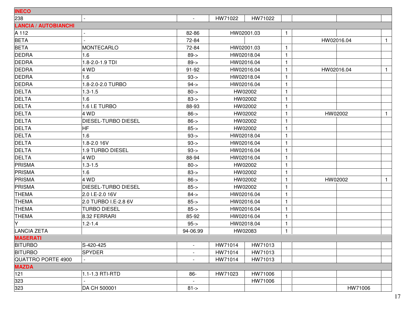| <b>INECO</b>                |                            |                          |         |            |              |            |              |
|-----------------------------|----------------------------|--------------------------|---------|------------|--------------|------------|--------------|
| 238                         |                            | $\overline{\phantom{a}}$ | HW71022 | HW71022    |              |            |              |
| <b>LANCIA / AUTOBIANCHI</b> |                            |                          |         |            |              |            |              |
| A 112                       |                            | 82-86                    |         | HW02001.03 | $\mathbf{1}$ |            |              |
| <b>BETA</b>                 |                            | 72-84                    |         |            |              | HW02016.04 | $\mathbf{1}$ |
| <b>BETA</b>                 | MONTECARLO                 | 72-84                    |         | HW02001.03 |              |            |              |
| <b>DEDRA</b>                | 1.6                        | $89 - >$                 |         | HW02018.04 |              |            |              |
| <b>DEDRA</b>                | 1.8-2.0-1.9 TDI            | $89 - >$                 |         | HW02016.04 |              |            |              |
| <b>DEDRA</b>                | 4 WD                       | 91-92                    |         | HW02016.04 | -1           | HW02016.04 | $\mathbf{1}$ |
| <b>DEDRA</b>                | 1.6                        | $93 - 5$                 |         | HW02018.04 | -1           |            |              |
| <b>DEDRA</b>                | 1.8-2.0-2.0 TURBO          | $94 - 5$                 |         | HW02016.04 |              |            |              |
| <b>DELTA</b>                | $1.3 - 1.5$                | $80 - >$                 |         | HW02002    | -1           |            |              |
| <b>DELTA</b>                | 1.6                        | $83 - 5$                 |         | HW02002    | $\mathbf{1}$ |            |              |
| <b>DELTA</b>                | 1.6 I.E TURBO              | 88-93                    |         | HW02002    | -1           |            |              |
| <b>DELTA</b>                | 4 WD                       | $86 - >$                 |         | HW02002    |              | HW02002    | $\mathbf{1}$ |
| <b>DELTA</b>                | DIESEL-TURBO DIESEL        | $86 - >$                 |         | HW02002    |              |            |              |
| <b>DELTA</b>                | HF                         | $85 - >$                 |         | HW02002    | -1           |            |              |
| <b>DELTA</b>                | 1.6                        | $93 - 5$                 |         | HW02018.04 | -1           |            |              |
| <b>DELTA</b>                | 1.8-2.0 16V                | $93 - 5$                 |         | HW02016.04 | 1            |            |              |
| <b>DELTA</b>                | 1.9 TURBO DIESEL           | $93 - 5$                 |         | HW02016.04 | $\mathbf{1}$ |            |              |
| <b>DELTA</b>                | 4 WD                       | 88-94                    |         | HW02016.04 | 1            |            |              |
| PRISMA                      | $1.3 - 1.5$                | $80 - >$                 |         | HW02002    |              |            |              |
| <b>PRISMA</b>               | 1.6                        | $83 - 5$                 |         | HW02002    | 1            |            |              |
| PRISMA                      | 4 WD                       | $86 - >$                 |         | HW02002    | 1            | HW02002    | $\mathbf{1}$ |
| PRISMA                      | <b>DIESEL-TURBO DIESEL</b> | $85 - >$                 |         | HW02002    | -1           |            |              |
| <b>THEMA</b>                | 2.0 I.E-2.0 16V            | $84 - 5$                 |         | HW02016.04 | -1           |            |              |
| <b>THEMA</b>                | 2.0 TURBO I.E-2.8 6V       | $85 - >$                 |         | HW02016.04 | 1            |            |              |
| <b>THEMA</b>                | <b>TURBO DIESEL</b>        | $85 - >$                 |         | HW02016.04 | $\mathbf{1}$ |            |              |
| <b>THEMA</b>                | 8.32 FERRARI               | 85-92                    |         | HW02016.04 | $\mathbf{1}$ |            |              |
| Y                           | $1.2 - 1.4$                | $95 -$                   |         | HW02018.04 | -1           |            |              |
| LANCIA ZETA                 |                            | 94-06.99                 |         | HW02083    |              |            |              |
| <b>MASERATI</b>             |                            |                          |         |            |              |            |              |
| <b>BITURBO</b>              | S-420-425                  | $\overline{\phantom{a}}$ | HW71014 | HW71013    |              |            |              |
| <b>BITURBO</b>              | <b>SPYDER</b>              | $\overline{\phantom{a}}$ | HW71014 | HW71013    |              |            |              |
| QUATTRO PORTE 4900          |                            |                          | HW71014 | HW71013    |              |            |              |
| <b>MAZDA</b>                |                            |                          |         |            |              |            |              |
| 121                         | 1.1-1.3 RTI-RTD            | 86-                      | HW71023 | HW71006    |              |            |              |
| 323                         |                            |                          |         | HW71006    |              |            |              |
| 323                         | DA CH 500001               | $81 - >$                 |         |            |              | HW71006    |              |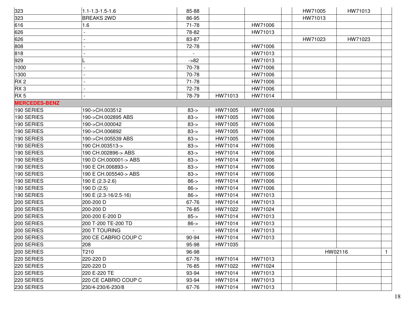| 323                  | $1.1 - 1.3 - 1.5 - 1.6$ | 85-88    |         |         | HW71005 | HW71013 |              |
|----------------------|-------------------------|----------|---------|---------|---------|---------|--------------|
| 323                  | <b>BREAKS 2WD</b>       | 86-95    |         |         | HW71013 |         |              |
| 616                  | 1.6                     | 71-78    |         | HW71006 |         |         |              |
| 626                  |                         | 78-82    |         | HW71013 |         |         |              |
| 626                  |                         | 83-87    |         |         | HW71023 | HW71023 |              |
| 808                  |                         | 72-78    |         | HW71006 |         |         |              |
| 818                  |                         |          |         | HW71013 |         |         |              |
| 929                  |                         | $-582$   |         | HW71013 |         |         |              |
| 1000                 |                         | 70-78    |         | HW71006 |         |         |              |
| 1300                 |                         | 70-78    |         | HW71006 |         |         |              |
| RX <sub>2</sub>      |                         | 71-78    |         | HW71006 |         |         |              |
| RX <sub>3</sub>      |                         | 72-78    |         | HW71006 |         |         |              |
| RX <sub>5</sub>      |                         | 78-79    | HW71013 | HW71014 |         |         |              |
| <b>MERCEDES-BENZ</b> |                         |          |         |         |         |         |              |
| 190 SERIES           | 190->CH.003512          | $83 - >$ | HW71005 | HW71006 |         |         |              |
| 190 SERIES           | 190->CH.002895 ABS      | $83 - 5$ | HW71005 | HW71006 |         |         |              |
| 190 SERIES           | 190->CH.000042          | $83 - 5$ | HW71005 | HW71006 |         |         |              |
| 190 SERIES           | 190->CH.006892          | $83 - 5$ | HW71005 | HW71006 |         |         |              |
| 190 SERIES           | 190->CH.005539 ABS      | $83 - 5$ | HW71005 | HW71006 |         |         |              |
| 190 SERIES           | 190 CH.003513->         | $83 - 5$ | HW71014 | HW71006 |         |         |              |
| 190 SERIES           | 190 CH.002896-> ABS     | $83 - 5$ | HW71014 | HW71006 |         |         |              |
| 190 SERIES           | 190 D CH.000001-> ABS   | $83 - 5$ | HW71014 | HW71006 |         |         |              |
| 190 SERIES           | 190 E CH.006893->       | $83 - 5$ | HW71014 | HW71006 |         |         |              |
| 190 SERIES           | 190 E CH.005540-> ABS   | $83 - 5$ | HW71014 | HW71006 |         |         |              |
| 190 SERIES           | 190 E (2.3-2.6)         | $86 - >$ | HW71014 | HW71006 |         |         |              |
| 190 SERIES           | 190 D (2.5)             | $86 - >$ | HW71014 | HW71006 |         |         |              |
| 190 SERIES           | 190 E (2.3-16/2.5-16)   | $86 - >$ | HW71014 | HW71013 |         |         |              |
| 200 SERIES           | 200-200 D               | 67-76    | HW71014 | HW71013 |         |         |              |
| 200 SERIES           | 200-200 D               | 76-85    | HW71022 | HW71024 |         |         |              |
| 200 SERIES           | 200-200 E-200 D         | $85 - >$ | HW71014 | HW71013 |         |         |              |
| 200 SERIES           | 200 T-200 TE-200 TD     | $86 - >$ | HW71014 | HW71013 |         |         |              |
| 200 SERIES           | 200 T TOURING           |          | HW71014 | HW71013 |         |         |              |
| 200 SERIES           | 200 CE CABRIO COUP C    | 90-94    | HW71014 | HW71013 |         |         |              |
| 200 SERIES           | 208                     | 95-98    | HW71035 |         |         |         |              |
| 200 SERIES           | T210                    | 96-98    |         |         |         | HW02116 | $\mathbf{1}$ |
| 220 SERIES           | 220-220 D               | 67-76    | HW71014 | HW71013 |         |         |              |
| 220 SERIES           | 220-220 D               | 76-85    | HW71022 | HW71024 |         |         |              |
| 220 SERIES           | 220 E-220 TE            | 93-94    | HW71014 | HW71013 |         |         |              |
| 220 SERIES           | 220 CE CABRIO COUP C    | 93-94    | HW71014 | HW71013 |         |         |              |
| 230 SERIES           | 230/4-230/6-230/8       | 67-76    | HW71014 | HW71013 |         |         |              |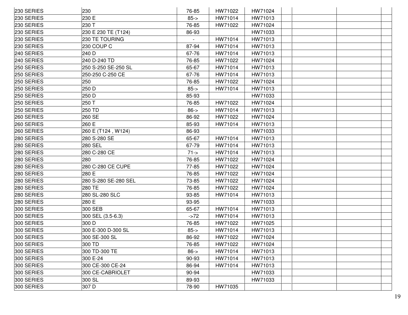| 230 SERIES | 230                  | 76-85    | HW71022 | HW71024 |  |
|------------|----------------------|----------|---------|---------|--|
| 230 SERIES | 230 E                | $85 - >$ | HW71014 | HW71013 |  |
| 230 SERIES | 230 T                | 76-85    | HW71022 | HW71024 |  |
| 230 SERIES | 230 E 230 TE (T124)  | 86-93    |         | HW71033 |  |
| 230 SERIES | 230 TE TOURING       |          | HW71014 | HW71013 |  |
| 230 SERIES | 230 COUP C           | 87-94    | HW71014 | HW71013 |  |
| 240 SERIES | 240 D                | 67-76    | HW71014 | HW71013 |  |
| 240 SERIES | 240 D-240 TD         | 76-85    | HW71022 | HW71024 |  |
| 250 SERIES | 250 S-250 SE-250 SL  | 65-67    | HW71014 | HW71013 |  |
| 250 SERIES | 250-250 C-250 CE     | 67-76    | HW71014 | HW71013 |  |
| 250 SERIES | 250                  | 76-85    | HW71022 | HW71024 |  |
| 250 SERIES | 250 D                | $85 - >$ | HW71014 | HW71013 |  |
| 250 SERIES | 250 D                | 85-93    |         | HW71033 |  |
| 250 SERIES | 250 T                | 76-85    | HW71022 | HW71024 |  |
| 250 SERIES | 250 TD               | $86 - >$ | HW71014 | HW71013 |  |
| 260 SERIES | 260 SE               | 86-92    | HW71022 | HW71024 |  |
| 260 SERIES | 260 E                | 85-93    | HW71014 | HW71013 |  |
| 260 SERIES | 260 E (T124, W124)   | 86-93    |         | HW71033 |  |
| 280 SERIES | 280 S-280 SE         | 65-67    | HW71014 | HW71013 |  |
| 280 SERIES | <b>280 SEL</b>       | 67-79    | HW71014 | HW71013 |  |
| 280 SERIES | 280 C-280 CE         | $71 - >$ | HW71014 | HW71013 |  |
| 280 SERIES | 280                  | 76-85    | HW71022 | HW71024 |  |
| 280 SERIES | 280 C-280 CE CUPE    | 77-85    | HW71022 | HW71024 |  |
| 280 SERIES | 280 E                | 76-85    | HW71022 | HW71024 |  |
| 280 SERIES | 280 S-280 SE-280 SEL | 73-85    | HW71022 | HW71024 |  |
| 280 SERIES | 280 TE               | 76-85    | HW71022 | HW71024 |  |
| 280 SERIES | 280 SL-280 SLC       | 93-85    | HW71014 | HW71013 |  |
| 280 SERIES | 280 E                | 93-95    |         | HW71033 |  |
| 300 SERIES | 300 SEB              | 65-67    | HW71014 | HW71013 |  |
| 300 SERIES | 300 SEL (3.5-6.3)    | $-272$   | HW71014 | HW71013 |  |
| 300 SERIES | 300 D                | 76-85    | HW71022 | HW71025 |  |
| 300 SERIES | 300 E-300 D-300 SL   | $85 - >$ | HW71014 | HW71013 |  |
| 300 SERIES | 300 SE-300 SL        | 86-92    | HW71022 | HW71024 |  |
| 300 SERIES | 300 TD               | 76-85    | HW71022 | HW71024 |  |
| 300 SERIES | 300 TD-300 TE        | $86 - >$ | HW71014 | HW71013 |  |
| 300 SERIES | 300 E-24             | 90-93    | HW71014 | HW71013 |  |
| 300 SERIES | 300 CE-300 CE-24     | 86-94    | HW71014 | HW71013 |  |
| 300 SERIES | 300 CE-CABRIOLET     | 90-94    |         | HW71033 |  |
| 300 SERIES | 300 SL               | 89-93    |         | HW71033 |  |
| 300 SERIES | 307 D                | 78-90    | HW71035 |         |  |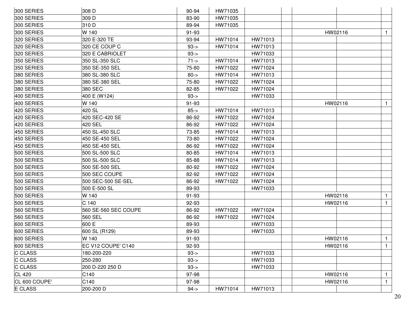| 300 SERIES<br>309 D<br>83-90<br>HW71035<br>300 SERIES<br>310 D<br>89-94<br>HW71035<br>300 SERIES<br>W 140<br>91-93<br>HW02116<br>$\mathbf{1}$<br>320 SERIES<br>320 E-320 TE<br>93-94<br>HW71014<br>HW71013<br>320 SERIES<br>320 CE COUP C<br>$93 - 5$<br>HW71014<br>HW71013<br>320 SERIES<br>320 E CABRIOLET<br>HW71033<br>$93 - 5$<br>350 SERIES<br>350 SL-350 SLC<br>$71 - >$<br>HW71014<br>HW71013<br>350 SERIES<br>350 SE-350 SEL<br>75-80<br>HW71022<br>HW71024<br>HW71013<br>380 SERIES<br>380 SL-380 SLC<br>$80 - >$<br>HW71014<br>380 SERIES<br>380 SE-380 SEL<br>HW71022<br>HW71024<br>75-80<br>380 SERIES<br>380 SEC<br>82-85<br>HW71022<br>HW71024<br>400 SERIES<br>400 E (W124)<br>$93 - 5$<br>HW71033<br>400 SERIES<br>W 140<br>91-93<br>HW02116<br>$\mathbf{1}$<br>420 SERIES<br>420 SL<br>$85 - >$<br>HW71014<br>HW71013<br>420 SERIES<br>420 SEC-420 SE<br>86-92<br>HW71022<br>HW71024<br>420 SERIES<br>86-92<br>HW71022<br>420 SEL<br>HW71024<br>450 SERIES<br>HW71014<br>HW71013<br>450 SL-450 SLC<br>73-85<br>450 SERIES<br>450 SE-450 SEL<br>73-80<br>HW71022<br>HW71024<br>450 SE-450 SEL<br>86-92<br>HW71022<br>HW71024<br>450 SERIES<br>500 SERIES<br>500 SL-500 SLC<br>80-85<br>HW71014<br>HW71013<br>500 SERIES<br>500 SL-500 SLC<br>85-88<br>HW71014<br>HW71013<br>500 SERIES<br>500 SE-500 SEL<br>80-92<br>HW71022<br>HW71024<br>500 SERIES<br>500 SEC COUPE<br>HW71022<br>82-92<br>HW71024<br>500 SERIES<br>500 SEC-500 SE-SEL<br>86-92<br>HW71022<br>HW71024<br>500 SERIES<br>500 E-500 SL<br>89-93<br>HW71033<br>500 SERIES<br>W 140<br>91-93<br>HW02116<br>500 SERIES<br>C <sub>140</sub><br>92-93<br>HW02116<br>$\mathbf{1}$<br>560 SERIES<br>560 SE-560 SEC COUPE<br>86-92<br>HW71022<br>HW71024<br>560 SERIES<br>560 SEL<br>86-92<br>HW71024<br>HW71022<br>600 SERIES<br>600 E<br>89-93<br>HW71033<br>600 SL (R129)<br>600 SERIES<br>89-93<br>HW71033<br>600 SERIES<br>W 140<br>HW02116<br>91-93<br>П.<br>600 SERIES<br>EC V12 COUPE' C140<br>92-93<br>HW02116<br>$\mathbf{1}$<br>HW71033<br>180-200-220<br>$93 - 5$<br><b>C CLASS</b><br>250-280<br>$93 - 5$<br>HW71033<br><b>C CLASS</b><br>200 D-220 250 D<br>$93 - 5$<br>HW71033<br><b>CL 420</b><br>C140<br>97-98<br>HW02116<br>$\mathbf{1}$<br>CL 600 COUPE'<br>C140<br>97-98<br>HW02116<br>$\mathbf{1}$<br><b>E CLASS</b><br>200-200 D<br>$94 - 5$<br>HW71014<br>HW71013 | 300 SERIES | 308 D | 90-94 | HW71035 |  |  |
|-------------------------------------------------------------------------------------------------------------------------------------------------------------------------------------------------------------------------------------------------------------------------------------------------------------------------------------------------------------------------------------------------------------------------------------------------------------------------------------------------------------------------------------------------------------------------------------------------------------------------------------------------------------------------------------------------------------------------------------------------------------------------------------------------------------------------------------------------------------------------------------------------------------------------------------------------------------------------------------------------------------------------------------------------------------------------------------------------------------------------------------------------------------------------------------------------------------------------------------------------------------------------------------------------------------------------------------------------------------------------------------------------------------------------------------------------------------------------------------------------------------------------------------------------------------------------------------------------------------------------------------------------------------------------------------------------------------------------------------------------------------------------------------------------------------------------------------------------------------------------------------------------------------------------------------------------------------------------------------------------------------------------------------------------------------------------------------------------------------------------------------------------------------------------------------------------------------------------------------------------------------------------------------------------------------------------------------------------------------------|------------|-------|-------|---------|--|--|
|                                                                                                                                                                                                                                                                                                                                                                                                                                                                                                                                                                                                                                                                                                                                                                                                                                                                                                                                                                                                                                                                                                                                                                                                                                                                                                                                                                                                                                                                                                                                                                                                                                                                                                                                                                                                                                                                                                                                                                                                                                                                                                                                                                                                                                                                                                                                                                   |            |       |       |         |  |  |
|                                                                                                                                                                                                                                                                                                                                                                                                                                                                                                                                                                                                                                                                                                                                                                                                                                                                                                                                                                                                                                                                                                                                                                                                                                                                                                                                                                                                                                                                                                                                                                                                                                                                                                                                                                                                                                                                                                                                                                                                                                                                                                                                                                                                                                                                                                                                                                   |            |       |       |         |  |  |
|                                                                                                                                                                                                                                                                                                                                                                                                                                                                                                                                                                                                                                                                                                                                                                                                                                                                                                                                                                                                                                                                                                                                                                                                                                                                                                                                                                                                                                                                                                                                                                                                                                                                                                                                                                                                                                                                                                                                                                                                                                                                                                                                                                                                                                                                                                                                                                   |            |       |       |         |  |  |
|                                                                                                                                                                                                                                                                                                                                                                                                                                                                                                                                                                                                                                                                                                                                                                                                                                                                                                                                                                                                                                                                                                                                                                                                                                                                                                                                                                                                                                                                                                                                                                                                                                                                                                                                                                                                                                                                                                                                                                                                                                                                                                                                                                                                                                                                                                                                                                   |            |       |       |         |  |  |
|                                                                                                                                                                                                                                                                                                                                                                                                                                                                                                                                                                                                                                                                                                                                                                                                                                                                                                                                                                                                                                                                                                                                                                                                                                                                                                                                                                                                                                                                                                                                                                                                                                                                                                                                                                                                                                                                                                                                                                                                                                                                                                                                                                                                                                                                                                                                                                   |            |       |       |         |  |  |
|                                                                                                                                                                                                                                                                                                                                                                                                                                                                                                                                                                                                                                                                                                                                                                                                                                                                                                                                                                                                                                                                                                                                                                                                                                                                                                                                                                                                                                                                                                                                                                                                                                                                                                                                                                                                                                                                                                                                                                                                                                                                                                                                                                                                                                                                                                                                                                   |            |       |       |         |  |  |
|                                                                                                                                                                                                                                                                                                                                                                                                                                                                                                                                                                                                                                                                                                                                                                                                                                                                                                                                                                                                                                                                                                                                                                                                                                                                                                                                                                                                                                                                                                                                                                                                                                                                                                                                                                                                                                                                                                                                                                                                                                                                                                                                                                                                                                                                                                                                                                   |            |       |       |         |  |  |
|                                                                                                                                                                                                                                                                                                                                                                                                                                                                                                                                                                                                                                                                                                                                                                                                                                                                                                                                                                                                                                                                                                                                                                                                                                                                                                                                                                                                                                                                                                                                                                                                                                                                                                                                                                                                                                                                                                                                                                                                                                                                                                                                                                                                                                                                                                                                                                   |            |       |       |         |  |  |
|                                                                                                                                                                                                                                                                                                                                                                                                                                                                                                                                                                                                                                                                                                                                                                                                                                                                                                                                                                                                                                                                                                                                                                                                                                                                                                                                                                                                                                                                                                                                                                                                                                                                                                                                                                                                                                                                                                                                                                                                                                                                                                                                                                                                                                                                                                                                                                   |            |       |       |         |  |  |
|                                                                                                                                                                                                                                                                                                                                                                                                                                                                                                                                                                                                                                                                                                                                                                                                                                                                                                                                                                                                                                                                                                                                                                                                                                                                                                                                                                                                                                                                                                                                                                                                                                                                                                                                                                                                                                                                                                                                                                                                                                                                                                                                                                                                                                                                                                                                                                   |            |       |       |         |  |  |
|                                                                                                                                                                                                                                                                                                                                                                                                                                                                                                                                                                                                                                                                                                                                                                                                                                                                                                                                                                                                                                                                                                                                                                                                                                                                                                                                                                                                                                                                                                                                                                                                                                                                                                                                                                                                                                                                                                                                                                                                                                                                                                                                                                                                                                                                                                                                                                   |            |       |       |         |  |  |
|                                                                                                                                                                                                                                                                                                                                                                                                                                                                                                                                                                                                                                                                                                                                                                                                                                                                                                                                                                                                                                                                                                                                                                                                                                                                                                                                                                                                                                                                                                                                                                                                                                                                                                                                                                                                                                                                                                                                                                                                                                                                                                                                                                                                                                                                                                                                                                   |            |       |       |         |  |  |
|                                                                                                                                                                                                                                                                                                                                                                                                                                                                                                                                                                                                                                                                                                                                                                                                                                                                                                                                                                                                                                                                                                                                                                                                                                                                                                                                                                                                                                                                                                                                                                                                                                                                                                                                                                                                                                                                                                                                                                                                                                                                                                                                                                                                                                                                                                                                                                   |            |       |       |         |  |  |
|                                                                                                                                                                                                                                                                                                                                                                                                                                                                                                                                                                                                                                                                                                                                                                                                                                                                                                                                                                                                                                                                                                                                                                                                                                                                                                                                                                                                                                                                                                                                                                                                                                                                                                                                                                                                                                                                                                                                                                                                                                                                                                                                                                                                                                                                                                                                                                   |            |       |       |         |  |  |
|                                                                                                                                                                                                                                                                                                                                                                                                                                                                                                                                                                                                                                                                                                                                                                                                                                                                                                                                                                                                                                                                                                                                                                                                                                                                                                                                                                                                                                                                                                                                                                                                                                                                                                                                                                                                                                                                                                                                                                                                                                                                                                                                                                                                                                                                                                                                                                   |            |       |       |         |  |  |
|                                                                                                                                                                                                                                                                                                                                                                                                                                                                                                                                                                                                                                                                                                                                                                                                                                                                                                                                                                                                                                                                                                                                                                                                                                                                                                                                                                                                                                                                                                                                                                                                                                                                                                                                                                                                                                                                                                                                                                                                                                                                                                                                                                                                                                                                                                                                                                   |            |       |       |         |  |  |
|                                                                                                                                                                                                                                                                                                                                                                                                                                                                                                                                                                                                                                                                                                                                                                                                                                                                                                                                                                                                                                                                                                                                                                                                                                                                                                                                                                                                                                                                                                                                                                                                                                                                                                                                                                                                                                                                                                                                                                                                                                                                                                                                                                                                                                                                                                                                                                   |            |       |       |         |  |  |
|                                                                                                                                                                                                                                                                                                                                                                                                                                                                                                                                                                                                                                                                                                                                                                                                                                                                                                                                                                                                                                                                                                                                                                                                                                                                                                                                                                                                                                                                                                                                                                                                                                                                                                                                                                                                                                                                                                                                                                                                                                                                                                                                                                                                                                                                                                                                                                   |            |       |       |         |  |  |
|                                                                                                                                                                                                                                                                                                                                                                                                                                                                                                                                                                                                                                                                                                                                                                                                                                                                                                                                                                                                                                                                                                                                                                                                                                                                                                                                                                                                                                                                                                                                                                                                                                                                                                                                                                                                                                                                                                                                                                                                                                                                                                                                                                                                                                                                                                                                                                   |            |       |       |         |  |  |
|                                                                                                                                                                                                                                                                                                                                                                                                                                                                                                                                                                                                                                                                                                                                                                                                                                                                                                                                                                                                                                                                                                                                                                                                                                                                                                                                                                                                                                                                                                                                                                                                                                                                                                                                                                                                                                                                                                                                                                                                                                                                                                                                                                                                                                                                                                                                                                   |            |       |       |         |  |  |
|                                                                                                                                                                                                                                                                                                                                                                                                                                                                                                                                                                                                                                                                                                                                                                                                                                                                                                                                                                                                                                                                                                                                                                                                                                                                                                                                                                                                                                                                                                                                                                                                                                                                                                                                                                                                                                                                                                                                                                                                                                                                                                                                                                                                                                                                                                                                                                   |            |       |       |         |  |  |
|                                                                                                                                                                                                                                                                                                                                                                                                                                                                                                                                                                                                                                                                                                                                                                                                                                                                                                                                                                                                                                                                                                                                                                                                                                                                                                                                                                                                                                                                                                                                                                                                                                                                                                                                                                                                                                                                                                                                                                                                                                                                                                                                                                                                                                                                                                                                                                   |            |       |       |         |  |  |
|                                                                                                                                                                                                                                                                                                                                                                                                                                                                                                                                                                                                                                                                                                                                                                                                                                                                                                                                                                                                                                                                                                                                                                                                                                                                                                                                                                                                                                                                                                                                                                                                                                                                                                                                                                                                                                                                                                                                                                                                                                                                                                                                                                                                                                                                                                                                                                   |            |       |       |         |  |  |
|                                                                                                                                                                                                                                                                                                                                                                                                                                                                                                                                                                                                                                                                                                                                                                                                                                                                                                                                                                                                                                                                                                                                                                                                                                                                                                                                                                                                                                                                                                                                                                                                                                                                                                                                                                                                                                                                                                                                                                                                                                                                                                                                                                                                                                                                                                                                                                   |            |       |       |         |  |  |
|                                                                                                                                                                                                                                                                                                                                                                                                                                                                                                                                                                                                                                                                                                                                                                                                                                                                                                                                                                                                                                                                                                                                                                                                                                                                                                                                                                                                                                                                                                                                                                                                                                                                                                                                                                                                                                                                                                                                                                                                                                                                                                                                                                                                                                                                                                                                                                   |            |       |       |         |  |  |
|                                                                                                                                                                                                                                                                                                                                                                                                                                                                                                                                                                                                                                                                                                                                                                                                                                                                                                                                                                                                                                                                                                                                                                                                                                                                                                                                                                                                                                                                                                                                                                                                                                                                                                                                                                                                                                                                                                                                                                                                                                                                                                                                                                                                                                                                                                                                                                   |            |       |       |         |  |  |
|                                                                                                                                                                                                                                                                                                                                                                                                                                                                                                                                                                                                                                                                                                                                                                                                                                                                                                                                                                                                                                                                                                                                                                                                                                                                                                                                                                                                                                                                                                                                                                                                                                                                                                                                                                                                                                                                                                                                                                                                                                                                                                                                                                                                                                                                                                                                                                   |            |       |       |         |  |  |
|                                                                                                                                                                                                                                                                                                                                                                                                                                                                                                                                                                                                                                                                                                                                                                                                                                                                                                                                                                                                                                                                                                                                                                                                                                                                                                                                                                                                                                                                                                                                                                                                                                                                                                                                                                                                                                                                                                                                                                                                                                                                                                                                                                                                                                                                                                                                                                   |            |       |       |         |  |  |
|                                                                                                                                                                                                                                                                                                                                                                                                                                                                                                                                                                                                                                                                                                                                                                                                                                                                                                                                                                                                                                                                                                                                                                                                                                                                                                                                                                                                                                                                                                                                                                                                                                                                                                                                                                                                                                                                                                                                                                                                                                                                                                                                                                                                                                                                                                                                                                   |            |       |       |         |  |  |
|                                                                                                                                                                                                                                                                                                                                                                                                                                                                                                                                                                                                                                                                                                                                                                                                                                                                                                                                                                                                                                                                                                                                                                                                                                                                                                                                                                                                                                                                                                                                                                                                                                                                                                                                                                                                                                                                                                                                                                                                                                                                                                                                                                                                                                                                                                                                                                   |            |       |       |         |  |  |
|                                                                                                                                                                                                                                                                                                                                                                                                                                                                                                                                                                                                                                                                                                                                                                                                                                                                                                                                                                                                                                                                                                                                                                                                                                                                                                                                                                                                                                                                                                                                                                                                                                                                                                                                                                                                                                                                                                                                                                                                                                                                                                                                                                                                                                                                                                                                                                   |            |       |       |         |  |  |
|                                                                                                                                                                                                                                                                                                                                                                                                                                                                                                                                                                                                                                                                                                                                                                                                                                                                                                                                                                                                                                                                                                                                                                                                                                                                                                                                                                                                                                                                                                                                                                                                                                                                                                                                                                                                                                                                                                                                                                                                                                                                                                                                                                                                                                                                                                                                                                   |            |       |       |         |  |  |
|                                                                                                                                                                                                                                                                                                                                                                                                                                                                                                                                                                                                                                                                                                                                                                                                                                                                                                                                                                                                                                                                                                                                                                                                                                                                                                                                                                                                                                                                                                                                                                                                                                                                                                                                                                                                                                                                                                                                                                                                                                                                                                                                                                                                                                                                                                                                                                   |            |       |       |         |  |  |
|                                                                                                                                                                                                                                                                                                                                                                                                                                                                                                                                                                                                                                                                                                                                                                                                                                                                                                                                                                                                                                                                                                                                                                                                                                                                                                                                                                                                                                                                                                                                                                                                                                                                                                                                                                                                                                                                                                                                                                                                                                                                                                                                                                                                                                                                                                                                                                   | C CLASS    |       |       |         |  |  |
|                                                                                                                                                                                                                                                                                                                                                                                                                                                                                                                                                                                                                                                                                                                                                                                                                                                                                                                                                                                                                                                                                                                                                                                                                                                                                                                                                                                                                                                                                                                                                                                                                                                                                                                                                                                                                                                                                                                                                                                                                                                                                                                                                                                                                                                                                                                                                                   |            |       |       |         |  |  |
|                                                                                                                                                                                                                                                                                                                                                                                                                                                                                                                                                                                                                                                                                                                                                                                                                                                                                                                                                                                                                                                                                                                                                                                                                                                                                                                                                                                                                                                                                                                                                                                                                                                                                                                                                                                                                                                                                                                                                                                                                                                                                                                                                                                                                                                                                                                                                                   |            |       |       |         |  |  |
|                                                                                                                                                                                                                                                                                                                                                                                                                                                                                                                                                                                                                                                                                                                                                                                                                                                                                                                                                                                                                                                                                                                                                                                                                                                                                                                                                                                                                                                                                                                                                                                                                                                                                                                                                                                                                                                                                                                                                                                                                                                                                                                                                                                                                                                                                                                                                                   |            |       |       |         |  |  |
|                                                                                                                                                                                                                                                                                                                                                                                                                                                                                                                                                                                                                                                                                                                                                                                                                                                                                                                                                                                                                                                                                                                                                                                                                                                                                                                                                                                                                                                                                                                                                                                                                                                                                                                                                                                                                                                                                                                                                                                                                                                                                                                                                                                                                                                                                                                                                                   |            |       |       |         |  |  |
|                                                                                                                                                                                                                                                                                                                                                                                                                                                                                                                                                                                                                                                                                                                                                                                                                                                                                                                                                                                                                                                                                                                                                                                                                                                                                                                                                                                                                                                                                                                                                                                                                                                                                                                                                                                                                                                                                                                                                                                                                                                                                                                                                                                                                                                                                                                                                                   |            |       |       |         |  |  |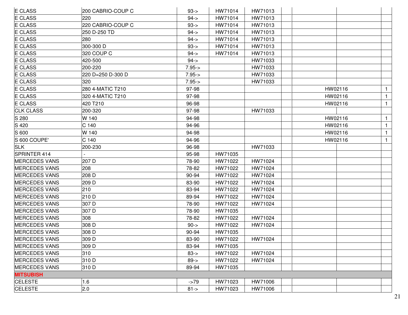| E CLASS              | 200 CABRIO-COUP C | $93 - 5$ | HW71014 | HW71013 |         |              |
|----------------------|-------------------|----------|---------|---------|---------|--------------|
| E CLASS              | 220               | $94 - 5$ | HW71014 | HW71013 |         |              |
| <b>E CLASS</b>       | 220 CABRIO-COUP C | $93 - 5$ | HW71014 | HW71013 |         |              |
| <b>E CLASS</b>       | 250 D-250 TD      | $94 - 5$ | HW71014 | HW71013 |         |              |
| <b>E CLASS</b>       | 280               | $94 - 5$ | HW71014 | HW71013 |         |              |
| E CLASS              | 300-300 D         | $93 - 5$ | HW71014 | HW71013 |         |              |
| <b>E CLASS</b>       | 320 COUP C        | $94 - 5$ | HW71014 | HW71013 |         |              |
| E CLASS              | 420-500           | $94 - 5$ |         | HW71033 |         |              |
| <b>E CLASS</b>       | 200-220           | $7.95 -$ |         | HW71033 |         |              |
| <b>E CLASS</b>       | 220 D=250 D-300 D | $7.95 -$ |         | HW71033 |         |              |
| E CLASS              | 320               | $7.95 -$ |         | HW71033 |         |              |
| <b>E CLASS</b>       | 280 4-MATIC T210  | 97-98    |         |         | HW02116 | $\mathbf{1}$ |
| <b>E CLASS</b>       | 320 4-MATIC T210  | 97-98    |         |         | HW02116 | $\mathbf{1}$ |
| <b>E CLASS</b>       | 420 T210          | 96-98    |         |         | HW02116 | $\mathbf{1}$ |
| <b>CLK CLASS</b>     | 200-320           | 97-98    |         | HW71033 |         |              |
| S 280                | W 140             | 94-98    |         |         | HW02116 | $\mathbf{1}$ |
| S 420                | C <sub>140</sub>  | 94-96    |         |         | HW02116 | $\mathbf{1}$ |
| S 600                | W 140             | 94-98    |         |         | HW02116 | $\mathbf{1}$ |
| S 600 COUPE'         | C 140             | 94-96    |         |         | HW02116 | $\mathbf{1}$ |
| <b>SLK</b>           | 200-230           | 96-98    |         | HW71033 |         |              |
| SPRINTER 414         |                   | 95-98    | HW71035 |         |         |              |
| <b>MERCEDES VANS</b> | 207 D             | 78-90    | HW71022 | HW71024 |         |              |
| <b>MERCEDES VANS</b> | 208               | 78-82    | HW71022 | HW71024 |         |              |
| <b>MERCEDES VANS</b> | 208 D             | 90-94    | HW71022 | HW71024 |         |              |
| <b>MERCEDES VANS</b> | 209 D             | 83-90    | HW71022 | HW71024 |         |              |
| <b>MERCEDES VANS</b> | 210               | 83-94    | HW71022 | HW71024 |         |              |
| <b>MERCEDES VANS</b> | 210 D             | 89-94    | HW71022 | HW71024 |         |              |
| <b>MERCEDES VANS</b> | 307 D             | 78-90    | HW71022 | HW71024 |         |              |
| <b>MERCEDES VANS</b> | 307 D             | 78-90    | HW71035 |         |         |              |
| <b>MERCEDES VANS</b> | 308               | 78-82    | HW71022 | HW71024 |         |              |
| <b>MERCEDES VANS</b> | 308 D             | $90 - >$ | HW71022 | HW71024 |         |              |
| <b>MERCEDES VANS</b> | 308 D             | 90-94    | HW71035 |         |         |              |
| <b>MERCEDES VANS</b> | 309 D             | 83-90    | HW71022 | HW71024 |         |              |
| <b>MERCEDES VANS</b> | 309 D             | 83-94    | HW71035 |         |         |              |
| <b>MERCEDES VANS</b> | 310               | $83 - 5$ | HW71022 | HW71024 |         |              |
| <b>MERCEDES VANS</b> | 310 D             | $89 - >$ | HW71022 | HW71024 |         |              |
| <b>MERCEDES VANS</b> | 310 D             | 89-94    | HW71035 |         |         |              |
| <b>MITSUBISH</b>     |                   |          |         |         |         |              |
| <b>CELESTE</b>       | 1.6               | $-279$   | HW71023 | HW71006 |         |              |
| <b>CELESTE</b>       | 2.0               | $81 - >$ | HW71023 | HW71006 |         |              |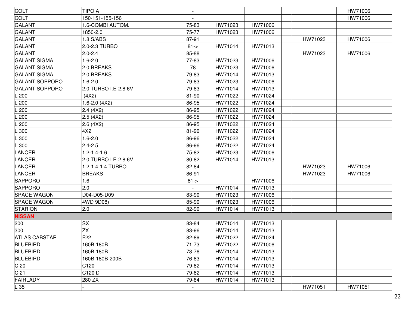| <b>COLT</b>           | <b>TIPO A</b>        |          |         |         |         | HW71006 |
|-----------------------|----------------------|----------|---------|---------|---------|---------|
| COLT                  | 150-151-155-156      |          |         |         |         | HW71006 |
| <b>GALANT</b>         | 1.6-COMBI AUTOM.     | 75-83    | HW71023 | HW71006 |         |         |
| <b>GALANT</b>         | 1850-2.0             | 75-77    | HW71023 | HW71006 |         |         |
| <b>GALANT</b>         | 1.8 S/ABS            | 87-91    |         |         | HW71023 | HW71006 |
| <b>GALANT</b>         | 2.0-2.3 TURBO        | $81 - >$ | HW71014 | HW71013 |         |         |
| GALANT                | $2.0 - 2.4$          | 85-88    |         |         | HW71023 | HW71006 |
| <b>GALANT SIGMA</b>   | $1.6 - 2.0$          | 77-83    | HW71023 | HW71006 |         |         |
| <b>GALANT SIGMA</b>   | 2.0 BREAKS           | 78       | HW71023 | HW71006 |         |         |
| <b>GALANT SIGMA</b>   | 2.0 BREAKS           | 79-83    | HW71014 | HW71013 |         |         |
| <b>GALANT SOPPORO</b> | $1.6 - 2.0$          | 79-83    | HW71023 | HW71006 |         |         |
| <b>GALANT SOPPORO</b> | 2.0 TURBO I.E-2.8 6V | 79-83    | HW71014 | HW71013 |         |         |
| L 200                 | (4X2)                | 81-90    | HW71022 | HW71024 |         |         |
| L 200                 | $1.6 - 2.0$ (4X2)    | 86-95    | HW71022 | HW71024 |         |         |
| L 200                 | 2.4(4X2)             | 86-95    | HW71022 | HW71024 |         |         |
| $-200$                | 2.5(4X2)             | 86-95    | HW71022 | HW71024 |         |         |
| $-200$                | 2.6(4X2)             | 86-95    | HW71022 | HW71024 |         |         |
| L 300                 | 4X2                  | 81-90    | HW71022 | HW71024 |         |         |
| .300                  | $1.6 - 2.0$          | 86-96    | HW71022 | HW71024 |         |         |
| L 300                 | $2.4 - 2.5$          | 86-96    | HW71022 | HW71024 |         |         |
| <b>LANCER</b>         | $1.2 - 1.4 - 1.6$    | 75-82    | HW71023 | HW71006 |         |         |
| LANCER                | 2.0 TURBO I.E-2.8 6V | 80-82    | HW71014 | HW71013 |         |         |
| LANCER                | 1.2-1.4-1.4 TURBO    | 82-84    |         |         | HW71023 | HW71006 |
| LANCER                | <b>BREAKS</b>        | 86-91    |         |         | HW71023 | HW71006 |
| <b>SAPPORO</b>        | 1.6                  | $81 - >$ |         | HW71006 |         |         |
| <b>SAPPORO</b>        | 2.0                  |          | HW71014 | HW71013 |         |         |
| <b>SPACE WAGON</b>    | D04-D05-D09          | 83-90    | HW71023 | HW71006 |         |         |
| <b>SPACE WAGON</b>    | 4WD 9D08)            | 85-90    | HW71023 | HW71006 |         |         |
| STARION               | 2.0                  | 82-90    | HW71014 | HW71013 |         |         |
| <b>NISSAN</b>         |                      |          |         |         |         |         |
| 200                   | <b>SX</b>            | 83-84    | HW71014 | HW71013 |         |         |
| 300                   | <b>ZX</b>            | 83-96    | HW71014 | HW71013 |         |         |
| <b>ATLAS CABSTAR</b>  | F <sub>22</sub>      | 82-89    | HW71022 | HW71024 |         |         |
| <b>BLUEBIRD</b>       | 160B-180B            | 71-73    | HW71022 | HW71006 |         |         |
| <b>BLUEBIRD</b>       | 160B-180B            | 73-76    | HW71014 | HW71013 |         |         |
| <b>BLUEBIRD</b>       | 160B-180B-200B       | 76-83    | HW71014 | HW71013 |         |         |
| C <sub>20</sub>       | C120                 | 79-82    | HW71014 | HW71013 |         |         |
| C <sub>21</sub>       | C120 D               | 79-82    | HW71014 | HW71013 |         |         |
| FAIRLADY              | 280 ZX               | 79-84    | HW71014 | HW71013 |         |         |
| $L_{35}$              |                      |          |         |         | HW71051 | HW71051 |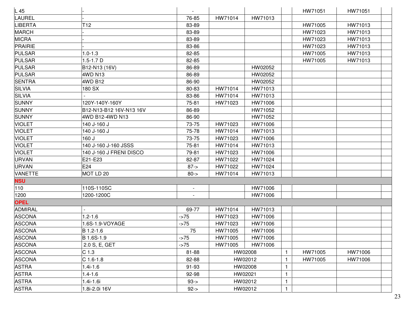| L 45           |                         |                          |         |         |              | HW71051 | HW71051 |  |
|----------------|-------------------------|--------------------------|---------|---------|--------------|---------|---------|--|
| LAUREL         |                         | 76-85                    | HW71014 | HW71013 |              |         |         |  |
| <b>LIBERTA</b> | T <sub>12</sub>         | 83-89                    |         |         |              | HW71005 | HW71013 |  |
| <b>MARCH</b>   |                         | 83-89                    |         |         |              | HW71023 | HW71013 |  |
| <b>MICRA</b>   |                         | 83-89                    |         |         |              | HW71023 | HW71013 |  |
| PRAIRIE        |                         | 83-86                    |         |         |              | HW71023 | HW71013 |  |
| <b>PULSAR</b>  | $1.0 - 1.3$             | 82-85                    |         |         |              | HW71005 | HW71013 |  |
| <b>PULSAR</b>  | $1.5 - 1.7 D$           | 82-85                    |         |         |              | HW71005 | HW71013 |  |
| <b>PULSAR</b>  | B12-N13 (16V)           | 86-89                    |         | HW02052 |              |         |         |  |
| <b>PULSAR</b>  | 4WD N13                 | 86-89                    |         | HW02052 |              |         |         |  |
| <b>SENTRA</b>  | 4WD B12                 | 86-90                    |         | HW02052 |              |         |         |  |
| <b>SILVIA</b>  | 180 SX                  | 80-83                    | HW71014 | HW71013 |              |         |         |  |
| <b>SILVIA</b>  |                         | 83-86                    | HW71014 | HW71013 |              |         |         |  |
| <b>SUNNY</b>   | 120Y-140Y-160Y          | 75-81                    | HW71023 | HW71006 |              |         |         |  |
| <b>SUNNY</b>   | B12-N13-B12 16V-N13 16V | 86-89                    |         | HW71052 |              |         |         |  |
| <b>SUNNY</b>   | 4WD B12-4WD N13         | 86-90                    |         | HW71052 |              |         |         |  |
| <b>VIOLET</b>  | 140 J-160 J             | 73-75                    | HW71023 | HW71006 |              |         |         |  |
| <b>VIOLET</b>  | 140 J-160 J             | 75-78                    | HW71014 | HW71013 |              |         |         |  |
| <b>VIOLET</b>  | 160 J                   | 73-75                    | HW71023 | HW71006 |              |         |         |  |
| <b>VIOLET</b>  | 140 J-160 J-160 JSSS    | 75-81                    | HW71014 | HW71013 |              |         |         |  |
| <b>VIOLET</b>  | 140 J-160 J FRENI DISCO | 79-81                    | HW71023 | HW71006 |              |         |         |  |
| <b>URVAN</b>   | E21-E23                 | 82-87                    | HW71022 | HW71024 |              |         |         |  |
| <b>URVAN</b>   | E24                     | $87 - >$                 | HW71022 | HW71024 |              |         |         |  |
| <b>VANETTE</b> | MOT LD 20               | $80 - >$                 | HW71014 | HW71013 |              |         |         |  |
| <b>NSU</b>     |                         |                          |         |         |              |         |         |  |
| 110            | 110S-110SC              | $\overline{\phantom{a}}$ |         | HW71006 |              |         |         |  |
| 1200           | 1200-1200C              |                          |         | HW71006 |              |         |         |  |
| <b>OPEL</b>    |                         |                          |         |         |              |         |         |  |
| <b>ADMIRAL</b> |                         | 69-77                    | HW71014 | HW71013 |              |         |         |  |
| <b>ASCONA</b>  | $1.2 - 1.6$             | $-275$                   | HW71023 | HW71006 |              |         |         |  |
| <b>ASCONA</b>  | 1.6S-1.9-VOYAGE         | $-275$                   | HW71023 | HW71006 |              |         |         |  |
| <b>ASCONA</b>  | B 1.2-1.6               | 75                       | HW71005 | HW71006 |              |         |         |  |
| <b>ASCONA</b>  | B 1.6S-1.9              | $-275$                   | HW71005 | HW71006 |              |         |         |  |
| <b>ASCONA</b>  | 2.0 S, E, GET           | $-275$                   | HW71005 | HW71006 |              |         |         |  |
| <b>ASCONA</b>  | C <sub>1.3</sub>        | 81-88                    |         | HW02008 | $\mathbf{1}$ | HW71005 | HW71006 |  |
| <b>ASCONA</b>  | $C$ 1.6-1.8             | 82-88                    |         | HW02012 | -1           | HW71005 | HW71006 |  |
| <b>ASTRA</b>   | $1.4i-1.6$              | 91-93                    |         | HW02008 | 1            |         |         |  |
| <b>ASTRA</b>   | $1.4 - 1.6$             | 92-98                    | HW02021 |         | $\mathbf{1}$ |         |         |  |
| <b>ASTRA</b>   | 1.4i-1.6i               | $93 - 5$                 |         | HW02012 | $\mathbf{1}$ |         |         |  |
| <b>ASTRA</b>   | 1.8i-2.0i 16V           | $92 - >$                 |         | HW02012 | $\mathbf{1}$ |         |         |  |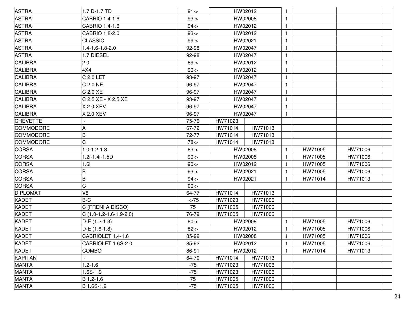| <b>ASTRA</b>     | 1.7 D-1.7 TD             | $91 - >$ |         | HW02012 | 1.           |         |         |  |
|------------------|--------------------------|----------|---------|---------|--------------|---------|---------|--|
| <b>ASTRA</b>     | CABRIO 1.4-1.6           | $93 - 5$ |         | HW02008 | 1            |         |         |  |
| <b>ASTRA</b>     | CABRIO 1.4-1.6           | $94 - 5$ |         | HW02012 | $\mathbf{1}$ |         |         |  |
| <b>ASTRA</b>     | CABRIO 1.8-2.0           | $93 - 5$ |         | HW02012 | $\mathbf{1}$ |         |         |  |
| <b>ASTRA</b>     | <b>CLASSIC</b>           | $99 - >$ | HW02021 |         | $\mathbf{1}$ |         |         |  |
| <b>ASTRA</b>     | 1.4-1.6-1.8-2.0          | 92-98    |         | HW02047 | 1            |         |         |  |
| <b>ASTRA</b>     | 1.7 DIESEL               | 92-98    |         | HW02047 | $\mathbf{1}$ |         |         |  |
| <b>CALIBRA</b>   | 2.0                      | $89 - >$ |         | HW02012 | 1            |         |         |  |
| <b>CALIBRA</b>   | 4X4                      | $90 - >$ |         | HW02012 | 1            |         |         |  |
| <b>CALIBRA</b>   | C 2.0 LET                | 93-97    |         | HW02047 | $\mathbf{1}$ |         |         |  |
| <b>CALIBRA</b>   | C 2.0 NE                 | 96-97    |         | HW02047 | 1            |         |         |  |
| <b>CALIBRA</b>   | C 2.0 XE                 | 96-97    |         | HW02047 | $\mathbf{1}$ |         |         |  |
| <b>CALIBRA</b>   | C 2.5 XE - X 2.5 XE      | 93-97    |         | HW02047 | 1            |         |         |  |
| <b>CALIBRA</b>   | X 2.0 XEV                | 96-97    |         | HW02047 | 1            |         |         |  |
| <b>CALIBRA</b>   | X 2.0 XEV                | 96-97    |         | HW02047 | $\mathbf{1}$ |         |         |  |
| <b>CHEVETTE</b>  |                          | 75-76    | HW71023 |         |              |         |         |  |
| <b>COMMODORE</b> |                          | 67-72    | HW71014 | HW71013 |              |         |         |  |
| <b>COMMODORE</b> | B                        | 72-77    | HW71014 | HW71013 |              |         |         |  |
| <b>COMMODORE</b> |                          | $78 - 5$ | HW71014 | HW71013 |              |         |         |  |
| <b>CORSA</b>     | $1.0 - 1.2 - 1.3$        | $83 - 5$ |         | HW02008 | $\mathbf{1}$ | HW71005 | HW71006 |  |
| <b>CORSA</b>     | 1.2i-1.4i-1.5D           | $90 - >$ |         | HW02008 | 1            | HW71005 | HW71006 |  |
| <b>CORSA</b>     | 1.6i                     | $90 - >$ |         | HW02012 | 1            | HW71005 | HW71006 |  |
| <b>CORSA</b>     | B                        | $93 - 5$ | HW02021 |         | $\mathbf{1}$ | HW71005 | HW71006 |  |
| <b>CORSA</b>     | B                        | $94 - 5$ | HW02021 |         | 1            | HW71014 | HW71013 |  |
| CORSA            | C                        | $00 - >$ |         |         |              |         |         |  |
| <b>DIPLOMAT</b>  | V8                       | 64-77    | HW71014 | HW71013 |              |         |         |  |
| <b>KADET</b>     | B-C                      | $-275$   | HW71023 | HW71006 |              |         |         |  |
| <b>KADET</b>     | C (FRENI A DISCO)        | 75       | HW71005 | HW71006 |              |         |         |  |
| <b>KADET</b>     | $C(1.0-1.2-1.6-1.9-2.0)$ | 76-79    | HW71005 | HW71006 |              |         |         |  |
| <b>KADET</b>     | D-E (1.2-1.3)            | $80 - >$ |         | HW02008 | $\mathbf{1}$ | HW71005 | HW71006 |  |
| <b>KADET</b>     | D-E (1.6-1.8)            | $82 - >$ |         | HW02012 | $\mathbf{1}$ | HW71005 | HW71006 |  |
| <b>KADET</b>     | CABRIOLET 1.4-1.6        | 85-92    |         | HW02008 | $\mathbf{1}$ | HW71005 | HW71006 |  |
| KADET            | CABRIOLET 1.6S-2.0       | 85-92    |         | HW02012 | $\mathbf{1}$ | HW71005 | HW71006 |  |
| <b>KADET</b>     | <b>COMBO</b>             | 86-91    |         | HW02012 | 1            | HW71014 | HW71013 |  |
| <b>KAPITAN</b>   |                          | 64-70    | HW71014 | HW71013 |              |         |         |  |
| <b>MANTA</b>     | $1.2 - 1.6$              | $-75$    | HW71023 | HW71006 |              |         |         |  |
| <b>MANTA</b>     | 1.6S-1.9                 | $-75$    | HW71023 | HW71006 |              |         |         |  |
| <b>MANTA</b>     | B 1.2-1.6                | 75       | HW71005 | HW71006 |              |         |         |  |
| <b>MANTA</b>     | B 1.6S-1.9               | $-75$    | HW71005 | HW71006 |              |         |         |  |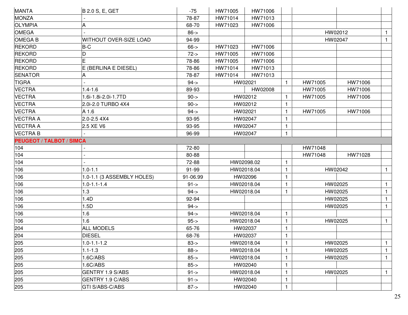| <b>MANTA</b>                    | <b>B 2.0 S, E, GET</b>        | $-75$       | HW71005 | HW71006    |    |         |         |              |
|---------------------------------|-------------------------------|-------------|---------|------------|----|---------|---------|--------------|
| MONZA                           |                               | 78-87       | HW71014 | HW71013    |    |         |         |              |
| <b>OLYMPIA</b>                  |                               | 68-70       | HW71023 | HW71006    |    |         |         |              |
| <b>OMEGA</b>                    |                               | $86 - >$    |         |            |    |         | HW02012 | $\mathbf{1}$ |
| <b>OMEGAB</b>                   | <b>WITHOUT OVER-SIZE LOAD</b> | 94-99       |         |            |    |         | HW02047 | $\mathbf{1}$ |
| <b>REKORD</b>                   | $B-C$                         | $66 - >$    | HW71023 | HW71006    |    |         |         |              |
| <b>REKORD</b>                   | D                             | $72 - 5$    | HW71005 | HW71006    |    |         |         |              |
| <b>REKORD</b>                   |                               | 78-86       | HW71005 | HW71006    |    |         |         |              |
| <b>REKORD</b>                   | E (BERLINA E DIESEL)          | 78-86       | HW71014 | HW71013    |    |         |         |              |
| <b>SENATOR</b>                  |                               | 78-87       | HW71014 | HW71013    |    |         |         |              |
| <b>TIGRA</b>                    |                               | $94 - 5$    |         | HW02021    | 1. | HW71005 | HW71006 |              |
| <b>VECTRA</b>                   | $1.4 - 1.6$                   | 89-93       |         | HW02008    |    | HW71005 | HW71006 |              |
| <b>VECTRA</b>                   | 1.6i-1.8i-2.0i-1.7TD          | $90 - >$    |         | HW02012    |    | HW71005 | HW71006 |              |
| <b>VECTRA</b>                   | 2.0i-2.0 TURBO 4X4            | $90 - >$    |         | HW02012    |    |         |         |              |
| <b>VECTRA</b>                   | A 1.6                         | $94 - 5$    |         | HW02021    |    | HW71005 | HW71006 |              |
| <b>VECTRA A</b>                 | 2.0-2.5 4X4                   | 93-95       |         | HW02047    |    |         |         |              |
| <b>VECTRA A</b>                 | 2.5 XE V6                     | 93-95       |         | HW02047    |    |         |         |              |
| <b>VECTRA B</b>                 |                               | 96-99       |         | HW02047    |    |         |         |              |
| <b>PEUGEOT / TALBOT / SIMCA</b> |                               |             |         |            |    |         |         |              |
| 104                             |                               | 72-80       |         |            |    | HW71048 |         |              |
| 104                             |                               | 80-88       |         |            |    | HW71048 | HW71028 |              |
| 104                             |                               | 72-88       |         | HW02098.02 |    |         |         |              |
| 106                             | $1.0 - 1.1$                   | 91-99       |         | HW02018.04 |    | HW02042 |         | $\mathbf{1}$ |
| 106                             | 1.0-1.1 (3 ASSEMBLY HOLES)    | 91-06.99    |         | HW02096    |    |         |         |              |
| 106                             | $1.0 - 1.1 - 1.4$             | $91 - 5$    |         | HW02018.04 |    |         | HW02025 | $\mathbf{1}$ |
| 106                             | 1.3                           | $94 - 5$    |         | HW02018.04 |    |         | HW02025 | $\mathbf{1}$ |
| 106                             | 1.4D                          | 92-94       |         |            |    |         | HW02025 | $\mathbf{1}$ |
| 106                             | 1.5D                          | $94 - 5$    |         |            |    |         | HW02025 | $\mathbf{1}$ |
| 106                             | 1.6                           | $94 - 5$    |         | HW02018.04 |    |         |         |              |
| 106                             | 1.6                           | $95 - >$    |         | HW02018.04 |    |         | HW02025 | $\mathbf{1}$ |
| 204                             | <b>ALL MODELS</b>             | 65-76       |         | HW02037    | 1. |         |         |              |
| 204                             | DIESEL                        | 68-76       |         | HW02037    | 1  |         |         |              |
| 205                             | $1.0 - 1.1 - 1.2$             | $83 - 5$    |         | HW02018.04 |    |         | HW02025 | $\mathbf{1}$ |
| 205                             | $1.1 - 1.3$                   | $88 - >$    |         | HW02018.04 |    |         | HW02025 | $\mathbf{1}$ |
| 205                             | .6C/ABS                       | $85 - >$    |         | HW02018.04 |    |         | HW02025 | $\mathbf{1}$ |
| 205                             | 1.6C/ABS                      | $85 - >$    |         | HW02040    |    |         |         |              |
| 205                             | GENTRY 1.9 S/ABS              | $91 - > 91$ |         | HW02018.04 |    |         | HW02025 | $\mathbf{1}$ |
| 205                             | GENTRY 1.9 C/ABS              | $91 - >$    |         | HW02040    |    |         |         |              |
| 205                             | GTI S/ABS-C/ABS               | $87 - >$    |         | HW02040    | 1  |         |         |              |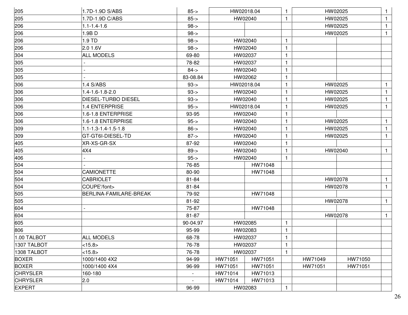| 205             | 1.7D-1.9D S/ABS               | $85 - >$                 |         | HW02018.04 | -1           |         | HW02025 |              |
|-----------------|-------------------------------|--------------------------|---------|------------|--------------|---------|---------|--------------|
| 205             | 1.7D-1.9D C/ABS               | $85 - >$                 |         | HW02040    | $\mathbf{1}$ |         | HW02025 | $\mathbf{1}$ |
| 206             | $1.1 - 1.4 - 1.6$             | $98 - >$                 |         |            |              |         | HW02025 | 1            |
| 206             | 1.9BD                         | $98 - >$                 |         |            |              |         | HW02025 | $\mathbf{1}$ |
| 206             | 1.9 TD                        | $98 - >$                 |         | HW02040    | $\mathbf{1}$ |         |         |              |
| 206             | 2.0 1.6V                      | $98 - >$                 |         | HW02040    | 1            |         |         |              |
| 304             | <b>ALL MODELS</b>             | 69-80                    |         | HW02037    | $\mathbf{1}$ |         |         |              |
| 305             |                               | 78-82                    |         | HW02037    | $\mathbf{1}$ |         |         |              |
| 305             |                               | $84 - >$                 |         | HW02040    | $\mathbf{1}$ |         |         |              |
| 305             |                               | 83-08.84                 |         | HW02062    | $\mathbf{1}$ |         |         |              |
| 306             | 1.4 S/ABS                     | $93 - 5$                 |         | HW02018.04 | $\mathbf{1}$ |         | HW02025 | 1            |
| 306             | 1.4-1.6-1.8-2.0               | $93 - 5$                 |         | HW02040    | $\mathbf{1}$ |         | HW02025 | $\mathbf{1}$ |
| 306             | DIESEL-TURBO DIESEL           | $93 - 5$                 |         | HW02040    | $\mathbf{1}$ |         | HW02025 | 1            |
| 306             | 1.4 ENTERPRISE                | $95 -$                   |         | HW02018.04 | 1            |         | HW02025 | 1            |
| 306             | 1.6-1.8 ENTERPRISE            | 93-95                    |         | HW02040    | $\mathbf{1}$ |         |         |              |
| 306             | 1.6-1.8 ENTERPRISE            | $95 -$                   |         | HW02040    | $\mathbf{1}$ |         | HW02025 | $\mathbf{1}$ |
| 309             | $1.1 - 1.3 - 1.4 - 1.5 - 1.8$ | $86 - >$                 |         | HW02040    | 1            |         | HW02025 | 1            |
| 309             | GT-GT6I-DIESEL-TD             | $87 - >$                 |         | HW02040    | -1           |         | HW02025 | 1            |
| 405             | XR-XS-GR-SX                   | 87-92                    |         | HW02040    | $\mathbf{1}$ |         |         |              |
| 405             | 4X4                           | $89 - >$                 |         | HW02040    | $\mathbf{1}$ |         | HW02040 | $\mathbf{1}$ |
| 406             |                               | $95 -$                   |         | HW02040    | $\mathbf{1}$ |         |         |              |
| 504             |                               | 76-85                    |         | HW71048    |              |         |         |              |
| 504             | <b>CAMIONETTE</b>             | 80-90                    |         | HW71048    |              |         |         |              |
| 504             | <b>CABRIOLET</b>              | 81-84                    |         |            |              |         | HW02078 | $\mathbf{1}$ |
| 504             | COUPE'/font>                  | 81-84                    |         |            |              |         | HW02078 | $\mathbf{1}$ |
| 505             | BERLINA-FAMILARE-BREAK        | 79-92                    |         | HW71048    |              |         |         |              |
| 505             |                               | 81-92                    |         |            |              |         | HW02078 | $\mathbf{1}$ |
| 604             |                               | 75-87                    |         | HW71048    |              |         |         |              |
| 604             |                               | 81-87                    |         |            |              |         | HW02078 | $\mathbf{1}$ |
| 605             |                               | 90-04.97                 |         | HW02085    | $\mathbf{1}$ |         |         |              |
| 806             |                               | 95-99                    |         | HW02083    | $\mathbf{1}$ |         |         |              |
| 1.00 TALBOT     | <b>ALL MODELS</b>             | 68-78                    |         | HW02037    | $\mathbf{1}$ |         |         |              |
| 1307 TALBOT     | <15.8>                        | 76-78                    |         | HW02037    | $\mathbf{1}$ |         |         |              |
| 1308 TALBOT     | <15.8>                        | 76-78                    |         | HW02037    | $\mathbf{1}$ |         |         |              |
| <b>BOXER</b>    | 1000/1400 4X2                 | 94-99                    | HW71051 | HW71051    |              | HW71049 | HW71050 |              |
| <b>BOXER</b>    | 1000/1400 4X4                 | 96-99                    | HW71051 | HW71051    |              | HW71051 | HW71051 |              |
| <b>CHRYSLER</b> | 160-180                       | $\overline{\phantom{a}}$ | HW71014 | HW71013    |              |         |         |              |
| <b>CHRYSLER</b> | 2.0                           | $\overline{\phantom{a}}$ | HW71014 | HW71013    |              |         |         |              |
| <b>EXPERT</b>   |                               | 96-99                    |         | HW02083    | 1            |         |         |              |
|                 |                               |                          |         |            |              |         |         |              |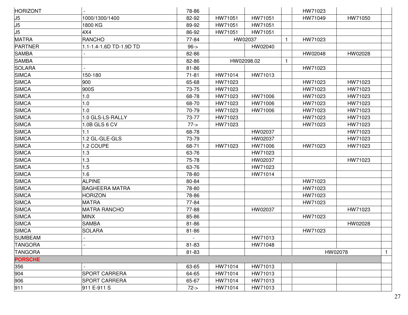| <b>HORIZONT</b> |                         | 78-86     |         |            |              | HW71023 |         |              |
|-----------------|-------------------------|-----------|---------|------------|--------------|---------|---------|--------------|
| J5              | 1000/1300/1400          | 82-92     | HW71051 | HW71051    |              | HW71049 | HW71050 |              |
| $\frac{15}{15}$ | 1800 KG                 | 89-92     | HW71051 | HW71051    |              |         |         |              |
|                 | 4X4                     | 86-92     | HW71051 | HW71051    |              |         |         |              |
| <b>MATRA</b>    | <b>RANCHO</b>           | 77-84     |         | HW02037    | $\mathbf{1}$ | HW71023 |         |              |
| PARTNER         | 1.1-1.4-1.6D TD-1.9D TD | $96 - >$  |         | HW02040    |              |         |         |              |
| <b>SAMBA</b>    |                         | 82-86     |         |            |              | HW02048 | HW02028 |              |
| <b>SAMBA</b>    |                         | 82-86     |         | HW02098.02 | $\mathbf{1}$ |         |         |              |
| SOLARA          |                         | 81-86     |         |            |              | HW71023 |         |              |
| <b>SIMCA</b>    | 150-180                 | $71 - 81$ | HW71014 | HW71013    |              |         |         |              |
| <b>SIMCA</b>    | 900                     | 65-68     | HW71023 |            |              | HW71023 | HW71023 |              |
| <b>SIMCA</b>    | 900S                    | 73-75     | HW71023 |            |              | HW71023 | HW71023 |              |
| SIMCA           | 1.0                     | 68-78     | HW71023 | HW71006    |              | HW71023 | HW71023 |              |
| <b>SIMCA</b>    | 1.0                     | 68-70     | HW71023 | HW71006    |              | HW71023 | HW71023 |              |
| <b>SIMCA</b>    | 1.0                     | 70-79     | HW71023 | HW71006    |              | HW71023 | HW71023 |              |
| <b>SIMCA</b>    | 1.0 GLS-LS-RALLY        | 73-77     | HW71023 |            |              | HW71023 | HW71023 |              |
| SIMCA           | 1.0B GLS 6 CV           | $77 - >$  | HW71023 |            |              | HW71023 | HW71023 |              |
| <b>SIMCA</b>    | 1.1                     | 68-78     |         | HW02037    |              |         | HW71023 |              |
| <b>SIMCA</b>    | 1.2 GL-GLE-GLS          | 73-79     |         | HW02037    |              |         | HW71023 |              |
| SIMCA           | 1.2 COUPE               | 68-71     | HW71023 | HW71006    |              | HW71023 | HW71023 |              |
| <b>SIMCA</b>    | 1.3                     | 63-76     |         | HW71023    |              |         |         |              |
| <b>SIMCA</b>    | 1.3                     | 75-78     |         | HW02037    |              |         | HW71023 |              |
| <b>SIMCA</b>    | 1.5                     | 63-76     |         | HW71023    |              |         |         |              |
| <b>SIMCA</b>    | 1.6                     | 78-80     |         | HW71014    |              |         |         |              |
| <b>SIMCA</b>    | <b>ALPINE</b>           | 80-84     |         |            |              | HW71023 |         |              |
| <b>SIMCA</b>    | <b>BAGHEERA MATRA</b>   | 78-80     |         |            |              | HW71023 |         |              |
| <b>SIMCA</b>    | <b>HORIZON</b>          | 78-86     |         |            |              | HW71023 |         |              |
| <b>SIMCA</b>    | <b>MATRA</b>            | 77-84     |         |            |              | HW71023 |         |              |
| <b>SIMCA</b>    | <b>MATRA RANCHO</b>     | 77-88     |         | HW02037    |              |         | HW71023 |              |
| SIMCA           | <b>MINX</b>             | 85-86     |         |            |              | HW71023 |         |              |
| <b>SIMCA</b>    | <b>SAMBA</b>            | 81-86     |         |            |              |         | HW02028 |              |
| <b>SIMCA</b>    | <b>SOLARA</b>           | 81-86     |         |            |              | HW71023 |         |              |
| <b>SUMBEAM</b>  |                         |           |         | HW71013    |              |         |         |              |
| <b>TANGORA</b>  |                         | 81-83     |         | HW71048    |              |         |         |              |
| <b>TANGORA</b>  |                         | 81-83     |         |            |              |         | HW02078 | $\mathbf{1}$ |
| <b>PORSCHE</b>  |                         |           |         |            |              |         |         |              |
| 356             |                         | 63-65     | HW71014 | HW71013    |              |         |         |              |
| 904             | <b>SPORT CARRERA</b>    | 64-65     | HW71014 | HW71013    |              |         |         |              |
| 906             | <b>SPORT CARRERA</b>    | 65-67     | HW71014 | HW71013    |              |         |         |              |
| 911             | 911 E-911 S             | $72 - 5$  | HW71014 | HW71013    |              |         |         |              |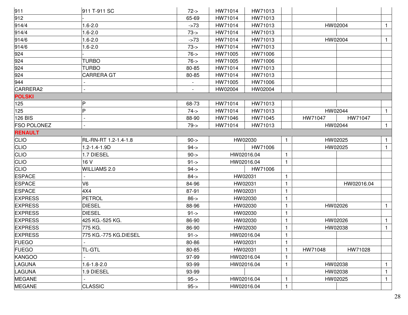| 911                | 911 T-911 SC          | $72 - 5$       | HW71014 | HW71013    |              |         |            |              |
|--------------------|-----------------------|----------------|---------|------------|--------------|---------|------------|--------------|
| 912                |                       | 65-69          | HW71014 | HW71013    |              |         |            |              |
| 914/4              | $1.6 - 2.0$           | $-273$         | HW71014 | HW71013    |              |         | HW02004    | $\mathbf{1}$ |
| 914/4              | $1.6 - 2.0$           | $73 - 5$       | HW71014 | HW71013    |              |         |            |              |
| 914/6              | $1.6 - 2.0$           | $-273$         | HW71014 | HW71013    |              |         | HW02004    | $\mathbf{1}$ |
| 914/6              | $1.6 - 2.0$           | $73 - 5$       | HW71014 | HW71013    |              |         |            |              |
| 924                |                       | $76 - 5$       | HW71005 | HW71006    |              |         |            |              |
| 924                | <b>TURBO</b>          | $76 - 5$       | HW71005 | HW71006    |              |         |            |              |
| 924                | TURBO                 | 80-85          | HW71014 | HW71013    |              |         |            |              |
| 924                | <b>CARRERA GT</b>     | 80-85          | HW71014 | HW71013    |              |         |            |              |
| 944                |                       |                | HW71005 | HW71006    |              |         |            |              |
| CARRERA2           |                       | $\overline{a}$ | HW02004 | HW02004    |              |         |            |              |
| <b>POLSKI</b>      |                       |                |         |            |              |         |            |              |
| 125                | P                     | 68-73          | HW71014 | HW71013    |              |         |            |              |
| 125                | P                     | $74 -$         | HW71014 | HW71013    |              |         | HW02044    | $\mathbf{1}$ |
| <b>126 BIS</b>     |                       | 88-90          | HW71046 | HW71045    |              | HW71047 | HW71047    |              |
| <b>FSO POLONEZ</b> |                       | $79 - >$       | HW71014 | HW71013    |              |         | HW02044    | $\mathbf{1}$ |
| <b>RENAULT</b>     |                       |                |         |            |              |         |            |              |
| <b>CLIO</b>        | RL-RN-RT 1.2-1.4-1.8  | $90 - >$       |         | HW02030    | 1            |         | HW02025    | $\mathbf{1}$ |
| <b>CLIO</b>        | 1.2-1.4-1.9D          | $94 - 5$       |         | HW71006    |              |         | HW02025    | $\mathbf{1}$ |
| <b>CLIO</b>        | 1.7 DIESEL            | $90 - >$       |         | HW02016.04 | 1            |         |            |              |
| <b>CLIO</b>        | 16 V                  | $91 - >$       |         | HW02016.04 | 1            |         |            |              |
| <b>CLIO</b>        | <b>WILLIAMS 2.0</b>   | $94 - 5$       |         | HW71006    |              |         |            |              |
| <b>ESPACE</b>      |                       | $84 - 5$       |         | HW02031    | 1            |         |            |              |
| <b>ESPACE</b>      | V6                    | 84-96          |         | HW02031    | 1            |         | HW02016.04 |              |
| <b>ESPACE</b>      | 4X4                   | 87-91          |         | HW02031    | 1            |         |            |              |
| <b>EXPRESS</b>     | <b>PETROL</b>         | $86 - >$       |         | HW02030    | 1            |         |            |              |
| <b>EXPRESS</b>     | <b>DIESEL</b>         | 88-96          |         | HW02030    | 1            |         | HW02026    | $\mathbf{1}$ |
| <b>EXPRESS</b>     | <b>DIESEL</b>         | $91 - >$       |         | HW02030    | 1            |         |            |              |
| <b>EXPRESS</b>     | 425 KG.-525 KG.       | 86-90          |         | HW02030    | 1            |         | HW02026    | $\mathbf{1}$ |
| <b>EXPRESS</b>     | 775 KG.               | 86-90          |         | HW02030    | 1            |         | HW02038    | $\mathbf{1}$ |
| <b>EXPRESS</b>     | 775 KG.-775 KG.DIESEL | $91 - >$       |         | HW02016.04 | $\mathbf{1}$ |         |            |              |
| <b>FUEGO</b>       |                       | 80-86          |         | HW02031    | 1            |         |            |              |
| <b>FUEGO</b>       | <b>TL-GTL</b>         | 80-85          |         | HW02031    | 1            | HW71048 | HW71028    |              |
| <b>KANGOO</b>      |                       | 97-99          |         | HW02016.04 | 1            |         |            |              |
| LAGUNA             | 1.6-1.8-2.0           | 93-99          |         | HW02016.04 | 1            |         | HW02038    | 1            |
| <b>LAGUNA</b>      | <b>9 DIESEL</b>       | 93-99          |         |            |              |         | HW02038    | $\mathbf{1}$ |
| <b>MEGANE</b>      |                       | $95 - >$       |         | HW02016.04 | 1            |         | HW02025    | $\mathbf{1}$ |
| <b>MEGANE</b>      | <b>CLASSIC</b>        | $95 -$         |         | HW02016.04 | 1            |         |            |              |
|                    |                       |                |         |            |              |         |            |              |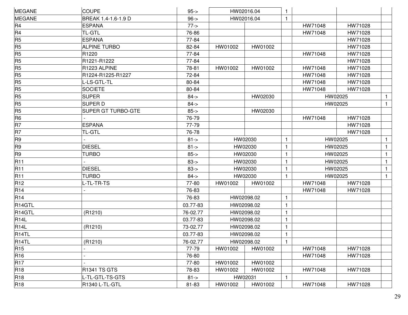| <b>MEGANE</b>      | <b>COUPE</b>              | $95 -$   |         | HW02016.04 | 1            |         |         |              |
|--------------------|---------------------------|----------|---------|------------|--------------|---------|---------|--------------|
| <b>MEGANE</b>      | BREAK 1.4-1.6-1.9 D       | $96 - >$ |         | HW02016.04 | $\mathbf{1}$ |         |         |              |
| R4                 | ESPANA                    | $77 - >$ |         |            |              | HW71048 | HW71028 |              |
| R <sub>4</sub>     | <b>TL-GTL</b>             | 76-86    |         |            |              | HW71048 | HW71028 |              |
| R <sub>5</sub>     | <b>ESPANA</b>             | 77-84    |         |            |              |         | HW71028 |              |
| R <sub>5</sub>     | <b>ALPINE TURBO</b>       | 82-84    | HW01002 | HW01002    |              |         | HW71028 |              |
| R <sub>5</sub>     | R <sub>1220</sub>         | 77-84    |         |            |              | HW71048 | HW71028 |              |
| R <sub>5</sub>     | R1221-R1222               | 77-84    |         |            |              |         | HW71028 |              |
| R <sub>5</sub>     | R1223 ALPINE              | 78-81    | HW01002 | HW01002    |              | HW71048 | HW71028 |              |
| R <sub>5</sub>     | R1224-R1225-R1227         | 72-84    |         |            |              | HW71048 | HW71028 |              |
| R <sub>5</sub>     | L-LS-GTL-TL               | 80-84    |         |            |              | HW71048 | HW71028 |              |
| R <sub>5</sub>     | <b>SOCIETE</b>            | 80-84    |         |            |              | HW71048 | HW71028 |              |
| R <sub>5</sub>     | <b>SUPER</b>              | $84 - 5$ |         | HW02030    |              |         | HW02025 |              |
| R <sub>5</sub>     | <b>SUPER D</b>            | $84 - 5$ |         |            |              |         | HW02025 | $\mathbf{1}$ |
| R <sub>5</sub>     | <b>SUPER GT TURBO-GTE</b> | $85 - >$ |         | HW02030    |              |         |         |              |
| R <sub>6</sub>     |                           | 76-79    |         |            |              | HW71048 | HW71028 |              |
| R7                 | <b>ESPANA</b>             | 77-79    |         |            |              |         | HW71028 |              |
| R7                 | <b>TL-GTL</b>             | 76-78    |         |            |              |         | HW71028 |              |
| R <sub>9</sub>     |                           | $81 - >$ |         | HW02030    | $\mathbf{1}$ | HW02025 |         | $\mathbf{1}$ |
| R <sub>9</sub>     | <b>DIESEL</b>             | $81 - >$ |         | HW02030    | $\mathbf{1}$ | HW02025 |         | $\mathbf{1}$ |
| R <sub>9</sub>     | <b>TURBO</b>              | $85 - >$ |         | HW02030    | $\mathbf{1}$ | HW02025 |         | 1            |
| <b>R11</b>         |                           | $83 - 5$ |         | HW02030    | $\mathbf 1$  | HW02025 |         | $\mathbf{1}$ |
| <b>R11</b>         | <b>DIESEL</b>             | $83 - 5$ |         | HW02030    | $\mathbf{1}$ |         | HW02025 | $\mathbf{1}$ |
| <b>R11</b>         | <b>TURBO</b>              | $84 - 5$ |         | HW02030    | $\mathbf{1}$ |         | HW02025 | $\mathbf{1}$ |
| R <sub>12</sub>    | L-TL-TR-TS                | 77-80    | HW01002 | HW01002    |              | HW71048 | HW71028 |              |
| R <sub>14</sub>    |                           | 76-83    |         |            |              | HW71048 | HW71028 |              |
| R <sub>14</sub>    |                           | 76-83    |         | HW02098.02 | $\mathbf{1}$ |         |         |              |
| R <sub>14GTL</sub> |                           | 03.77-83 |         | HW02098.02 | $\mathbf 1$  |         |         |              |
| R <sub>14GTL</sub> | (R1210)                   | 76-02.77 |         | HW02098.02 | $\mathbf{1}$ |         |         |              |
| R <sub>14</sub> L  |                           | 03.77-83 |         | HW02098.02 | $\mathbf{1}$ |         |         |              |
| R <sub>14</sub> L  | (R1210)                   | 73-02.77 |         | HW02098.02 | $\mathbf{1}$ |         |         |              |
| R <sub>14</sub> TL |                           | 03.77-83 |         | HW02098.02 | $\mathbf{1}$ |         |         |              |
| R <sub>14</sub> TL | (R1210)                   | 76-02.77 |         | HW02098.02 | $\mathbf{1}$ |         |         |              |
| R <sub>15</sub>    |                           | 77-79    | HW01002 | HW01002    |              | HW71048 | HW71028 |              |
| <b>R16</b>         |                           | 76-80    |         |            |              | HW71048 | HW71028 |              |
| <b>R17</b>         |                           | 77-80    | HW01002 | HW01002    |              |         |         |              |
| R <sub>18</sub>    | <b>R1341 TS GTS</b>       | 78-83    | HW01002 | HW01002    |              | HW71048 | HW71028 |              |
| <b>R18</b>         | L-TL-GTL-TS-GTS           | $81 - >$ | HW02031 |            | $\mathbf{1}$ |         |         |              |
| <b>R18</b>         | R1340 L-TL-GTL            | 81-83    | HW01002 | HW01002    |              | HW71048 | HW71028 |              |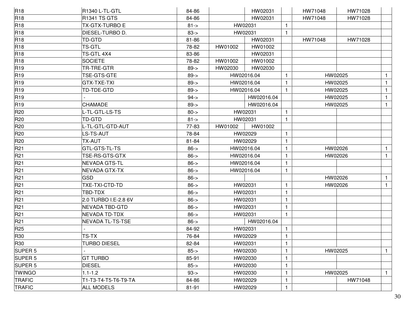| <b>R18</b>         | R1340 L-TL-GTL          | 84-86      |            | HW02031    |              | HW71048 | HW71028 |              |
|--------------------|-------------------------|------------|------------|------------|--------------|---------|---------|--------------|
| R <sub>18</sub>    | <b>R1341 TS GTS</b>     | 84-86      |            | HW02031    |              | HW71048 | HW71028 |              |
| <b>R18</b>         | <b>TX-GTX-TURBO E</b>   | $81 - >$   |            | HW02031    |              |         |         |              |
| <b>R18</b>         | DIESEL-TURBO D.         | $83 - 5$   |            | HW02031    | 1            |         |         |              |
| <b>R18</b>         | TD-GTD                  | 81-86      |            | HW02031    |              | HW71048 | HW71028 |              |
| R <sub>18</sub>    | TS-GTL                  | 78-82      | HW01002    | HW01002    |              |         |         |              |
| R <sub>18</sub>    | TS-GTL 4X4              | 83-86      |            | HW02031    |              |         |         |              |
| R <sub>18</sub>    | <b>SOCIETE</b>          | 78-82      | HW01002    | HW01002    |              |         |         |              |
| <b>R19</b>         | TR-TRE-GTR              | $89 - >$   | HW02030    | HW02030    |              |         |         |              |
| R <sub>19</sub>    | TSE-GTS-GTE             | $89 - >$   |            | HW02016.04 |              |         | HW02025 |              |
| <b>R19</b>         | GTX-TXE-TXI             | $89 - >$   |            | HW02016.04 | 1            |         | HW02025 | $\mathbf{1}$ |
| <b>R19</b>         | TD-TDE-GTD              | $89 - >$   |            | HW02016.04 |              |         | HW02025 | 1            |
| R <sub>19</sub>    |                         | $94 - 5$   |            | HW02016.04 |              |         | HW02025 | 1            |
| <b>R19</b>         | CHAMADE                 | $89 - >$   |            | HW02016.04 |              |         | HW02025 | $\mathbf{1}$ |
| R <sub>20</sub>    | L-TL-GTL-LS-TS          | $80 - >$   |            | HW02031    | 1            |         |         |              |
| R <sub>20</sub>    | TD-GTD                  | $81 - >$   |            | HW02031    | 1            |         |         |              |
| R20                | L-TL-GTL-GTD-AUT        | 77-83      | HW01002    | HW01002    |              |         |         |              |
| R <sub>20</sub>    | LS-TS-AUT               | 78-84      |            | HW02029    | 1            |         |         |              |
| R <sub>20</sub>    | TX-AUT                  | 81-84      |            | HW02029    | 1            |         |         |              |
| R21                | GTL-GTS-TL-TS           | $86 - >$   | HW02016.04 |            | 1            | HW02026 |         | 1            |
| R21                | TSE-RS-GTS-GTX          | $86 - >$   | HW02016.04 |            | 1            |         | HW02026 | $\mathbf{1}$ |
| R21                | NEVADA GTS-TL           | $86 - >$   |            | HW02016.04 | 1            |         |         |              |
| R21                | <b>NEVADA GTX-TX</b>    | $86 - >$   |            | HW02016.04 | 1            |         |         |              |
| R <sub>21</sub>    | <b>GSD</b>              | $86 - >$   |            |            |              | HW02026 |         | $\mathbf{1}$ |
| R21                | TXE-TXI-CTD-TD          | $86 - >$   |            | HW02031    | 1            | HW02026 |         | $\mathbf{1}$ |
| R <sub>21</sub>    | TBD-TDX                 | $86 - >$   |            | HW02031    | 1            |         |         |              |
| R21                | 2.0 TURBO I.E-2.8 6V    | $86 - >$   |            | HW02031    | 1            |         |         |              |
| R21                | <b>NEVADA TBD-GTD</b>   | $86 - >$   |            | HW02031    | 1            |         |         |              |
| R21                | NEVADA TD-TDX           | $86 - >$   |            | HW02031    | 1            |         |         |              |
| R21                | <b>NEVADA TL-TS-TSE</b> | $86 - >$   |            | HW02016.04 |              |         |         |              |
| R <sub>25</sub>    |                         | 84-92      |            | HW02031    | $\mathbf{1}$ |         |         |              |
| <b>R30</b>         | <b>TS-TX</b>            | 76-84      |            | HW02029    | $\mathbf{1}$ |         |         |              |
| R30                | <b>TURBO DIESEL</b>     | 82-84      |            | HW02031    |              |         |         |              |
| SUPER <sub>5</sub> |                         | $85 - >$   |            | HW02030    |              | HW02025 |         | 1.           |
| SUPER <sub>5</sub> | <b>GT TURBO</b>         | 85-91      |            | HW02030    |              |         |         |              |
| SUPER <sub>5</sub> | <b>DIESEL</b>           | $85 - > 8$ |            | HW02030    | 1            |         |         |              |
| <b>TWINGO</b>      | $1.1 - 1.2$             | $93 - 5$   |            | HW02030    |              |         | HW02025 | $\mathbf{1}$ |
| <b>TRAFIC</b>      | T1-T3-T4-T5-T6-T9-TA    | 84-86      |            | HW02029    |              |         | HW71048 |              |
| TRAFIC             | <b>ALL MODELS</b>       | 81-91      |            | HW02029    | $\mathbf{1}$ |         |         |              |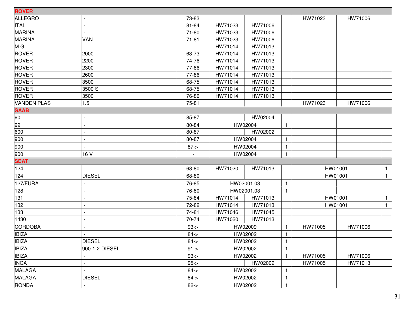| <b>ROVER</b>       |                |           |         |            |                |         |         |              |
|--------------------|----------------|-----------|---------|------------|----------------|---------|---------|--------------|
| <b>ALLEGRO</b>     |                | 73-83     |         |            |                | HW71023 | HW71006 |              |
| <b>ITAL</b>        |                | 81-84     | HW71023 | HW71006    |                |         |         |              |
| <b>MARINA</b>      |                | $71 - 80$ | HW71023 | HW71006    |                |         |         |              |
| <b>MARINA</b>      | VAN            | $71 - 81$ | HW71023 | HW71006    |                |         |         |              |
| M.G.               |                |           | HW71014 | HW71013    |                |         |         |              |
| <b>ROVER</b>       | 2000           | 63-73     | HW71014 | HW71013    |                |         |         |              |
| <b>ROVER</b>       | 2200           | 74-76     | HW71014 | HW71013    |                |         |         |              |
| <b>ROVER</b>       | 2300           | 77-86     | HW71014 | HW71013    |                |         |         |              |
| <b>ROVER</b>       | 2600           | 77-86     | HW71014 | HW71013    |                |         |         |              |
| <b>ROVER</b>       | 3500           | 68-75     | HW71014 | HW71013    |                |         |         |              |
| <b>ROVER</b>       | 3500 S         | 68-75     | HW71014 | HW71013    |                |         |         |              |
| <b>ROVER</b>       | 3500           | 76-86     | HW71014 | HW71013    |                |         |         |              |
| <b>VANDEN PLAS</b> | 1.5            | 75-81     |         |            |                | HW71023 | HW71006 |              |
| <b>SAAB</b>        |                |           |         |            |                |         |         |              |
| 90                 |                | 85-87     |         | HW02004    |                |         |         |              |
| 99                 |                | 80-84     |         | HW02004    | $\mathbf{1}$   |         |         |              |
| 600                |                | 80-87     |         | HW02002    |                |         |         |              |
| 900                |                | 80-87     |         | HW02004    | $\mathbf{1}$   |         |         |              |
| 900                |                | $87 - >$  |         | HW02004    | $\mathbf{1}$   |         |         |              |
| 900                | 16 V           |           |         | HW02004    | $\mathbf{1}$   |         |         |              |
| <b>SEAT</b>        |                |           |         |            |                |         |         |              |
| 124                |                | 68-80     | HW71020 | HW71013    |                |         | HW01001 | $\mathbf{1}$ |
| 124                | <b>DIESEL</b>  | 68-80     |         |            |                |         | HW01001 | $\mathbf{1}$ |
| 127/FURA           |                | 76-85     |         | HW02001.03 | $\mathbf{1}$   |         |         |              |
| 128                |                | 76-80     |         | HW02001.03 | -1             |         |         |              |
| 131                |                | 75-84     | HW71014 | HW71013    |                |         | HW01001 | $\mathbf{1}$ |
| 132                |                | 72-82     | HW71014 | HW71013    |                |         | HW01001 | $\mathbf{1}$ |
| 133                |                | 74-81     | HW71046 | HW71045    |                |         |         |              |
| 1430               |                | 70-74     | HW71020 | HW71013    |                |         |         |              |
| CORDOBA            |                | $93 - 5$  |         | HW02009    | -1             | HW71005 | HW71006 |              |
| <b>IBIZA</b>       |                | $84 - 5$  |         | HW02002    | $\mathbf{1}$   |         |         |              |
| <b>IBIZA</b>       | <b>DIESEL</b>  | $84 - >$  |         | HW02002    | $\mathbf{1}$   |         |         |              |
| <b>IBIZA</b>       | 900-1.2-DIESEL | $91 - >$  |         | HW02002    |                |         |         |              |
| <b>IBIZA</b>       |                | $93 - 5$  |         | HW02002    |                | HW71005 | HW71006 |              |
| <b>INCA</b>        |                | $95 - >$  |         | HW02009    |                | HW71005 | HW71013 |              |
| <b>MALAGA</b>      |                | $84 - 5$  |         | HW02002    | $\overline{1}$ |         |         |              |
| <b>MALAGA</b>      | <b>DIESEL</b>  | $84 - >$  |         | HW02002    | $\mathbf{1}$   |         |         |              |
| <b>RONDA</b>       |                | $82 - >$  |         | HW02002    | -1             |         |         |              |
|                    |                |           |         |            |                |         |         |              |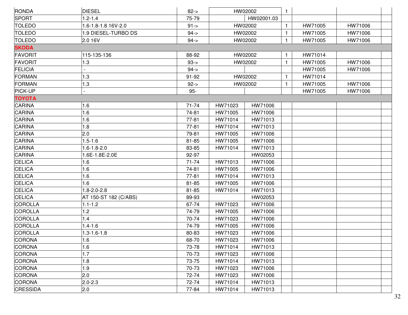| RONDA           | <b>DIESEL</b>            | $82 - >$  |         | HW02002    | $\mathbf{1}$ |         |         |  |
|-----------------|--------------------------|-----------|---------|------------|--------------|---------|---------|--|
| <b>SPORT</b>    | $1.2 - 1.4$              | 75-79     |         | HW02001.03 |              |         |         |  |
| <b>TOLEDO</b>   | 1.6-1.8-1.8 16V-2.0      | $91 - >$  |         | HW02002    | $\mathbf{1}$ | HW71005 | HW71006 |  |
| <b>TOLEDO</b>   | 1.9 DIESEL-TURBO DS      | $94 - 5$  |         | HW02002    | $\mathbf{1}$ | HW71005 | HW71006 |  |
| <b>TOLEDO</b>   | 2.0 16V                  | $94 - 5$  |         | HW02002    | $\mathbf{1}$ | HW71005 | HW71006 |  |
| <b>SKODA</b>    |                          |           |         |            |              |         |         |  |
| <b>FAVORIT</b>  | 115-135-136              | 88-92     |         | HW02002    | $\mathbf{1}$ | HW71014 |         |  |
| <b>FAVORIT</b>  | 1.3                      | $93 - 5$  |         | HW02002    | $\mathbf{1}$ | HW71005 | HW71006 |  |
| <b>FELICIA</b>  |                          | $94 - 5$  |         |            |              | HW71005 | HW71006 |  |
| <b>FORMAN</b>   | 1.3                      | 91-92     |         | HW02002    | $\mathbf{1}$ | HW71014 |         |  |
| FORMAN          | 1.3                      | $92 - >$  |         | HW02002    | $\mathbf{1}$ | HW71005 | HW71006 |  |
| PICK-UP         | $\overline{\phantom{a}}$ | $95-$     |         |            |              | HW71005 | HW71006 |  |
| <b>TOYOTA</b>   |                          |           |         |            |              |         |         |  |
| CARINA          | 1.6                      | $71 - 74$ | HW71023 | HW71006    |              |         |         |  |
| CARINA          | 1.6                      | 74-81     | HW71005 | HW71006    |              |         |         |  |
| <b>CARINA</b>   | 1.6                      | $77 - 81$ | HW71014 | HW71013    |              |         |         |  |
| <b>CARINA</b>   | 1.8                      | $77 - 81$ | HW71014 | HW71013    |              |         |         |  |
| CARINA          | 2.0                      | 79-81     | HW71005 | HW71006    |              |         |         |  |
| CARINA          | $1.5 - 1.6$              | 81-85     | HW71005 | HW71006    |              |         |         |  |
| <b>CARINA</b>   | $1.6 - 1.8 - 2.0$        | 83-85     | HW71014 | HW71013    |              |         |         |  |
| <b>CARINA</b>   | 1.6E-1.8E-2.0E           | 92-97     |         | HW02053    |              |         |         |  |
| <b>CELICA</b>   | 1.6                      | $71 - 74$ | HW71013 | HW71006    |              |         |         |  |
| <b>CELICA</b>   | 1.6                      | 74-81     | HW71005 | HW71006    |              |         |         |  |
| <b>CELICA</b>   | 1.6                      | $77 - 81$ | HW71014 | HW71013    |              |         |         |  |
| <b>CELICA</b>   | 1.6                      | 81-85     | HW71005 | HW71006    |              |         |         |  |
| <b>CELICA</b>   | $1.8 - 2.0 - 2.8$        | $81 - 85$ | HW71014 | HW71013    |              |         |         |  |
| <b>CELICA</b>   | AT 150-ST 182 (C/ABS)    | 89-93     |         | HW02053    |              |         |         |  |
| COROLLA         | $1.1 - 1.2$              | 67-74     | HW71023 | HW71006    |              |         |         |  |
| COROLLA         | 1.2                      | 74-79     | HW71005 | HW71006    |              |         |         |  |
| COROLLA         | 1.4                      | 70-74     | HW71023 | HW71006    |              |         |         |  |
| COROLLA         | $1.4 - 1.6$              | 74-79     | HW71005 | HW71006    |              |         |         |  |
| COROLLA         | 1.3-1.6-1.8              | 80-83     | HW71023 | HW71006    |              |         |         |  |
| CORONA          | 1.6                      | 68-70     | HW71023 | HW71006    |              |         |         |  |
| <b>CORONA</b>   | 1.6                      | 73-78     | HW71014 | HW71013    |              |         |         |  |
| <b>CORONA</b>   | 1.7                      | 70-73     | HW71023 | HW71006    |              |         |         |  |
| CORONA          | 1.8                      | 73-75     | HW71014 | HW71013    |              |         |         |  |
| CORONA          | 1.9                      | 70-73     | HW71023 | HW71006    |              |         |         |  |
| CORONA          | 2.0                      | 72-74     | HW71023 | HW71006    |              |         |         |  |
| <b>CORONA</b>   | $2.0 - 2.3$              | 72-74     | HW71014 | HW71013    |              |         |         |  |
| <b>CRESSIDA</b> | 2.0                      | 77-84     | HW71014 | HW71013    |              |         |         |  |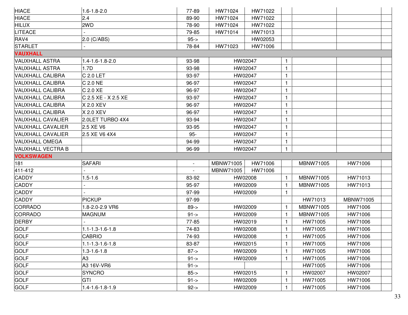| <b>HIACE</b>             | $1.6 - 1.8 - 2.0$       | 77-89          | HW71024   | HW71022 |              |           |           |  |
|--------------------------|-------------------------|----------------|-----------|---------|--------------|-----------|-----------|--|
| <b>HIACE</b>             | 2.4                     | 89-90          | HW71024   | HW71022 |              |           |           |  |
| <b>HILUX</b>             | 2WD                     | 78-90          | HW71024   | HW71022 |              |           |           |  |
| <b>LITEACE</b>           |                         | 79-85          | HW71014   | HW71013 |              |           |           |  |
| RAV4                     | $2.0$ (C/ABS)           | $95 - > 95$    |           | HW02053 |              |           |           |  |
| <b>STARLET</b>           |                         | 78-84          | HW71023   | HW71006 |              |           |           |  |
| <b>VAUXHALL</b>          |                         |                |           |         |              |           |           |  |
| VAUXHALL ASTRA           | 1.4-1.6-1.8-2.0         | 93-98          | HW02047   |         | 1.           |           |           |  |
| <b>VAUXHALL ASTRA</b>    | 1.7D                    | 93-98          | HW02047   |         | $\mathbf{1}$ |           |           |  |
| VAUXHALL CALIBRA         | $C$ 2.0 LET             | 93-97          | HW02047   |         | $\mathbf{1}$ |           |           |  |
| VAUXHALL CALIBRA         | $C$ 2.0 NE              | 96-97          | HW02047   |         | 1            |           |           |  |
| VAUXHALL CALIBRA         | $C$ 2.0 $XE$            | 96-97          | HW02047   |         | 1            |           |           |  |
| <b>VAUXHALL CALIBRA</b>  | C 2.5 XE - X 2.5 XE     | 93-97          | HW02047   |         | $\mathbf{1}$ |           |           |  |
| <b>VAUXHALL CALIBRA</b>  | X 2.0 XEV               | 96-97          | HW02047   |         | 1            |           |           |  |
| VAUXHALL CALIBRA         | X 2.0 XEV               | 96-97          | HW02047   |         | $\mathbf{1}$ |           |           |  |
| VAUXHALL CAVALIER        | 2.0LET TURBO 4X4        | 93-94          | HW02047   |         | 1            |           |           |  |
| <b>VAUXHALL CAVALIER</b> | 2.5 XE V6               | 93-95          | HW02047   |         | 1            |           |           |  |
| <b>VAUXHALL CAVALIER</b> | 2.5 XE V6 4X4           | $95-$          | HW02047   |         | $\mathbf{1}$ |           |           |  |
| <b>VAUXHALL OMEGA</b>    |                         | 94-99          | HW02047   |         | $\mathbf{1}$ |           |           |  |
| VAUXHALL VECTRA B        |                         | 96-99          | HW02047   |         | 1            |           |           |  |
| <b>VOLKSWAGEN</b>        |                         |                |           |         |              |           |           |  |
| 181                      | <b>SAFARI</b>           | $\blacksquare$ | MBNW71005 | HW71006 |              | MBNW71005 | HW71006   |  |
| 411-412                  |                         |                | MBNW71005 | HW71006 |              |           |           |  |
| <b>CADDY</b>             | $1.5 - 1.6$             | 83-92          | HW02008   |         | $\mathbf{1}$ | MBNW71005 | HW71013   |  |
| <b>CADDY</b>             |                         | 95-97          | HW02009   |         | 1.           | MBNW71005 | HW71013   |  |
| <b>CADDY</b>             |                         | 97-99          | HW02009   |         | $\mathbf{1}$ |           |           |  |
| <b>CADDY</b>             | <b>PICKUP</b>           | 97-99          |           |         |              | HW71013   | MBNW71005 |  |
| CORRADO                  | 1.8-2.0-2.9 VR6         | $89 - > 8$     | HW02009   |         | 1            | MBNW71005 | HW71006   |  |
| CORRADO                  | <b>MAGNUM</b>           | $91 - >$       | HW02009   |         | 1            | MBNW71005 | HW71006   |  |
| <b>DERBY</b>             |                         | 77-85          | HW02019   |         | 1            | HW71005   | HW71006   |  |
| <b>GOLF</b>              | $1.1 - 1.3 - 1.6 - 1.8$ | 74-83          | HW02008   |         |              | HW71005   | HW71006   |  |
| <b>GOLF</b>              | <b>CABRIO</b>           | 74-93          | HW02008   |         | $\mathbf{1}$ | HW71005   | HW71006   |  |
| <b>GOLF</b>              | $1.1 - 1.3 - 1.6 - 1.8$ | 83-87          | HW02015   |         | 1            | HW71005   | HW71006   |  |
| <b>GOLF</b>              | $1.3 - 1.6 - 1.8$       | $87 - > 8$     | HW02009   |         |              | HW71005   | HW71006   |  |
| <b>GOLF</b>              | A <sub>3</sub>          | $91 - >$       | HW02009   |         |              | HW71005   | HW71006   |  |
| <b>GOLF</b>              | A3 16V-VR6              | $91 - 5$       |           |         |              | HW71005   | HW71006   |  |
| <b>GOLF</b>              | <b>SYNCRO</b>           | $85 - >$       | HW02015   |         |              | HW02007   | HW02007   |  |
| <b>GOLF</b>              |                         |                |           |         |              |           |           |  |
|                          | <b>GTI</b>              | $91 - >$       | HW02009   |         |              | HW71005   | HW71006   |  |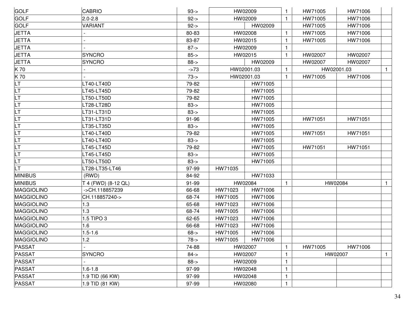| <b>GOLF</b>       | <b>CABRIO</b>       | $93 - 5$ |         | HW02009    |              | HW71005 | HW71006    |              |
|-------------------|---------------------|----------|---------|------------|--------------|---------|------------|--------------|
| <b>GOLF</b>       | $2.0 - 2.8$         | $92 - 5$ |         | HW02009    |              | HW71005 | HW71006    |              |
| <b>GOLF</b>       | <b>VARIANT</b>      | $92 - >$ |         | HW02009    |              | HW71005 | HW71006    |              |
| <b>JETTA</b>      |                     | 80-83    |         | HW02008    |              | HW71005 | HW71006    |              |
| <b>JETTA</b>      |                     | 83-87    |         | HW02015    |              | HW71005 | HW71006    |              |
| <b>JETTA</b>      |                     | $87 - >$ |         | HW02009    |              |         |            |              |
| <b>JETTA</b>      | <b>SYNCRO</b>       | $85 - >$ |         | HW02015    | $\mathbf{1}$ | HW02007 | HW02007    |              |
| <b>JETTA</b>      | <b>SYNCRO</b>       | $88 - >$ |         | HW02009    |              | HW02007 | HW02007    |              |
| K70               |                     | $-273$   |         | HW02001.03 |              |         | HW02001.03 | $\mathbf{1}$ |
| K 70              |                     | $73 - 5$ |         | HW02001.03 |              | HW71005 | HW71006    |              |
| LT.               | LT40-LT40D          | 79-82    |         | HW71005    |              |         |            |              |
| <b>LT</b>         | T45-LT45D           | 79-82    |         | HW71005    |              |         |            |              |
| <b>LT</b>         | LT50-LT50D          | 79-82    |         | HW71005    |              |         |            |              |
| LT                | LT28-LT28D          | $83 - 5$ |         | HW71005    |              |         |            |              |
| LT                | LT31-LT31D          | $83 - 5$ |         | HW71005    |              |         |            |              |
| LT                | LT31-LT31D          | 91-96    |         | HW71005    |              | HW71051 | HW71051    |              |
| LT                | LT35-LT35D          | $83 - 5$ |         | HW71005    |              |         |            |              |
| LT                | LT40-LT40D          | 79-82    |         | HW71005    |              | HW71051 | HW71051    |              |
| LT                | LT40-LT40D          | $83 - 5$ |         | HW71005    |              |         |            |              |
| LT                | LT45-LT45D          | 79-82    |         | HW71005    |              | HW71051 | HW71051    |              |
| LT                | LT45-LT45D          | $83 - 5$ |         | HW71005    |              |         |            |              |
| <b>LT</b>         | LT50-LT50D          | $83 - 5$ |         | HW71005    |              |         |            |              |
| <b>LT</b>         | LT28-LT35-LT46      | 97-99    | HW71035 |            |              |         |            |              |
| <b>MINIBUS</b>    | (RWD)               | 84-92    |         | HW71033    |              |         |            |              |
| <b>MINIBUS</b>    | T 4 (FWD) (8-12 QL) | 91-99    |         | HW02084    |              |         | HW02084    | $\mathbf{1}$ |
| MAGGIOLINO        | ->CH.118857239      | 66-68    | HW71023 | HW71006    |              |         |            |              |
| <b>MAGGIOLINO</b> | CH.118857240->      | 68-74    | HW71005 | HW71006    |              |         |            |              |
| <b>MAGGIOLINO</b> | 1.3                 | 65-68    | HW71023 | HW71006    |              |         |            |              |
| MAGGIOLINO        | 1.3                 | 68-74    | HW71005 | HW71006    |              |         |            |              |
| MAGGIOLINO        | 1.5 TIPO 3          | 62-65    | HW71023 | HW71006    |              |         |            |              |
| MAGGIOLINO        | 1.6                 | 66-68    | HW71023 | HW71006    |              |         |            |              |
| <b>MAGGIOLINO</b> | $1.5 - 1.6$         | $68 - >$ | HW71005 | HW71006    |              |         |            |              |
| MAGGIOLINO        | 1.2                 | 78->     | HW71005 | HW71006    |              |         |            |              |
| <b>PASSAT</b>     |                     | 74-88    |         | HW02007    | $\mathbf{1}$ | HW71005 | HW71006    |              |
| <b>PASSAT</b>     | SYNCRO              | $84 - 5$ |         | HW02007    |              |         | HW02007    | $\mathbf{1}$ |
| <b>PASSAT</b>     |                     | $88 - >$ |         | HW02009    |              |         |            |              |
| PASSAT            | $1.6 - 1.8$         | 97-99    |         | HW02048    |              |         |            |              |
| PASSAT            | 1.9 TID (66 KW)     | 97-99    |         | HW02048    |              |         |            |              |
| PASSAT            | 1.9 TID (81 KW)     | 97-99    |         | HW02080    | -1           |         |            |              |
|                   |                     |          |         |            |              |         |            |              |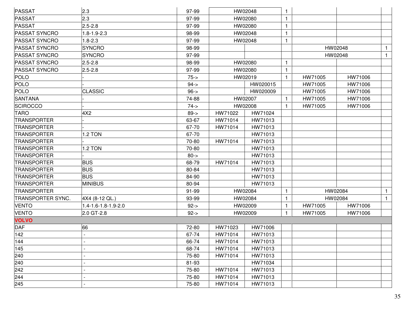| PASSAT               | 2.3                 | 97-99    |         | HW02048  | 1            |         |         |              |
|----------------------|---------------------|----------|---------|----------|--------------|---------|---------|--------------|
| <b>PASSAT</b>        | 2.3                 | 97-99    |         | HW02080  | $\mathbf{1}$ |         |         |              |
| <b>PASSAT</b>        | $2.5 - 2.8$         | 97-99    |         | HW02080  | $\mathbf{1}$ |         |         |              |
| <b>PASSAT SYNCRO</b> | $1.8 - 1.9 - 2.3$   | 98-99    |         | HW02048  | $\mathbf{1}$ |         |         |              |
| <b>PASSAT SYNCRO</b> | $1.8 - 2.3$         | 97-99    |         | HW02048  | $\mathbf{1}$ |         |         |              |
| <b>PASSAT SYNCRO</b> | <b>SYNCRO</b>       | 98-99    |         |          |              |         | HW02048 | $\mathbf{1}$ |
| <b>PASSAT SYNCRO</b> | <b>SYNCRO</b>       | 97-99    |         |          |              |         | HW02048 | $\mathbf{1}$ |
| <b>PASSAT SYNCRO</b> | $2.5 - 2.8$         | 98-99    |         | HW02080  | $\mathbf{1}$ |         |         |              |
| <b>PASSAT SYNCRO</b> | $2.5 - 2.8$         | 97-99    |         | HW02080  | $\mathbf{1}$ |         |         |              |
| <b>POLO</b>          |                     | $75 - 5$ |         | HW02019  | $\mathbf{1}$ | HW71005 | HW71006 |              |
| <b>POLO</b>          |                     | $94 - 5$ |         | HW020015 |              | HW71005 | HW71006 |              |
| <b>POLO</b>          | <b>CLASSIC</b>      | $96 - >$ |         | HW020009 |              | HW71005 | HW71006 |              |
| <b>SANTANA</b>       |                     | 74-88    |         | HW02007  | 1            | HW71005 | HW71006 |              |
| <b>SCIROCCO</b>      |                     | $74 - 5$ |         | HW02008  | $\mathbf{1}$ | HW71005 | HW71006 |              |
| <b>TARO</b>          | 4X2                 | $89 - >$ | HW71022 | HW71024  |              |         |         |              |
| <b>TRANSPORTER</b>   |                     | 63-67    | HW71014 | HW71013  |              |         |         |              |
| <b>TRANSPORTER</b>   |                     | 67-70    | HW71014 | HW71013  |              |         |         |              |
| <b>TRANSPORTER</b>   | 1.2 TON             | 67-70    |         | HW71013  |              |         |         |              |
| <b>TRANSPORTER</b>   |                     | 70-80    | HW71014 | HW71013  |              |         |         |              |
| <b>TRANSPORTER</b>   | 1.2 TON             | 70-80    |         | HW71013  |              |         |         |              |
| <b>TRANSPORTER</b>   |                     | $80 - >$ |         | HW71013  |              |         |         |              |
| <b>TRANSPORTER</b>   | <b>BUS</b>          | 68-79    | HW71014 | HW71013  |              |         |         |              |
| <b>TRANSPORTER</b>   | <b>BUS</b>          | 80-84    |         | HW71013  |              |         |         |              |
| <b>TRANSPORTER</b>   | <b>BUS</b>          | 84-90    |         | HW71013  |              |         |         |              |
| <b>TRANSPORTER</b>   | <b>MINIBUS</b>      | 80-94    |         | HW71013  |              |         |         |              |
| <b>TRANSPORTER</b>   |                     | 91-99    |         | HW02084  | 1            |         | HW02084 | $\mathbf{1}$ |
| TRANSPORTER SYNC.    | 4X4 (8-12 QL.)      | 93-99    |         | HW02084  | $\mathbf{1}$ |         | HW02084 | $\mathbf{1}$ |
| <b>VENTO</b>         | 1.4-1.6-1.8-1.9-2.0 | $92 - >$ |         | HW02009  | $\mathbf{1}$ | HW71005 | HW71006 |              |
| <b>VENTO</b>         | 2.0 GT-2.8          | $92 - >$ |         | HW02009  | $\mathbf{1}$ | HW71005 | HW71006 |              |
| <b>VOLVO</b>         |                     |          |         |          |              |         |         |              |
| <b>DAF</b>           | 66                  | 72-80    | HW71023 | HW71006  |              |         |         |              |
| 142                  |                     | 67-74    | HW71014 | HW71013  |              |         |         |              |
| 144                  |                     | 66-74    | HW71014 | HW71013  |              |         |         |              |
| 145                  |                     | 68-74    | HW71014 | HW71013  |              |         |         |              |
| 240                  |                     | 75-80    | HW71014 | HW71013  |              |         |         |              |
| 240                  |                     | 81-93    |         | HW71034  |              |         |         |              |
| 242                  |                     | 75-80    | HW71014 | HW71013  |              |         |         |              |
| 244                  |                     | 75-80    | HW71014 | HW71013  |              |         |         |              |
| 245                  |                     | 75-80    | HW71014 | HW71013  |              |         |         |              |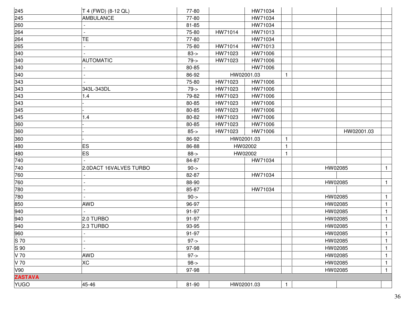| 245            | T 4 (FWD) (8-12 QL)    | 77-80       |         | HW71034    |              |         |            |              |
|----------------|------------------------|-------------|---------|------------|--------------|---------|------------|--------------|
| 245            | AMBULANCE              | 77-80       |         | HW71034    |              |         |            |              |
| 260            |                        | 81-85       |         | HW71034    |              |         |            |              |
| 264            |                        | 75-80       | HW71014 | HW71013    |              |         |            |              |
| 264            | ΤE                     | 77-80       |         | HW71034    |              |         |            |              |
| 265            |                        | 75-80       | HW71014 | HW71013    |              |         |            |              |
| 340            |                        | $83 - >$    | HW71023 | HW71006    |              |         |            |              |
| 340            | <b>AUTOMATIC</b>       | $79 - >$    | HW71023 | HW71006    |              |         |            |              |
| 340            |                        | 80-85       |         | HW71006    |              |         |            |              |
| 340            |                        | 86-92       |         | HW02001.03 | $\mathbf{1}$ |         |            |              |
| 343            |                        | 75-80       | HW71023 | HW71006    |              |         |            |              |
| 343            | 343L-343DL             | $79 - >$    | HW71023 | HW71006    |              |         |            |              |
| 343            | 1.4                    | 79-82       | HW71023 | HW71006    |              |         |            |              |
| 343            |                        | 80-85       | HW71023 | HW71006    |              |         |            |              |
| 345            |                        | 80-85       | HW71023 | HW71006    |              |         |            |              |
| 345            | 1.4                    | 80-82       | HW71023 | HW71006    |              |         |            |              |
| 360            |                        | 80-85       | HW71023 | HW71006    |              |         |            |              |
| 360            |                        | $85 - >$    | HW71023 | HW71006    |              |         | HW02001.03 |              |
| 360            |                        | 86-92       |         | HW02001.03 | $\mathbf{1}$ |         |            |              |
| 480            | <b>ES</b>              | 86-88       |         | HW02002    | $\mathbf{1}$ |         |            |              |
| 480            | <b>ES</b>              | $88 - >$    |         | HW02002    | $\mathbf{1}$ |         |            |              |
| 740            |                        | 84-87       |         | HW71034    |              |         |            |              |
| 740            | 2.0DACT 16VALVES TURBO | $90 - > 90$ |         |            |              | HW02085 |            | $\mathbf{1}$ |
| 760            |                        | 82-87       |         | HW71034    |              |         |            |              |
| 760            |                        | 88-90       |         |            |              | HW02085 |            | $\mathbf{1}$ |
| 780            |                        | 85-87       |         | HW71034    |              |         |            |              |
| 780            |                        | $90 - >$    |         |            |              | HW02085 |            | $\mathbf{1}$ |
| 850            | <b>AWD</b>             | 96-97       |         |            |              | HW02085 |            | $\mathbf{1}$ |
| 940            |                        | 91-97       |         |            |              | HW02085 |            | $\mathbf{1}$ |
| 940            | 2.0 TURBO              | 91-97       |         |            |              | HW02085 |            | $\mathbf{1}$ |
| 940            | 2.3 TURBO              | 93-95       |         |            |              | HW02085 |            | $\mathbf{1}$ |
| 960            |                        | 91-97       |         |            |              | HW02085 |            | $\mathbf{1}$ |
| S 70           |                        | $97 - >$    |         |            |              | HW02085 |            | $\mathbf{1}$ |
| S 90           |                        | 97-98       |         |            |              | HW02085 |            | $\mathbf{1}$ |
| V 70           | <b>AWD</b>             | $97 - >$    |         |            |              | HW02085 |            | 1            |
| V 70           | <b>XC</b>              | $98 - > 98$ |         |            |              | HW02085 |            | $\mathbf{1}$ |
| V90            |                        | 97-98       |         |            |              | HW02085 |            | 1            |
| <b>ZASTAVA</b> |                        |             |         |            |              |         |            |              |
| <b>YUGO</b>    | 45-46                  | 81-90       |         | HW02001.03 | $\mathbf{1}$ |         |            |              |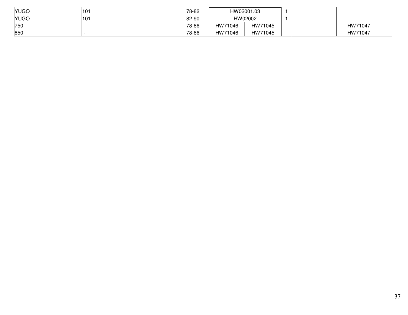| <b>YUGO</b> | 101 | 78-82 | HW02001.03         |  |         |
|-------------|-----|-------|--------------------|--|---------|
| <b>YUGO</b> | 101 | 82-90 | HW02002            |  |         |
| 750         |     | 78-86 | HW71046<br>HW71045 |  | HW71047 |
| 850         |     | 78-86 | HW71045<br>HW71046 |  | HW71047 |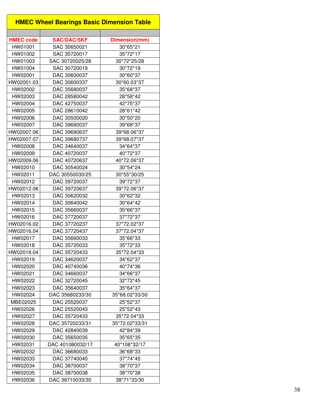|                  | <b>HMEC Wheel Bearings Basic Dimension Table</b> |                |
|------------------|--------------------------------------------------|----------------|
|                  |                                                  |                |
| <b>HMEC code</b> | <b>SAC/DAC/SKF</b>                               | Dimension(mm)  |
| HW01001          | SAC 30650021                                     | 30*65*21       |
| HW01002          | SAC 35720017                                     | 35*72*17       |
| HW01003          | SAC 30720025/28                                  | 30*72*25/28    |
| HW01004          | SAC 30720019                                     | 30*72*19       |
| HW02001          | DAC 30600037                                     | 30*60*37       |
| HW02001.03       | DAC 30600337                                     | 30*60.03*37    |
| HW02002          | DAC 35680037                                     | 35*68*37       |
| HW02003          | DAC 28580042                                     | 28*58*42       |
| HW02004          | DAC 42750037                                     | 42*75*37       |
| HW02005          | DAC 28610042                                     | 28*61*42       |
| HW02006          | DAC 30500020                                     | 30*50*20       |
| HW02007          | DAC 39680037                                     | 39*68*37       |
| HW02007.06       | DAC 39680637                                     | 39*68.06*37    |
| HW02007.07       | DAC 39680737                                     | 39*68.07*37    |
| HW02008          | DAC 34640037                                     | 34*64*37       |
| HW02009          | DAC 40720037                                     | 40*72*37       |
| HW02009.06       | DAC 40720637                                     | 40*72.06*37    |
| HW02010          | DAC 30540024                                     | 30*54*24       |
| HW02011          | DAC 30550030/25                                  | 30*55*30/25    |
| HW02012          | DAC 39720037                                     | 39*72*37       |
| HW02012.06       | DAC 39720637                                     | 39*72.06*37    |
| HW02013          | DAC 30620032                                     | 30*62*32       |
| HW02014          | DAC 30640042                                     | 30*64*42       |
| HW02015          | DAC 35660037                                     | 35*66*37       |
| HW02016          | DAC 37720037                                     | 37*72*37       |
| HW02016.02       | DAC 37720237                                     | 37*72.02*37    |
| HW02016.04       | DAC 37720437                                     | 37*72.04*37    |
| HW02017          | DAC 35660033                                     | 35*66*33       |
| HW02018          | DAC 35720033                                     | 35*72*33       |
| HW02018.04       | DAC 35720433                                     | 35*72.04*33    |
| HW02019          | DAC 34620037                                     | 34*62*37       |
| HW02020          | DAC 40740036                                     | 40*74*36       |
| HW02021          | DAC 34660037                                     | 34*66*37       |
| HW02022          | DAC 32720045                                     | 32*72*45       |
| HW02023          | DAC 35640037                                     | 35*64*37       |
| HW02024          | DAC 35680233/30                                  | 35*68.02*33/30 |
| MBE02025         | DAC 25520037                                     | 25*52*37       |
| HW02026          | DAC 25520043                                     | 25*52*43       |
| HW02027          | DAC 35720433                                     | 35*72.04*33    |
| HW02028          | DAC 35720233/31                                  | 35*72.02*33/31 |
| HW02029          | DAC 42840039                                     | 42*84*39       |
| HW02030          | DAC 35650035                                     | 35*65*35       |
| HW02031          | DAC 401080032/17                                 | 40*108*32/17   |
| HW02032          | DAC 36680033                                     | 36*68*33       |
| HW02033          | DAC 37740045                                     | 37*74*45       |
| HW02034          | DAC 38700037                                     | 38*70*37       |
| HW02035          | DAC 38700038                                     | 38*70*38       |
| HW02036          | DAC 38710033/30                                  | 38*71*33/30    |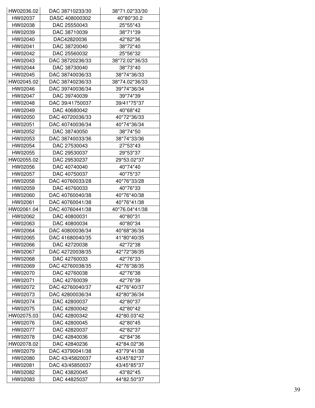| HW02036.02         | DAC 38710233/30              | 38*71.02*33/30             |
|--------------------|------------------------------|----------------------------|
| HW02037            | DASC 408000302               | 40*80*30.2                 |
| HW02038            | DAC 25550043                 | 25*55*43                   |
| HW02039            | DAC 38710039                 | 38*71*39                   |
| HW02040            | DAC42820036                  | 42*82*36                   |
| HW02041            | DAC 38720040                 | 38*72*40                   |
| HW02042            | DAC 25560032                 | 25*56*32                   |
| HW02043            | DAC 38720236/33              | 38*72.02*36/33             |
| HW02044            | DAC 38730040                 | 38*73*40                   |
| HW02045            | DAC 38740036/33              | 38*74*36/33                |
| HW02045.02         | DAC 38740236/33              | 38*74.02*36/33             |
| HW02046            | DAC 39740036/34              | 39*74*36/34                |
| HW02047            | DAC 39740039                 | 39*74*39                   |
| HW02048            | DAC 39/41750037              | 39/41*75*37                |
| HW02049            | DAC 40680042                 | 40*68*42                   |
| HW02050            | DAC 40720036/33              | 40*72*36/33                |
| HW02051            | DAC 40740036/34              | 40*74*36/34                |
| HW02052            | DAC 38740050                 | 38*74*50                   |
| HW02053            | DAC 38740033/36              | 38*74*33/36                |
| HW02054            | DAC 27530043                 | 27*53*43                   |
| HW02055            | DAC 29530037                 | 29*53*37                   |
| HW02055.02         | DAC 29530237                 | 29*53.02*37                |
| HW02056            | DAC 40740040                 | 40*74*40                   |
| HW02057            | DAC 40750037                 | 40*75*37                   |
| HW02058            | DAC 40760033/28              | 40*76*33/28                |
| HW02059            | DAC 40760033                 | 40*76*33                   |
| HW02060            | DAC 40760040/38              | 40*76*40/38                |
| HW02061            | DAC 40760041/38              | 40*76*41/38                |
| HW02061.04         | DAC 40760441/38              | 40*76.04*41/38             |
| HW02062            | DAC 40800031                 | 40*80*31                   |
| HW02063            | DAC 40800034                 | 40*80*34                   |
| HW02064            | DAC 40800036/34              | 40*68*36/34                |
| HW02065            | DAC 41680040/35              | 41*80*40/35                |
| HW02066            | DAC 42720038                 | 42*72*38                   |
| HW02067            | DAC 42720038/35              | 42*72*38/35                |
| HW02068            | DAC 42760033                 | 42*76*33                   |
| HW02069            | DAC 42760038/35              | 42*76*38/35                |
| HW02070            | DAC 42760038                 | 42*76*38                   |
| HW02071            | DAC 42760039                 | 42*76*39                   |
| HW02072            | DAC 42760040/37              | 42*76*40/37                |
| HW02073            | DAC 42800036/34              | 42*80*36/34                |
| HW02074            | DAC 42800037                 | 42*80*37                   |
| HW02075            | DAC 42800042                 | 42*80*42                   |
| HW02075.03         | DAC 42800342                 | 42*80.03*42                |
|                    |                              |                            |
| HW02076<br>HW02077 | DAC 42800045<br>DAC 42820037 | 42*80*45<br>42*82*37       |
| HW02078            | DAC 42840036                 | 42*84*36                   |
|                    |                              |                            |
| HW02078.02         | DAC 42840236                 | 42*84.02*36<br>43*79*41/38 |
| HW02079            | DAC 43790041/38              |                            |
| HW02080            | DAC 43/45820037              | 43/45*82*37                |
| HW02081            | DAC 43/45850037              | 43/45*85*37                |
| HW02082            | DAC 43820045                 | 43*82*45                   |
| HW02083            | DAC 44825037                 | 44*82.50*37                |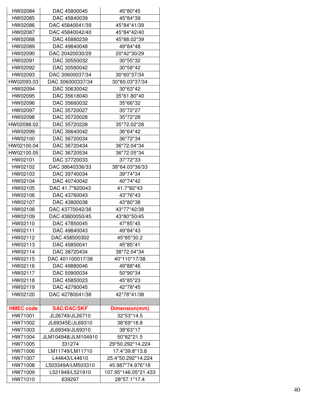| HW02084          | DAC 45800045        | 45*80*45             |
|------------------|---------------------|----------------------|
| HW02085          | DAC 45840039        | 45*84*39             |
| HW02086          | DAC 45840041/39     | 45*84*41/39          |
| HW02087          | DAC 45840042/40     | 45*84*42/40          |
| HW02088          | DAC 45880239        | 45*88.02*39          |
| HW02089          | DAC 49840048        | 49*84*48             |
| HW02090          | DAC 20420030/29     | 20*42*30/29          |
| HW02091          | DAC 30550032        | 30*55*32             |
| HW02092          | DAC 30580042        | 30*58*42             |
| HW02093          | DAC 30600037/34     | 30*60*37/34          |
| HW02093.03       | DAC 306000337/34    | 30*60.03*37/34       |
| HW02094          | DAC 30630042        | 30*63*42             |
| HW02095          | DAC 35618040        | 35*61.80*40          |
| HW02096          | DAC 35660032        | 35*66*32             |
| HW02097          | DAC 35720027        | 35*72*27             |
| HW02098          | DAC 35720028        | 35*72*28             |
| HW02098.02       | DAC 35720228        | 35*72.02*28          |
| HW02099          | DAC 36640042        | 36*64*42             |
| HW02100          | DAC 36720034        | 36*72*34             |
| HW02100.04       | DAC 36720434        | 36*72.04*34          |
| HW02100.05       | DAC 36720534        | 36*72.05*34          |
| HW02101          | DAC 37720033        | 37*72*33             |
| HW02102          | DAC 38640336/33     | 38*64.03*36/33       |
| HW02103          | DAC 39740034        | 39*74*34             |
| HW02104          | DAC 40740042        | 40*74*42             |
| HW02105          | DAC 41.7*820043     | 41.7*82*43           |
| HW02106          | DAC 43760043        | 43*76*43             |
| HW02107          | DAC 43800038        | 43*80*38             |
| HW02108          | DAC 43770042/38     | 43*77*42/38          |
| HW02109          | DAC 43800050/45     | 43*80*50/45          |
| HW02110          | DAC 47850045        | 47*85*45             |
| HW02111          | DAC 49840043        | 49*84*43             |
| HW02112          | DAC 458500302       | 45*85*30.2           |
| HW02113          | DAC 45850041        | 45*85*41             |
| HW02114          | DAC 38720434        | 38*72.04*34          |
| HW02115          | DAC 401100017/38    | 40*110*17/38         |
| HW02116          | DAC 49880046        | 49*88*46             |
| HW02117          | DAC 50900034        | 50*90*34             |
| HW02118          | DAC 45850023        | 45*85*23             |
| HW02119          | DAC 42780045        | 42*78*45             |
| HW02120          | DAC 42780041/38     | 42*78*41/38          |
|                  |                     |                      |
| <b>HMEC code</b> | <b>SAC/DAC/SKF</b>  | Dimension(mm)        |
| HW71001          | JL26749/JL26710     | 32*53*14.5           |
| HW71002          | JL69345E/JL69310    | 38*69*18.8           |
| HW71003          | JL69349/JL69310     | 38*63*17             |
| HW71004          | JLM104948/JLM104910 | 50*82*21.5           |
| HW71005          | 331274              | 29*50.292*14.224     |
| HW71006          | LM11749/LM11710     | 17.4*39.8*13.8       |
| HW71007          | L44643/L44610       | 25.4*50.292*14.224   |
| HW71008          | L503349A/LM503310   | 45.987*74.976*18     |
| HW71009          | L521949/L521910     | 107.95*146.05*21.433 |
| HW71010          | 639297              | 28*57.1*17.4         |
|                  |                     |                      |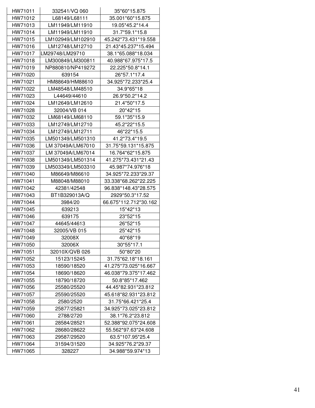| HW71011 | 332541/VQ 060     | 35*60*15.875          |
|---------|-------------------|-----------------------|
| HW71012 | L68149/L68111     | 35.001*60*15.875      |
| HW71013 | LM11949/LM11910   | 19.05*45.2*14.4       |
| HW71014 | LM11949/LM11910   | 31.7*59.1*15.8        |
| HW71015 | LM102949/LM102910 | 45.242*73.431*19.558  |
| HW71016 | LM12748/LM12710   | 21.43*45.237*15.494   |
| HW71017 | LM29748/LM29710   | 38.1*65.088*18.034    |
| HW71018 | LM300849/LM300811 | 40.988*67.975*17.5    |
| HW71019 | NP880810/NP419272 | 22.225*50.8*14.1      |
| HW71020 | 639154            | 26*57.1*17.4          |
| HW71021 | HM88649/HM88610   | 34.925*72.233*25.4    |
| HW71022 | LM48548/LM48510   | 34.9*65*18            |
| HW71023 | L44649/44610      | 26.9*50.2*14.2        |
| HW71024 | LM12649/LM12610   | 21.4*50*17.5          |
| HW71028 | 32004/VB 014      | 20*42*15              |
| HW71032 | LM68149/LM68110   | 59.1*35*15.9          |
| HW71033 | LM12749/LM12710   | 45.2*22*15.5          |
| HW71034 | LM12749/LM12711   | 46*22*15.5            |
| HW71035 | LM501349/LM501310 | 41.2*73.4*19.5        |
| HW71036 | LM 37049A/LM67010 | 31.75*59.131*15.875   |
| HW71037 | LM 37049A/LM67014 | 16.764*62*15.875      |
| HW71038 | LM501349/LM501314 | 41.275*73.431*21.43   |
| HW71039 | LM503349/LM503310 | 45.987*74.976*18      |
| HW71040 | M86649/M86610     | 34.925*72.233*29.37   |
| HW71041 | M88048/M88010     | 33.338*68.262*22.225  |
| HW71042 | 42381/42548       | 96.838*148.43*28.575  |
| HW71043 | BT1B329013A/Q     | 2929*50.3*17.52       |
| HW71044 | 3984/20           | 66.675*112.712*30.162 |
| HW71045 | 639213            | 15*42*13              |
| HW71046 | 639175            | 23*52*15              |
| HW71047 | 44645/44613       | 26*52*15              |
| HW71048 | 32005/VB 015      | 25*42*15              |
| HW71049 | 32008X            | 40*68*19              |
| HW71050 | 32006X            | 30*55*17.1            |
| HW71051 | 32010X/QVB 026    | 50*80*20              |
| HW71052 | 15123/15245       | 31.75*62.18*18.161    |
| HW71053 | 18590/18520       | 41.275*73.025*16.667  |
| HW71054 | 18690/18620       | 46.038*79.375*17.462  |
| HW71055 | 18790/18720       | 50.8*85*17.462        |
| HW71056 | 25580/25520       | 44.45*82.931*23.812   |
| HW71057 | 25590/25520       | 45.618*82.931*23.812  |
| HW71058 | 2580/2520         | 31.75*66.421*25.4     |
| HW71059 | 25877/25821       | 34.925*73.025*23.812  |
| HW71060 | 2788/2720         | 38.1*76.2*23.812      |
| HW71061 | 28584/28521       | 52.388*92.075*24.608  |
| HW71062 | 28680/28622       | 55.562*97.63*24.608   |
| HW71063 | 29587/29520       | 63.5*107.95*25.4      |
| HW71064 | 31594/31520       | 34.925*76.2*29.37     |
| HW71065 | 328227            | 34.988*59.974*13      |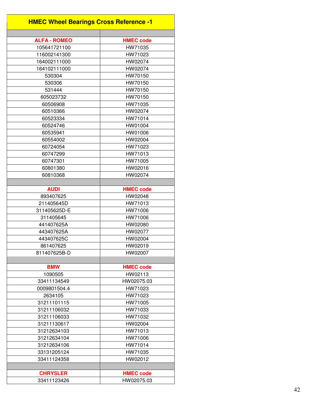| <b>HMEC Wheel Bearings Cross Reference -1</b> |                  |  |
|-----------------------------------------------|------------------|--|
|                                               |                  |  |
| <b>ALFA - ROMEO</b>                           | <b>HMEC code</b> |  |
| 105641721100                                  | HW71035          |  |
| 116002141300                                  | HW71023          |  |
| 164002111000                                  | HW02074          |  |
| 164102111000                                  | HW02074          |  |
| 530304                                        | HW70150          |  |
| 530306                                        | HW70150          |  |
| 531444                                        | HW70150          |  |
| 605023732                                     | HW70150          |  |
| 60506908                                      | HW71035          |  |
| 60510366                                      | HW02074          |  |
| 60523334                                      | HW71014          |  |
| 60524746                                      | HW01004          |  |
| 60535941                                      | HW01006          |  |
| 60554002                                      | HW02004          |  |
| 60724054                                      | HW71023          |  |
| 60747299                                      | HW71013          |  |
| 60747301                                      | HW71005          |  |
| 60801380                                      | HW02016          |  |
| 60810368                                      | HW02074          |  |
|                                               |                  |  |
| <b>AUDI</b>                                   | <b>HMEC code</b> |  |
| 893407625                                     | HW02048          |  |
| 211405645D                                    | HW71013          |  |
| 311405625D-E                                  | HW71006          |  |
| 311405645                                     | HW71006          |  |
| 441407625A                                    | HW02080          |  |
| 443407625A                                    | HW02077          |  |
| 443407625C                                    | HW02004          |  |
| 861407625                                     | HW02019          |  |
| 811407625B-D                                  | HW02007          |  |
|                                               |                  |  |
| <b>BMW</b>                                    | <b>HMEC code</b> |  |
| 1090505                                       | HW02113          |  |
| 33411134549                                   | HW02075.03       |  |
| 0009801504.4                                  | HW71023          |  |
| 2634105                                       | HW71023          |  |
| 31211101115                                   | HW71005          |  |
| 31211106032                                   | HW71033          |  |
| 31211106033                                   | HW71032          |  |
| 31211130617                                   | HW02004          |  |
|                                               |                  |  |
| 31212634103                                   | HW71013          |  |
| 31212634104                                   | HW71006          |  |
| 31212634106                                   | HW71014          |  |
| 33131205124                                   | HW71035          |  |
| 33411124358                                   | HW02012          |  |
|                                               |                  |  |
| <b>CHRYSLER</b>                               | <b>HMEC code</b> |  |
| 33411123426                                   | HW02075.03       |  |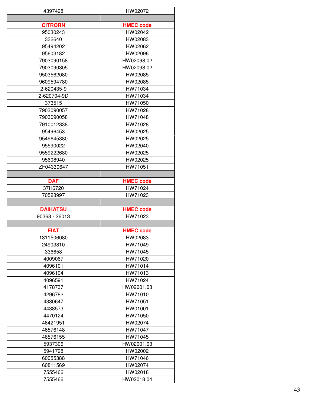| 4397498            | HW02072               |
|--------------------|-----------------------|
|                    |                       |
| <b>CITRORN</b>     | <b>HMEC code</b>      |
| 95030243           | HW02042               |
| 332640             | HW02083               |
| 95494202           | HW02062               |
| 95603182           | HW02096               |
| 7903090158         | HW02098.02            |
| 7903090305         | HW02098.02            |
| 9503562080         | HW02085               |
| 9609594780         | HW02085               |
| 2-620435-9         | HW71034               |
| 2-620704-9D        | HW71034               |
| 373515             | HW71050               |
| 7903090057         | HW71028               |
| 7903090058         | HW71048               |
| 7910012338         | HW71028               |
| 95496453           | HW02025               |
| 9549645380         | HW02025               |
| 95590022           | HW02040               |
| 9559222680         | HW02025               |
| 95608940           | HW02025               |
| ZF04330647         | HW71051               |
|                    |                       |
| <b>DAF</b>         | <b>HMEC code</b>      |
| 37H6720            | HW71024               |
| 70528997           | HW71023               |
|                    |                       |
| <b>DAIHATSU</b>    | <b>HMEC code</b>      |
| 90368 - 26013      | HW71023               |
|                    |                       |
| <b>FIAT</b>        | <b>HMEC code</b>      |
| 1311506080         | HW02083               |
| 24903810           | HW71049               |
| 336658             | HW71045               |
| 4009067            | HW71020               |
| 4096101            | HW71014               |
| 4096104            | HW71013               |
| 4096591            | HW71024               |
| 4178737            | HW02001.03            |
| 4296782            | HW71010               |
| 4330647            | HW71051               |
| 4438573            | HW01001               |
| 4470124            | HW71050               |
| 46421951           | HW02074               |
| 46576148           | HW71047               |
| 46576155           | HW71045               |
| 5937306            | HW02001.03            |
|                    | HW02002               |
| 5941798            |                       |
|                    |                       |
| 60055388           | HW71046               |
| 60811569           | HW02074               |
| 7555466<br>7555466 | HW02018<br>HW02018.04 |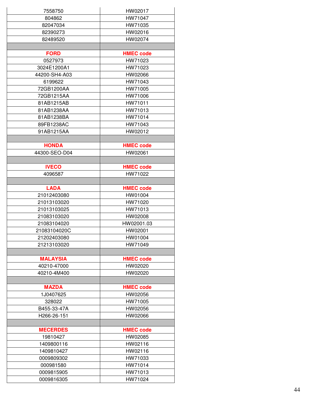| 7558750         | HW02017          |
|-----------------|------------------|
| 804862          | HW71047          |
| 82047034        | HW71035          |
| 82390273        | HW02016          |
| 82489520        | HW02074          |
|                 |                  |
| <b>FORD</b>     | <b>HMEC code</b> |
| 0527973         | HW71023          |
| 3024E1200A1     | HW71023          |
| 44200-SH4-A03   | HW02066          |
| 6199622         | HW71043          |
| 72GB1200AA      | HW71005          |
| 72GB1215AA      | HW71006          |
| 81AB1215AB      |                  |
|                 | HW71011          |
| 81AB1238AA      | HW71013          |
| 81AB1238BA      | HW71014          |
| 89FB1238AC      | HW71043          |
| 91AB1215AA      | HW02012          |
|                 |                  |
| <b>HONDA</b>    | <b>HMEC code</b> |
| 44300-SEO-D04   | HW02061          |
|                 |                  |
| <b>IVECO</b>    | <b>HMEC code</b> |
| 4096587         | HW71022          |
|                 |                  |
| <b>LADA</b>     | <b>HMEC code</b> |
| 21012403080     | HW01004          |
| 21013103020     | HW71020          |
| 21013103025     | HW71013          |
| 21083103020     | HW02008          |
| 21083104020     | HW02001.03       |
| 21083104020C    | HW02001          |
| 21202403080     | HW01004          |
| 21213103020     | HW71049          |
|                 |                  |
| <b>MALAYSIA</b> | <b>HMEC code</b> |
| 40210-47000     | HW02020          |
| 40210-4M400     | HW02020          |
|                 |                  |
| <b>MAZDA</b>    | <b>HMEC code</b> |
| 1J0407625       | HW02056          |
| 328022          | HW71005          |
| B455-33-47A     | HW02056          |
| H266-26-151     | HW02066          |
|                 |                  |
| <b>MECERDES</b> | <b>HMEC code</b> |
| 19810427        | HW02085          |
| 1409800116      | HW02116          |
| 1409810427      | HW02116          |
| 0009809302      | HW71033          |
| 000981580       | HW71014          |
| 0009815905      | HW71013          |
| 0009816305      | HW71024          |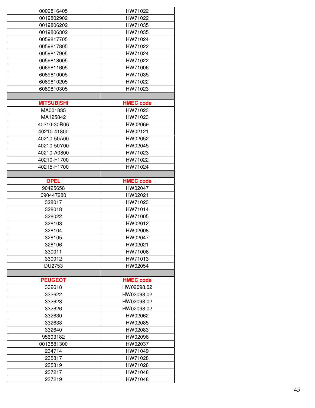| 0009816405        | HW71022          |
|-------------------|------------------|
| 0019802902        | HW71022          |
| 0019806202        | HW71035          |
| 0019806302        | HW71035          |
| 0059817705        | HW71024          |
|                   |                  |
| 0059817805        | HW71022          |
| 0059817905        | HW71024          |
| 0059818005        | HW71022          |
| 0069811605        | HW71006          |
| 6089810005        | HW71035          |
| 6089810205        | HW71022          |
| 6089810305        | HW71023          |
|                   |                  |
| <b>MITSUBISHI</b> | <b>HMEC code</b> |
| MA001835          | HW71023          |
| MA125842          | HW71023          |
| 40210-30R06       | HW02069          |
| 40210-41800       | HW02121          |
| 40210-50A00       | HW02052          |
| 40210-50Y00       | HW02045          |
| 40210-A0800       | HW71023          |
| 40210-F1700       | HW71022          |
| 40215-F1700       | HW71024          |
|                   |                  |
| <b>OPEL</b>       | <b>HMEC code</b> |
| 90425658          | HW02047          |
| 090447280         | HW02021          |
| 328017            | HW71023          |
| 328018            | HW71014          |
| 328022            | HW71005          |
| 328103            | HW02012          |
| 328104            | HW02008          |
| 328105            | HW02047          |
| 328106            | HW02021          |
| 330011            | HW71006          |
| 330012            | HW71013          |
| DU2753            | HW02054          |
|                   |                  |
| <b>PEUGEOT</b>    | <b>HMEC code</b> |
| 332618            | HW02098.02       |
| 332622            | HW02098.02       |
| 332623            | HW02098.02       |
| 332626            | HW02098.02       |
| 332630            | HW02062          |
| 332638            | HW02085          |
| 332640            | HW02083          |
|                   |                  |
| 95603182          | HW02096          |
| 0013881300        | HW02037          |
| 234714            | HW71049          |
| 235817            | HW71028          |
| 235819            | HW71028          |
| 237217            | HW71048          |
| 237219            | HW71048          |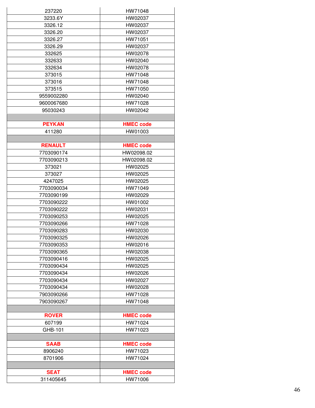| 237220         | HW71048          |
|----------------|------------------|
| 3233.6Y        | HW02037          |
| 3326.12        | HW02037          |
| 3326.20        | HW02037          |
| 3326.27        | HW71051          |
|                |                  |
| 3326.29        | HW02037          |
| 332625         | HW02078          |
| 332633         | HW02040          |
| 332634         | HW02078          |
| 373015         | HW71048          |
| 373016         | HW71048          |
| 373515         | HW71050          |
| 9559002280     | HW02040          |
| 9600067680     | HW71028          |
| 95030243       | HW02042          |
|                |                  |
| <b>PEYKAN</b>  | <b>HMEC code</b> |
| 411280         | HW01003          |
|                |                  |
| <b>RENAULT</b> | <b>HMEC code</b> |
| 7703090174     | HW02098.02       |
| 7703090213     | HW02098.02       |
| 373021         | HW02025          |
| 373027         | HW02025          |
| 4247025        | HW02025          |
|                |                  |
| 7703090034     | HW71049          |
| 7703090199     | HW02029          |
| 7703090222     | HW01002          |
| 7703090222     | HW02031          |
| 7703090253     | HW02025          |
| 7703090266     | HW71028          |
| 7703090283     | HW02030          |
| 7703090325     | HW02026          |
| 7703090353     | HW02016          |
| 7703090365     | HW02038          |
| 7703090416     | HW02025          |
| 7703090434     | HW02025          |
| 7703090434     | HW02026          |
| 7703090434     | HW02027          |
| 7703090434     | HW02028          |
| 7903090266     | HW71028          |
| 7903090267     | HW71048          |
|                |                  |
| <b>ROVER</b>   | <b>HMEC code</b> |
| 607199         | HW71024          |
| GHB-101        | HW71023          |
|                |                  |
| <b>SAAB</b>    |                  |
|                | <b>HMEC code</b> |
| 8906240        | HW71023          |
| 8701906        | HW71024          |
|                |                  |
| <b>SEAT</b>    | <b>HMEC code</b> |
| 311405645      | HW71006          |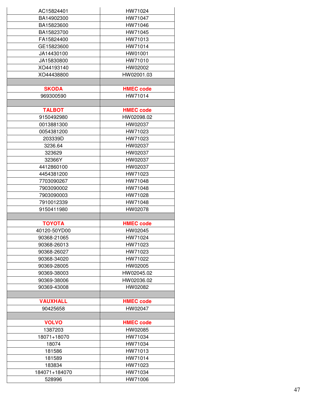| AC15824401      | HW71024          |
|-----------------|------------------|
| BA14902300      | HW71047          |
|                 |                  |
| BA15823600      | HW71046          |
| BA15823700      | HW71045          |
| FA15824400      | HW71013          |
| GE15823600      | HW71014          |
| JA14430100      | HW01001          |
| JA15830800      | HW71010          |
| XO44193140      | HW02002          |
| XO44438800      | HW02001.03       |
|                 |                  |
| <b>SKODA</b>    | <b>HMEC code</b> |
| 969300590       | HW71014          |
|                 |                  |
| <b>TALBOT</b>   | <b>HMEC code</b> |
| 9150492980      | HW02098.02       |
| 0013881300      | HW02037          |
| 0054381200      | HW71023          |
| 203339D         | HW71023          |
| 3236.64         | HW02037          |
| 323629          | HW02037          |
| 32366Y          | HW02037          |
| 4412860100      | HW02037          |
| 4454381200      | HW71023          |
| 7703090267      | HW71048          |
| 7903090002      | HW71048          |
|                 |                  |
| 7903090003      | HW71028          |
| 7910012339      | HW71048          |
| 9150411980      | HW02078          |
| <b>TOYOTA</b>   |                  |
|                 | <b>HMEC code</b> |
| 40120-50YD00    | HW02045          |
| 90368-21065     | HW71024          |
| 90368-26013     | HW71023          |
| 90368-26027     | HW71023          |
| 90368-34020     | HW71022          |
| 90369-28005     | HW02005          |
| 90369-38003     | HW02045.02       |
| 90369-38006     | HW02036.02       |
| 90369-43008     | HW02082          |
|                 |                  |
| <b>VAUXHALL</b> | <b>HMEC code</b> |
| 90425658        | HW02047          |
|                 |                  |
| <b>VOLVO</b>    | <b>HMEC code</b> |
| 1387203         | HW02085          |
| 18071+18070     | HW71034          |
| 18074           | HW71034          |
| 181586          | HW71013          |
| 181589          | HW71014          |
| 183834          | HW71023          |
| 184071+184070   | HW71034          |
| 528996          | HW71006          |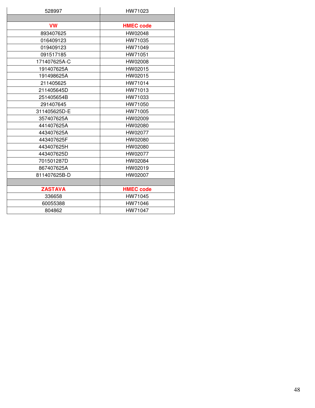| 528997         | HW71023          |
|----------------|------------------|
|                |                  |
| <b>VW</b>      | <b>HMEC code</b> |
| 893407625      | HW02048          |
| 016409123      | HW71035          |
| 019409123      | HW71049          |
| 091517185      | HW71051          |
| 171407625A-C   | HW02008          |
| 191407625A     | HW02015          |
| 191498625A     | HW02015          |
| 211405625      | HW71014          |
| 211405645D     | HW71013          |
| 251405654B     | HW71033          |
| 291407645      | HW71050          |
| 311405625D-E   | HW71005          |
| 357407625A     | HW02009          |
| 441407625A     | HW02080          |
| 443407625A     | HW02077          |
| 443407625F     | HW02080          |
| 443407625H     | HW02080          |
| 443407625D     | HW02077          |
| 701501287D     | HW02084          |
| 867407625A     | HW02019          |
| 811407625B-D   | HW02007          |
|                |                  |
| <b>ZASTAVA</b> | <b>HMEC code</b> |
| 336658         | HW71045          |
| 60055388       | HW71046          |
| 804862         | HW71047          |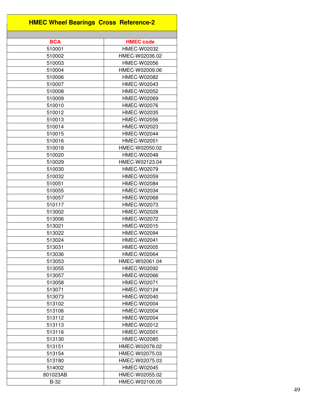| <b>HMEC Wheel Bearings Cross Reference-2</b> |                    |
|----------------------------------------------|--------------------|
|                                              |                    |
| <b>BCA</b>                                   | <b>HMEC code</b>   |
| 510001                                       | <b>HMEC-W02032</b> |
| 510002                                       | HMEC-W02036.02     |
| 510003                                       | HMEC-W02056        |
| 510004                                       | HMEC-W02009.06     |
| 510006                                       | HMEC-W02082        |
| 510007                                       | HMEC-W02043        |
| 510008                                       | HMEC-W02052        |
| 510009                                       | <b>HMEC-W02069</b> |
| 510010                                       | HMEC-W02076        |
| 510012                                       | HMEC-W02035        |
| 510013                                       | HMEC-W02056        |
| 510014                                       | HMEC-W02023        |
| 510015                                       | HMEC-W02044        |
| 510016                                       | <b>HMEC-W02051</b> |
| 510018                                       | HMEC-W02050.02     |
| 510020                                       | HMEC-W02048        |
| 510029                                       | HMEC-W02123.04     |
| 510030                                       | HMEC-W02079        |
| 510032                                       | HMEC-W02059        |
| 510051                                       | HMEC-W02084        |
| 510055                                       | HMEC-W02034        |
| 510057                                       | HMEC-W02068        |
| 510117                                       | HMEC-W02073        |
| 513002                                       | <b>HMEC-W02028</b> |
| 513006                                       | <b>HMEC-W02072</b> |
| 513021                                       | HMEC-W02015        |
| 513022                                       | HMEC-W02094        |
| 513024                                       | <b>HMEC-W02041</b> |
| 513031                                       | <b>HMEC-W02005</b> |
| 513036                                       | HMEC-W02064        |
| 513053                                       | HMEC-W02061.04     |
| 513055                                       | HMEC-W02092        |
| 513057                                       | <b>HMEC-W02066</b> |
| 513058                                       | HMEC-W02071        |
| 513071                                       | <b>HMEC-W02124</b> |
| 513073                                       | <b>HMEC-W02040</b> |
| 513102                                       | HMEC-W02004        |
| 513106                                       | HMEC-W02004        |
| 513112                                       | <b>HMEC-W02004</b> |
| 513113                                       | HMEC-W02012        |
| 513116                                       | HMEC-W02001        |
| 513130                                       | HMEC-W02085        |
| 513151                                       | HMEC-W02078.02     |
| 513154                                       | HMEC-W02075.03     |
| 513180                                       | HMEC-W02075.03     |
| 514002                                       | <b>HMEC-W02045</b> |
| 801023AB                                     | HMEC-W02055.02     |
| $B-32$                                       | HMEC-W02100.05     |
|                                              |                    |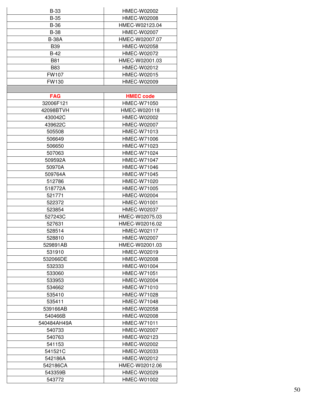| <b>B-33</b>  | HMEC-W02002        |
|--------------|--------------------|
| <b>B-35</b>  | <b>HMEC-W02008</b> |
| <b>B-36</b>  | HMEC-W02123.04     |
| <b>B-38</b>  | HMEC-W02007        |
| <b>B-38A</b> | HMEC-W02007.07     |
| <b>B39</b>   | HMEC-W02058        |
| $B-42$       | HMEC-W02072        |
| <b>B81</b>   | HMEC-W02001.03     |
| <b>B83</b>   | HMEC-W02012        |
| <b>FW107</b> | HMEC-W02015        |
|              |                    |
| FW130        | HMEC-W02009        |
|              |                    |
| <b>FAG</b>   | <b>HMEC code</b>   |
| 32006F121    | HMEC-W71050        |
| 42098BTVH    | HMEC-W020118       |
| 430042C      | HMEC-W02002        |
| 439622C      | HMEC-W02007        |
| 505508       | <b>HMEC-W71013</b> |
| 506649       | HMEC-W71006        |
| 506650       | HMEC-W71023        |
| 507063       | <b>HMEC-W71024</b> |
| 509592A      | <b>HMEC-W71047</b> |
| 50970A       | <b>HMEC-W71046</b> |
| 509764A      | <b>HMEC-W71045</b> |
| 512786       | HMEC-W71020        |
| 518772A      | HMEC-W71005        |
| 521771       | HMEC-W02004        |
| 522372       | HMEC-W01001        |
| 523854       | HMEC-W02037        |
| 527243C      | HMEC-W02075.03     |
| 527631       | HMEC-W02016.02     |
| 528514       | HMEC-W02117        |
| 528810       | HMEC-W02007        |
| 529891AB     | HMEC-W02001.03     |
| 531910       | HMEC-W02019        |
| 532066DE     | HMEC-W02008        |
| 532333       | HMEC-W01004        |
| 533060       | <b>HMEC-W71051</b> |
| 533953       | HMEC-W02004        |
|              | HMEC-W71010        |
| 534662       |                    |
| 535410       | <b>HMEC-W71028</b> |
| 535411       | <b>HMEC-W71048</b> |
| 539166AB     | HMEC-W02058        |
| 540466B      | HMEC-W02008        |
| 540484AH49A  | <b>HMEC-W71011</b> |
| 540733       | HMEC-W02007        |
| 540763       | HMEC-W02123        |
| 541153       | HMEC-W02002        |
| 541521C      | HMEC-W02033        |
| 542186A      | HMEC-W02012        |
| 542186CA     | HMEC-W02012.06     |
| 543359B      | HMEC-W02029        |
| 543772       | HMEC-W01002        |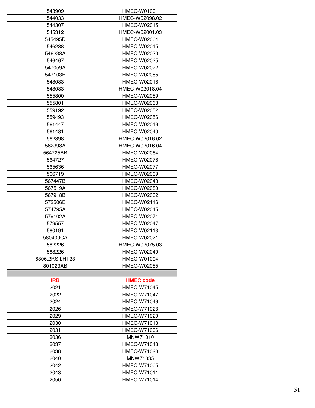| 543909         | HMEC-W01001        |
|----------------|--------------------|
| 544033         | HMEC-W02098.02     |
| 544307         | HMEC-W02015        |
| 545312         | HMEC-W02001.03     |
| 545495D        | HMEC-W02004        |
| 546238         | HMEC-W02015        |
| 546238A        | HMEC-W02030        |
| 546467         | HMEC-W02025        |
| 547059A        | HMEC-W02072        |
| 547103E        | <b>HMEC-W02085</b> |
| 548083         | HMEC-W02018        |
| 548083         | HMEC-W02018.04     |
| 555800         | HMEC-W02059        |
|                |                    |
| 555801         | HMEC-W02068        |
| 559192         | HMEC-W02052        |
| 559493         | HMEC-W02056        |
| 561447         | <b>HMEC-W02019</b> |
| 561481         | HMEC-W02040        |
| 562398         | HMEC-W02016.02     |
| 562398A        | HMEC-W02016.04     |
| 564725AB       | HMEC-W02084        |
| 564727         | <b>HMEC-W02078</b> |
| 565636         | <b>HMEC-W02077</b> |
| 566719         | <b>HMEC-W02009</b> |
|                |                    |
| 567447B        | HMEC-W02048        |
| 567519A        | HMEC-W02080        |
| 567918B        | HMEC-W02002        |
| 572506E        | HMEC-W02116        |
| 574795A        | HMEC-W02045        |
| 579102A        | HMEC-W02071        |
| 579557         | <b>HMEC-W02047</b> |
| 580191         | HMEC-W02113        |
| 580400CA       | HMEC-W02021        |
| 582226         | HMEC-W02075.03     |
| 588226         | HMEC-W02040        |
| 6306.2RS LHT23 | <b>HMEC-W01004</b> |
| 801023AB       | <b>HMEC-W02055</b> |
|                |                    |
| <b>IRB</b>     | <b>HMEC code</b>   |
|                | <b>HMEC-W71045</b> |
| 2021           |                    |
| 2022           | <b>HMEC-W71047</b> |
| 2024           | <b>HMEC-W71046</b> |
| 2026           | HMEC-W71023        |
| 2029           | HMEC-W71020        |
| 2030           | HMEC-W71013        |
| 2031           | <b>HMEC-W71006</b> |
| 2036           | MNW71010           |
| 2037           | <b>HMEC-W71048</b> |
| 2038           | <b>HMEC-W71028</b> |
| 2040           | MNW71035           |
| 2042           | <b>HMEC-W71005</b> |
| 2043           | <b>HMEC-W71011</b> |
|                | <b>HMEC-W71014</b> |
| 2050           |                    |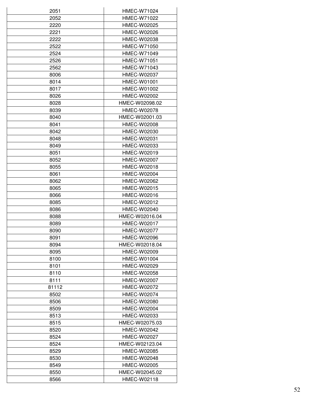| 2051  | HMEC-W71024        |
|-------|--------------------|
| 2052  | HMEC-W71022        |
| 2220  | <b>HMEC-W02025</b> |
| 2221  | <b>HMEC-W02026</b> |
|       |                    |
| 2222  | HMEC-W02038        |
| 2522  | <b>HMEC-W71050</b> |
| 2524  | <b>HMEC-W71049</b> |
| 2526  | <b>HMEC-W71051</b> |
| 2562  | <b>HMEC-W71043</b> |
| 8006  | <b>HMEC-W02037</b> |
| 8014  | <b>HMEC-W01001</b> |
| 8017  | <b>HMEC-W01002</b> |
| 8026  | HMEC-W02002        |
| 8028  | HMEC-W02098.02     |
| 8039  | HMEC-W02078        |
| 8040  | HMEC-W02001.03     |
| 8041  | HMEC-W02008        |
| 8042  | <b>HMEC-W02030</b> |
| 8048  | HMEC-W02031        |
|       | HMEC-W02033        |
| 8049  |                    |
| 8051  | <b>HMEC-W02019</b> |
| 8052  | <b>HMEC-W02007</b> |
| 8055  | HMEC-W02018        |
| 8061  | <b>HMEC-W02004</b> |
| 8062  | HMEC-W02062        |
| 8065  | HMEC-W02015        |
| 8066  | HMEC-W02016        |
| 8085  | <b>HMEC-W02012</b> |
| 8086  | HMEC-W02040        |
| 8088  | HMEC-W02016.04     |
| 8089  | <b>HMEC-W02017</b> |
| 8090  | HMEC-W02077        |
| 8091  | HMEC-W02096        |
| 8094  | HMEC-W02018.04     |
| 8095  | HMEC-W02009        |
|       | <b>HMEC-W01004</b> |
| 8100  |                    |
| 8101  | <b>HMEC-W02029</b> |
| 8110  | <b>HMEC-W02058</b> |
| 8111  | HMEC-W02007        |
| 81112 | <b>HMEC-W02072</b> |
| 8502  | HMEC-W02074        |
| 8506  | <b>HMEC-W02080</b> |
| 8509  | HMEC-W02004        |
| 8513  | HMEC-W02033        |
| 8515  | HMEC-W02075.03     |
| 8520  | <b>HMEC-W02042</b> |
| 8524  | HMEC-W02027        |
| 8524  | HMEC-W02123.04     |
| 8529  | <b>HMEC-W02085</b> |
| 8530  | HMEC-W02048        |
|       |                    |
| 8549  | HMEC-W02005        |
| 8550  | HMEC-W02045.02     |
| 8566  | HMEC-W02118        |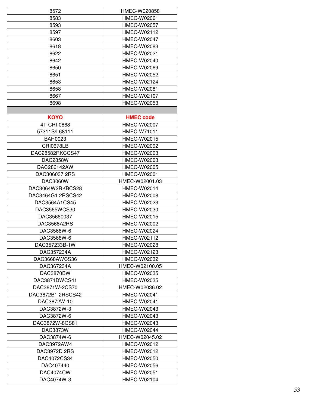| 8572                       | HMEC-W020858                             |
|----------------------------|------------------------------------------|
| 8583                       | HMEC-W02061                              |
| 8593                       | HMEC-W02057                              |
| 8597                       | HMEC-W02112                              |
| 8603                       | HMEC-W02047                              |
| 8618                       | <b>HMEC-W02083</b>                       |
| 8622                       | <b>HMEC-W02021</b>                       |
|                            |                                          |
| 8642                       | <b>HMEC-W02040</b>                       |
| 8650                       | HMEC-W02069                              |
| 8651                       | <b>HMEC-W02052</b>                       |
| 8653                       | HMEC-W02124                              |
| 8658                       | HMEC-W02081                              |
| 8667                       | HMEC-W02107                              |
| 8698                       | <b>HMEC-W02053</b>                       |
|                            |                                          |
| <b>KOYO</b>                | <b>HMEC code</b>                         |
| 4T-CRI-0868                | HMEC-W02007                              |
| 57311S/L68111              | <b>HMEC-W71011</b>                       |
| <b>BAH0023</b>             | HMEC-W02015                              |
| <b>CRI0678LB</b>           | <b>HMEC-W02092</b>                       |
| DAC28582RKCCS47            | HMEC-W02003                              |
| <b>DAC2858W</b>            | HMEC-W02003                              |
| DAC286142AW                | HMEC-W02005                              |
| DAC306037 2RS              | <b>HMEC-W02001</b>                       |
|                            |                                          |
| <b>DAC3060W</b>            | HMEC-W02001.03                           |
| DAC3064W2RKBCS28           | HMEC-W02014                              |
| DAC3464G1 2RSCS42          | HMEC-W02008                              |
| DAC3564A1CS45              | HMEC-W02023                              |
| DAC3565WCS30               | HMEC-W02030                              |
| DAC35660037                | HMEC-W02015                              |
| DAC3568A2RS                | <b>HMEC-W02002</b>                       |
| DAC3568W-6                 | HMEC-W02024                              |
| DAC3568W-6                 | HMEC-W02112                              |
| DAC357233B-1W              | <b>HMEC-W02028</b>                       |
| DAC357234A                 | HMEC-W02123                              |
| DAC3668AWCS36              | HMEC-W02032                              |
| DAC367234A                 | HMEC-W02100.05                           |
| DAC3870BW                  | HMEC-W02035                              |
| DAC3871DWCS41              | HMEC-W02035                              |
| DAC3871W-2CS70             | HMEC-W02036.02                           |
| DAC3872B1 2RSCS42          | <b>HMEC-W02041</b>                       |
| DAC3872W-10                | <b>HMEC-W02041</b>                       |
| DAC3872W-3                 | HMEC-W02043                              |
| DAC3872W-6                 | HMEC-W02043                              |
|                            |                                          |
| DAC3872W-8CS81<br>DAC3873W | <b>HMEC-W02043</b><br><b>HMEC-W02044</b> |
|                            |                                          |
| DAC3874W-6                 | HMEC-W02045.02                           |
| DAC3972AW4                 | HMEC-W02012                              |
| DAC3972D 2RS               | HMEC-W02012                              |
| DAC4072CS34                | <b>HMEC-W02050</b>                       |
| DAC407440                  | HMEC-W02056                              |
| DAC4074CW                  | <b>HMEC-W02051</b>                       |
| DAC4074W-3                 | HMEC-W02104                              |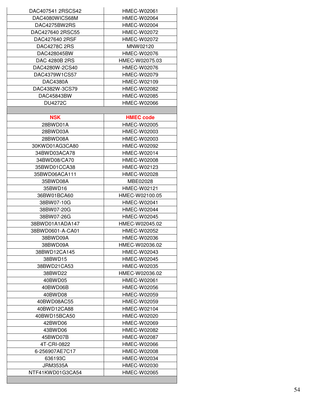| DAC407541 2RSCS42    | HMEC-W02061        |
|----------------------|--------------------|
| DAC4080WICS68M       | HMEC-W02064        |
| DAC4275BW2RS         | <b>HMEC-W02004</b> |
| DAC427640 2RSC55     | HMEC-W02072        |
| DAC427640 2RSF       | HMEC-W02072        |
| DAC4278C 2RS         | MNW02120           |
| DAC428045BW          | HMEC-W02076        |
| <b>DAC 4280B 2RS</b> | HMEC-W02075.03     |
| DAC4280W-2CS40       | HMEC-W02076        |
| DAC4379W1CS57        | HMEC-W02079        |
| <b>DAC4380A</b>      | HMEC-W02109        |
| DAC4382W-3CS79       | HMEC-W02082        |
| DAC45843BW           | HMEC-W02085        |
| <b>DU4272C</b>       | <b>HMEC-W02066</b> |
|                      |                    |
|                      |                    |
| <b>NSK</b>           | <b>HMEC code</b>   |
| 28BWD01A             | <b>HMEC-W02005</b> |
| 28BWD03A             | HMEC-W02003        |
| 28BWD08A             | HMEC-W02003        |
| 30KWD01AG3CA80       | HMEC-W02092        |
| 34BWD03ACA78         | HMEC-W02014        |
| 34BWD08/CA70         | HMEC-W02008        |
| 35BWD01CCA38         | HMEC-W02123        |
| 35BWD06ACA111        | <b>HMEC-W02028</b> |
| 35BWD08A             | MBE02028           |
| 35BWD16              | HMEC-W02121        |
| 36BW01BCA60          | HMEC-W02100.05     |
| 38BW07-10G           | <b>HMEC-W02041</b> |
| 38BW07-20G           | <b>HMEC-W02044</b> |
| 38BW07-26G           | HMEC-W02045        |
| 38BWD01A1ADA147      | HMEC-W02045.02     |
| 38BWD0601-A-CA01     | HMEC-W02052        |
| 38BWD09A             | HMEC-W02036        |
| 38BWD09A             | HMEC-W02036.02     |
| 38BWD12CA145         | HMEC-W02043        |
| 38BWD15              | HMEC-W02045        |
| 38BWD21CA53          | HMEC-W02035        |
| 38BWD22              | HMEC-W02036.02     |
| 40BWD05              | <b>HMEC-W02061</b> |
| 40BWD06B             | HMEC-W02056        |
| 40BWD08              | HMEC-W02059        |
| 40BWD08AC55          | HMEC-W02059        |
| 40BWD12CA88          | HMEC-W02104        |
| 40BWD15BCA50         | HMEC-W02020        |
| 42BWD06              | HMEC-W02069        |
| 43BWD06              | HMEC-W02082        |
| 45BWD07B             | HMEC-W02087        |
| 4T-CRI-0822          | HMEC-W02066        |
| 6-256907AE7C17       | HMEC-W02008        |
| 636193C              | HMEC-W02034        |
| <b>JRM3535A</b>      | HMEC-W02030        |
|                      |                    |
| NTF41KWD01G3CA54     | HMEC-W02065        |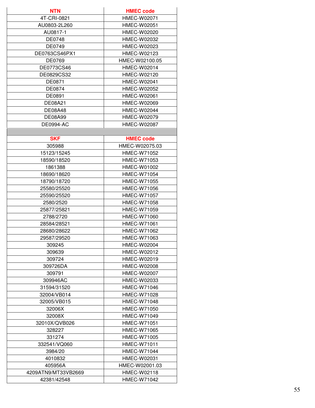| <b>NTN</b>          | <b>HMEC code</b>   |
|---------------------|--------------------|
| 4T-CRI-0821         | HMEC-W02071        |
| AU0803-2L260        | HMEC-W02051        |
| AU0817-1            | HMEC-W02020        |
| <b>DE0748</b>       | HMEC-W02032        |
| DE0749              | HMEC-W02023        |
| DE0763CS46PX1       | HMEC-W02123        |
| DE0769              | HMEC-W02100.05     |
| DE0773CS46          | HMEC-W02014        |
| DE0829CS32          | HMEC-W02120        |
| DE0871              | <b>HMEC-W02041</b> |
| DE0874              | HMEC-W02052        |
| DE0891              | <b>HMEC-W02061</b> |
|                     | HMEC-W02069        |
| DE08A21             |                    |
| <b>DE08A48</b>      | HMEC-W02044        |
| <b>DE08A99</b>      | HMEC-W02079        |
| <b>DE0994-AC</b>    | HMEC-W02087        |
|                     |                    |
| <b>SKF</b>          | <b>HMEC code</b>   |
| 305988              | HMEC-W02075.03     |
| 15123/15245         | <b>HMEC-W71052</b> |
| 18590/18520         | HMEC-W71053        |
| 1861388             | HMEC-W01002        |
| 18690/18620         | <b>HMEC-W71054</b> |
| 18790/18720         | HMEC-W71055        |
| 25580/25520         | HMEC-W71056        |
| 25590/25520         | HMEC-W71057        |
| 2580/2520           | <b>HMEC-W71058</b> |
| 25877/25821         | HMEC-W71059        |
| 2788/2720           | HMEC-W71060        |
| 28584/28521         | <b>HMEC-W71061</b> |
| 28680/28622         | HMEC-W71062        |
| 29587/29520         | HMEC-W71063        |
| 309245              | <b>HMEC-W02004</b> |
| 309639              | HMEC-W02012        |
| 309724              | HMEC-W02019        |
| 309726DA            | HMEC-W02008        |
| 309791              | HMEC-W02007        |
| 309946AC            | HMEC-W02033        |
| 31594/31520         | <b>HMEC-W71046</b> |
| 32004/VB014         | <b>HMEC-W71028</b> |
| 32005/VB015         | HMEC-W71048        |
| 32006X              | <b>HMEC-W71050</b> |
| 32008X              | <b>HMEC-W71049</b> |
| 32010X/QVB026       | <b>HMEC-W71051</b> |
| 328227              | HMEC-W71065        |
| 331274              | <b>HMEC-W71005</b> |
| 332541/VQ060        | <b>HMEC-W71011</b> |
| 3984/20             | <b>HMEC-W71044</b> |
| 4010832             | HMEC-W02031        |
| 405956A             | HMEC-W02001.03     |
| 4209ATN9/MT33VB2669 | HMEC-W02118        |
| 42381/42548         | <b>HMEC-W71042</b> |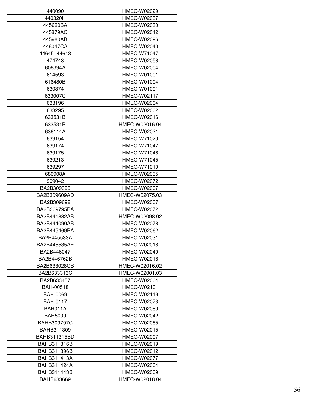| 440090             | HMEC-W02029        |
|--------------------|--------------------|
| 440320H            | HMEC-W02037        |
| 445620BA           | HMEC-W02030        |
| 445879AC           | <b>HMEC-W02042</b> |
| 445980AB           | HMEC-W02096        |
| 446047CA           | <b>HMEC-W02040</b> |
| 44645+44613        | <b>HMEC-W71047</b> |
| 474743             | HMEC-W02058        |
| 606394A            | HMEC-W02004        |
| 614593             | <b>HMEC-W01001</b> |
| 616480B            | HMEC-W01004        |
| 630374             | HMEC-W01001        |
|                    |                    |
| 633007C            | <b>HMEC-W02117</b> |
| 633196             | HMEC-W02004        |
| 633295             | HMEC-W02002        |
| 633531B            | HMEC-W02016        |
| 633531B            | HMEC-W02016.04     |
| 636114A            | <b>HMEC-W02021</b> |
| 639154             | HMEC-W71020        |
| 639174             | <b>HMEC-W71047</b> |
| 639175             | <b>HMEC-W71046</b> |
| 639213             | <b>HMEC-W71045</b> |
| 639297             | <b>HMEC-W71010</b> |
| 686908A            | HMEC-W02035        |
| 909042             | HMEC-W02072        |
| BA2B309396         | HMEC-W02007        |
| BA2B309609AD       | HMEC-W02075.03     |
| BA2B309692         | <b>HMEC-W02007</b> |
| BA2B309795BA       | HMEC-W02072        |
| BA2B441832AB       | HMEC-W02098.02     |
| BA2B444090AB       | <b>HMEC-W02078</b> |
| BA2B445469BA       | HMEC-W02062        |
| BA2B445533A        | HMEC-W02031        |
| BA2B445535AE       | <b>HMEC-W02018</b> |
| BA2B446047         | HMEC-W02040        |
| BA2B446762B        | HMEC-W02018        |
| BA2B633028CB       | HMEC-W02016.02     |
| BA2B633313C        | HMEC-W02001.03     |
| BA2B633457         | <b>HMEC-W02004</b> |
| <b>BAH-00518</b>   | HMEC-W02101        |
| <b>BAH-0069</b>    | HMEC-W02119        |
| <b>BAH-0117</b>    | <b>HMEC-W02073</b> |
| BAH011A            | HMEC-W02080        |
| <b>BAH5000</b>     | HMEC-W02042        |
|                    |                    |
| <b>BAHB309797C</b> | <b>HMEC-W02085</b> |
| BAHB311309         | HMEC-W02015        |
| BAHB311315BD       | HMEC-W02007        |
| BAHB311316B        | HMEC-W02019        |
| BAHB311396B        | HMEC-W02012        |
| BAHB311413A        | HMEC-W02077        |
| BAHB311424A        | <b>HMEC-W02004</b> |
| <b>BAHB311443B</b> | HMEC-W02009        |
| BAHB633669         | HMEC-W02018.04     |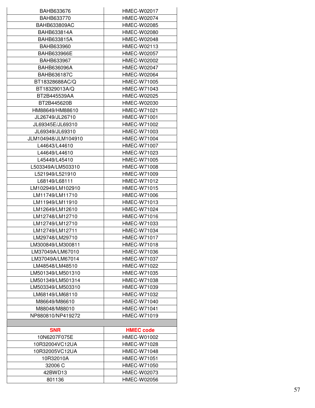| <b>BAHB633676</b>                  | HMEC-W02017        |
|------------------------------------|--------------------|
| BAHB633770                         | HMEC-W02074        |
| <b>BAHB633809AC</b>                | HMEC-W02085        |
| BAHB633814A                        | <b>HMEC-W02080</b> |
| BAHB633815A                        | HMEC-W02048        |
| <b>BAHB633960</b>                  | HMEC-W02113        |
| BAHB633966E                        | HMEC-W02057        |
| BAHB633967                         | HMEC-W02002        |
| BAHB636096A                        | HMEC-W02047        |
|                                    |                    |
| <b>BAHB636187C</b>                 | <b>HMEC-W02064</b> |
| BT18328688AC/Q                     | <b>HMEC-W71005</b> |
| BT18329013A/Q                      | <b>HMEC-W71043</b> |
| BT2B445539AA                       | HMEC-W02025        |
| BT2B445620B                        | HMEC-W02030        |
| HM88649/HM88610                    | HMEC-W71021        |
| JL26749/JL26710                    | <b>HMEC-W71001</b> |
| JL69345E/JL69310                   | <b>HMEC-W71002</b> |
| JL69349/JL69310                    | HMEC-W71003        |
| JLM104948/JLM104910                | HMEC-W71004        |
| L44643/L44610                      | HMEC-W71007        |
| L44649/L44610                      | HMEC-W71023        |
| L45449/L45410                      | HMEC-W71005        |
| L503349A/LM503310                  | <b>HMEC-W71008</b> |
| L521949/L521910                    | <b>HMEC-W71009</b> |
| L68149/L68111                      | HMEC-W71012        |
| LM102949/LM102910                  | <b>HMEC-W71015</b> |
| LM11749/LM11710                    | HMEC-W71006        |
| LM11949/LM11910                    | <b>HMEC-W71013</b> |
| LM12649/LM12610                    | HMEC-W71024        |
| LM12748/LM12710                    | HMEC-W71016        |
| LM12749/LM12710                    | HMEC-W71033        |
| LM12749/LM12711                    | HMEC-W71034        |
| LM29748/LM29710                    | <b>HMEC-W71017</b> |
| LM300849/LM300811                  | HMEC-W71018        |
| LM37049A/LM67010                   | HMEC-W71036        |
| LM37049A/LM67014                   | <b>HMEC-W71037</b> |
| LM48548/LM48510                    | <b>HMEC-W71022</b> |
| LM501349/LM501310                  | HMEC-W71035        |
| LM501349/LM501314                  | HMEC-W71038        |
| LM503349/LM503310                  | HMEC-W71039        |
| LM68149/LM68110                    | HMEC-W71032        |
| M86649/M86610                      | HMEC-W71040        |
|                                    | <b>HMEC-W71041</b> |
| M88048/M88010<br>NP880810/NP419272 | HMEC-W71019        |
|                                    |                    |
|                                    |                    |
| <b>SNR</b>                         | <b>HMEC code</b>   |
| 10N6207F075E                       | HMEC-W01002        |
| 10R32004VC12UA                     | HMEC-W71028        |
| 10R32005VC12UA                     | HMEC-W71048        |
| 10R32010A                          | <b>HMEC-W71051</b> |
| 32006 C                            | HMEC-W71050        |
| 42BWD13                            | HMEC-W02073        |
| 801136                             | <b>HMEC-W02056</b> |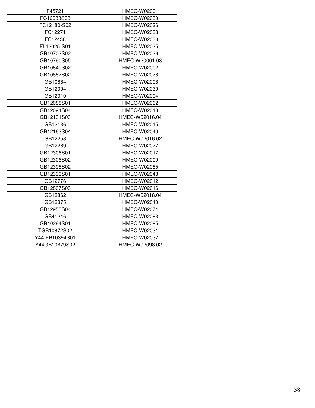| F45721         | HMEC-W02001        |
|----------------|--------------------|
| FC12033S03     | HMEC-W02030        |
| FC12180-S02    | HMEC-W02026        |
| FC12271        | HMEC-W02038        |
| FC12438        | HMEC-W02030        |
| FL12025-S01    | HMEC-W02025        |
| GB10702S02     | HMEC-W02029        |
| GB10790S05     | HMEC-W20001.03     |
| GB10840S02     | <b>HMEC-W02002</b> |
| GB10857S02     | HMEC-W02078        |
| GB10884        | HMEC-W02008        |
| GB12004        | HMEC-W02030        |
| GB12010        | HMEC-W02004        |
| GB12088S01     | HMEC-W02062        |
| GB12094S04     | HMEC-W02018        |
| GB12131S03     | HMEC-W02016.04     |
| GB12136        | <b>HMEC-W02015</b> |
| GB12163S04     | HMEC-W02040        |
| GB12258        | HMEC-W02016.02     |
| GB12269        | HMEC-W02077        |
| GB12306S01     | HMEC-W02017        |
| GB12306S02     | HMEC-W02009        |
| GB12398S02     | HMEC-W02085        |
| GB12399S01     | <b>HMEC-W02048</b> |
| GB12776        | HMEC-W02012        |
| GB12807S03     | HMEC-W02016        |
| GB12862        | HMEC-W02018.04     |
| GB12875        | HMEC-W02040        |
| GB12955S04     | HMEC-W02074        |
| GB41246        | HMEC-W02083        |
| GB40264S01     | HMEC-W02085        |
| TGB10872S02    | HMEC-W02031        |
| Y44-FB10394S01 | HMEC-W02037        |
| Y44GB10679S02  | HMEC-W02098.02     |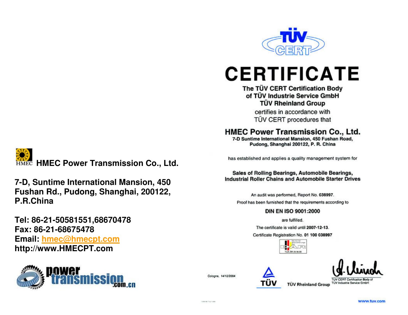

# **CERTIFICATE**

## The TÜV CERT Certification Body of TÜV Industrie Service GmbH **TÜV Rheinland Group**

certifies in accordance with TÜV CERT procedures that

## HMEC Power Transmission Co., Ltd.

7-D Suntime International Mansion, 450 Fushan Road, Pudong, Shanghai 200122, P. R. China

has established and applies a quality management system for

#### Sales of Rolling Bearings, Automobile Bearings, **Industrial Roller Chains and Automobile Starter Drives**

An audit was performed, Report No. 038997. Proof has been furnished that the requirements according to

### DIN EN ISO 9001:2000

are fulfilled.

The certificate is valid until 2007-12-13.

Certificate Registration No. 01 100 038997





**TUV CERT Certification Body of TÜV Rheinland Group TUV Industrie Service Gmbr** 

**HMEC Power Transmission Co., Ltd.** 

**7-D, Suntime International Mansion, 450 Fushan Rd., Pudong, Shanghai, 200122, P.R.China** 

**Tel: 86-21-50581551,68670478 Fax: 86-21-68675478 Email: hmec@hmecpt.comhttp://www.HMECPT.com** 



Cologne, 14/12/2004